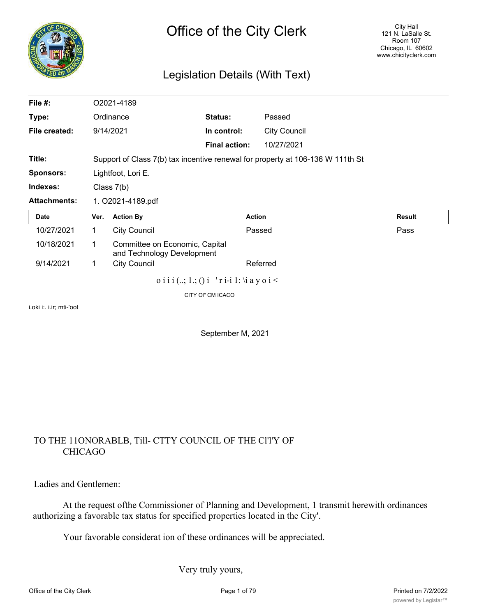

# Legislation Details (With Text)

| File #:             |                                                                                | O2021-4189                                                   |                                                |                     |               |
|---------------------|--------------------------------------------------------------------------------|--------------------------------------------------------------|------------------------------------------------|---------------------|---------------|
| Type:               |                                                                                | Ordinance                                                    | Status:                                        | Passed              |               |
| File created:       |                                                                                | 9/14/2021                                                    | In control:                                    | <b>City Council</b> |               |
|                     |                                                                                |                                                              | <b>Final action:</b>                           | 10/27/2021          |               |
| Title:              | Support of Class 7(b) tax incentive renewal for property at 106-136 W 111th St |                                                              |                                                |                     |               |
| <b>Sponsors:</b>    | Lightfoot, Lori E.                                                             |                                                              |                                                |                     |               |
| Indexes:            | Class 7(b)                                                                     |                                                              |                                                |                     |               |
| <b>Attachments:</b> | 1. O2021-4189.pdf                                                              |                                                              |                                                |                     |               |
| Date                | Ver.                                                                           | <b>Action By</b>                                             |                                                | <b>Action</b>       | <b>Result</b> |
| 10/27/2021          | $\mathbf{1}$                                                                   | <b>City Council</b>                                          |                                                | Passed              | Pass          |
| 10/18/2021          | 1                                                                              | Committee on Economic, Capital<br>and Technology Development |                                                |                     |               |
| 9/14/2021           | 1                                                                              | <b>City Council</b>                                          |                                                | Referred            |               |
|                     |                                                                                |                                                              | o i i i $(.,; 1.; ()$ i 'r i-i 1: \i a y o i < |                     |               |
|                     |                                                                                |                                                              | CITY OI" CM ICACO                              |                     |               |

i.oki i:. i.ir; mti-'oot

September M, 2021

# TO THE 11ONORABLB, Till- CTTY COUNCIL OF THE Cl'l'Y OF CHICAGO

### Ladies and Gentlemen:

At the request ofthe Commissioner of Planning and Development, 1 transmit herewith ordinances authorizing a favorable tax status for specified properties located in the City'.

Your favorable considerat ion of these ordinances will be appreciated.

Very truly yours,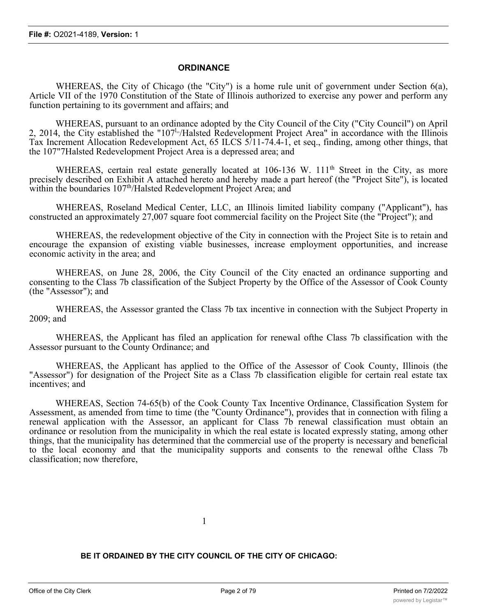#### **ORDINANCE**

WHEREAS, the City of Chicago (the "City") is a home rule unit of government under Section 6(a), Article VII of the 1970 Constitution of the State of Illinois authorized to exercise any power and perform any function pertaining to its government and affairs; and

WHEREAS, pursuant to an ordinance adopted by the City Council of the City ("City Council") on April 2, 2014, the City established the "107<sup>1</sup><sub>"</sub>/Halsted Redevelopment Project Area" in accordance with the Illinois Tax Increment Allocation Redevelopment Act, 65 ILCS 5/11-74.4-1, et seq., finding, among other things, that the 107"7Halsted Redevelopment Project Area is a depressed area; and

WHEREAS, certain real estate generally located at 106-136 W. 111<sup>th</sup> Street in the City, as more precisely described on Exhibit A attached hereto and hereby made a part hereof (the "Project Site"), is located within the boundaries  $107<sup>th</sup>/Halsted$  Redevelopment Project Area; and

WHEREAS, Roseland Medical Center, LLC, an Illinois limited liability company ("Applicant"), has constructed an approximately 27,007 square foot commercial facility on the Project Site (the "Project"); and

WHEREAS, the redevelopment objective of the City in connection with the Project Site is to retain and encourage the expansion of existing viable businesses, increase employment opportunities, and increase economic activity in the area; and

WHEREAS, on June 28, 2006, the City Council of the City enacted an ordinance supporting and consenting to the Class 7b classification of the Subject Property by the Office of the Assessor of Cook County (the "Assessor"); and

WHEREAS, the Assessor granted the Class 7b tax incentive in connection with the Subject Property in 2009; and

WHEREAS, the Applicant has filed an application for renewal ofthe Class 7b classification with the Assessor pursuant to the County Ordinance; and

WHEREAS, the Applicant has applied to the Office of the Assessor of Cook County, Illinois (the "Assessor") for designation of the Project Site as a Class 7b classification eligible for certain real estate tax incentives; and

WHEREAS, Section 74-65(b) of the Cook County Tax Incentive Ordinance, Classification System for Assessment, as amended from time to time (the "County Ordinance"), provides that in connection with filing a renewal application with the Assessor, an applicant for Class 7b renewal classification must obtain an ordinance or resolution from the municipality in which the real estate is located expressly stating, among other things, that the municipality has determined that the commercial use of the property is necessary and beneficial to the local economy and that the municipality supports and consents to the renewal ofthe Class 7b classification; now therefore,

1

**BE IT ORDAINED BY THE CITY COUNCIL OF THE CITY OF CHICAGO:**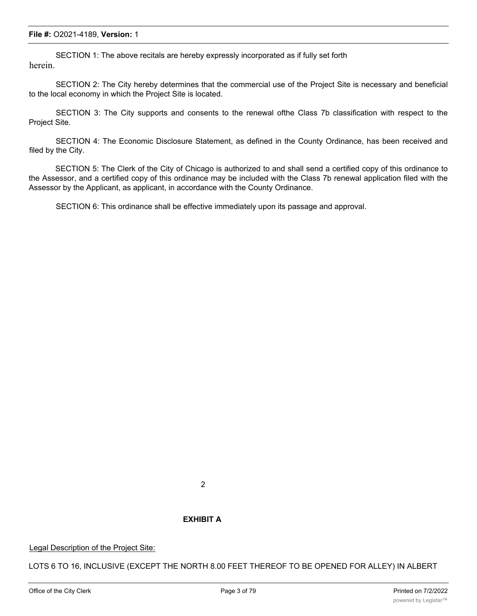SECTION 1: The above recitals are hereby expressly incorporated as if fully set forth herein.

SECTION 2: The City hereby determines that the commercial use of the Project Site is necessary and beneficial to the local economy in which the Project Site is located.

SECTION 3: The City supports and consents to the renewal ofthe Class 7b classification with respect to the Project Site.

SECTION 4: The Economic Disclosure Statement, as defined in the County Ordinance, has been received and filed by the City.

SECTION 5: The Clerk of the City of Chicago is authorized to and shall send a certified copy of this ordinance to the Assessor, and a certified copy of this ordinance may be included with the Class 7b renewal application filed with the Assessor by the Applicant, as applicant, in accordance with the County Ordinance.

SECTION 6: This ordinance shall be effective immediately upon its passage and approval.

#### **EXHIBIT A**

Legal Description of the Project Site:

LOTS 6 TO 16, INCLUSIVE (EXCEPT THE NORTH 8.00 FEET THEREOF TO BE OPENED FOR ALLEY) IN ALBERT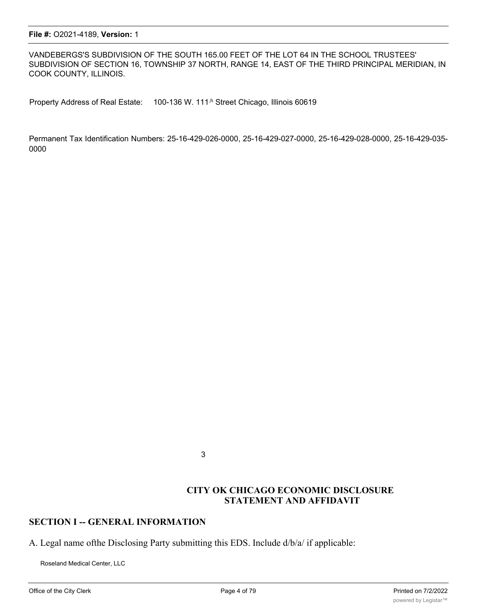VANDEBERGS'S SUBDIVISION OF THE SOUTH 165.00 FEET OF THE LOT 64 IN THE SCHOOL TRUSTEES' SUBDIVISION OF SECTION 16, TOWNSHIP 37 NORTH, RANGE 14, EAST OF THE THIRD PRINCIPAL MERIDIAN, IN COOK COUNTY, ILLINOIS.

Property Address of Real Estate: 100-136 W. 111<sup>,h</sup> Street Chicago, Illinois 60619

Permanent Tax Identification Numbers: 25-16-429-026-0000, 25-16-429-027-0000, 25-16-429-028-0000, 25-16-429-035- 0000

3

### **CITY OK CHICAGO ECONOMIC DISCLOSURE STATEMENT AND AFFIDAVIT**

### **SECTION I -- GENERAL INFORMATION**

A. Legal name ofthe Disclosing Party submitting this EDS. Include d/b/a/ if applicable:

Roseland Medical Center, LLC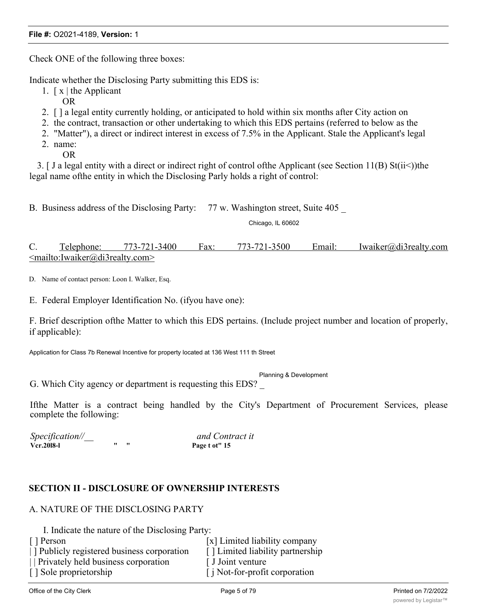Check ONE of the following three boxes:

Indicate whether the Disclosing Party submitting this EDS is:

- 1.  $\lceil x \rceil$  the Applicant
	- OR
- 2. [ ] a legal entity currently holding, or anticipated to hold within six months after City action on
- 2. the contract, transaction or other undertaking to which this EDS pertains (referred to below as the
- 2. "Matter"), a direct or indirect interest in excess of 7.5% in the Applicant. Stale the Applicant's legal
- 2. name:
	- OR

3. [ J a legal entity with a direct or indirect right of control ofthe Applicant (see Section 11(B) St(ii<))the legal name ofthe entity in which the Disclosing Parly holds a right of control:

B. Business address of the Disclosing Party: 77 w. Washington street, Suite 405

Chicago, IL 60602

C. Telephone: 773-721-3400 Fax: 773-721-3500 Email: Iwaiker@di3realty.com <mailto:Iwaiker@di3realty.com>

D. Name of contact person: Loon I. Walker, Esq.

E. Federal Employer Identification No. (ifyou have one):

F. Brief description ofthe Matter to which this EDS pertains. (Include project number and location of properly, if applicable):

Application for Class 7b Renewal Incentive for property located at 136 West 111 th Street

Planning & Development

G. Which City agency or department is requesting this EDS?

Ifthe Matter is a contract being handled by the City's Department of Procurement Services, please complete the following:

*Specification//\_\_ and Contract it* **Vcr.20l8-l " " Page t ot" 15**

# **SECTION II - DISCLOSURE OF OWNERSHIP INTERESTS**

# A. NATURE OF THE DISCLOSING PARTY

I. Indicate the nature of the Disclosing Party:

| [ ] Person                               | [x] Limited liability company       |
|------------------------------------------|-------------------------------------|
| Publicly registered business corporation | [] Limited liability partnership    |
| Privately held business corporation      | [ J Joint venture                   |
| [] Sole proprietorship                   | $\int$ i Not-for-profit corporation |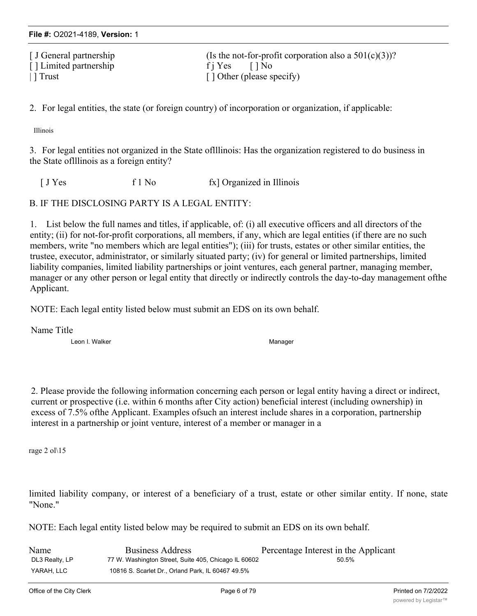[ J General partnership (Is the not-for-profit corporation also a  $501(c)(3)$ )? [ ] Limited partnership f j Yes [ ] No | ] Trust [ ] Other (please specify)

2. For legal entities, the state (or foreign country) of incorporation or organization, if applicable:

Illinois

3. For legal entities not organized in the State oflllinois: Has the organization registered to do business in the State oflllinois as a foreign entity?

[ J Yes f 1 No fx] Organized in Illinois

B. IF THE DISCLOSING PARTY IS A LEGAL ENTITY:

1. List below the full names and titles, if applicable, of: (i) all executive officers and all directors of the entity; (ii) for not-for-profit corporations, all members, if any, which are legal entities (if there are no such members, write "no members which are legal entities"); (iii) for trusts, estates or other similar entities, the trustee, executor, administrator, or similarly situated party; (iv) for general or limited partnerships, limited liability companies, limited liability partnerships or joint ventures, each general partner, managing member, manager or any other person or legal entity that directly or indirectly controls the day-to-day management ofthe Applicant.

NOTE: Each legal entity listed below must submit an EDS on its own behalf.

Name Title

Leon I. Walker Manager Manager Manager

2. Please provide the following information concerning each person or legal entity having a direct or indirect, current or prospective (i.e. within 6 months after City action) beneficial interest (including ownership) in excess of 7.5% ofthe Applicant. Examples ofsuch an interest include shares in a corporation, partnership interest in a partnership or joint venture, interest of a member or manager in a

rage 2 ol\15

limited liability company, or interest of a beneficiary of a trust, estate or other similar entity. If none, state "None."

NOTE: Each legal entity listed below may be required to submit an EDS on its own behalf.

| Name           | <b>Business Address</b>                              | Percentage Interest in the Applicant |
|----------------|------------------------------------------------------|--------------------------------------|
| DL3 Realty, LP | 77 W. Washington Street, Suite 405, Chicago IL 60602 | 50.5%                                |
| YARAH, LLC     | 10816 S. Scarlet Dr., Orland Park, IL 60467 49.5%    |                                      |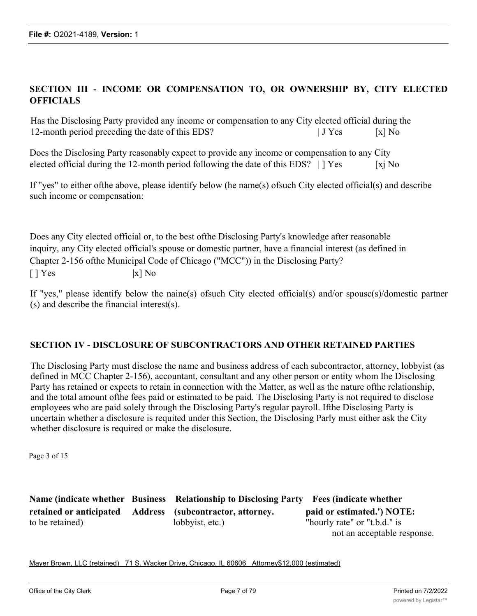# **SECTION III - INCOME OR COMPENSATION TO, OR OWNERSHIP BY, CITY ELECTED OFFICIALS**

Has the Disclosing Party provided any income or compensation to any City elected official during the 12-month period preceding the date of this EDS? | J Yes [x] No

Does the Disclosing Party reasonably expect to provide any income or compensation to any City elected official during the 12-month period following the date of this EDS?  $| \cdot |$  Yes [xj No

If "yes" to either ofthe above, please identify below (he name(s) ofsuch City elected official(s) and describe such income or compensation:

Does any City elected official or, to the best ofthe Disclosing Party's knowledge after reasonable inquiry, any City elected official's spouse or domestic partner, have a financial interest (as defined in Chapter 2-156 ofthe Municipal Code of Chicago ("MCC")) in the Disclosing Party?  $\begin{bmatrix} \end{bmatrix} \text{Yes}$  |x] No

If "yes," please identify below the naine(s) ofsuch City elected official(s) and/or spousc(s)/domestic partner (s) and describe the financial interest(s).

### **SECTION IV - DISCLOSURE OF SUBCONTRACTORS AND OTHER RETAINED PARTIES**

The Disclosing Party must disclose the name and business address of each subcontractor, attorney, lobbyist (as defined in MCC Chapter 2-156), accountant, consultant and any other person or entity whom Ihe Disclosing Party has retained or expects to retain in connection with the Matter, as well as the nature ofthe relationship, and the total amount ofthe fees paid or estimated to be paid. The Disclosing Party is not required to disclose employees who are paid solely through the Disclosing Party's regular payroll. Ifthe Disclosing Party is uncertain whether a disclosure is requited under this Section, the Disclosing Parly must either ask the City whether disclosure is required or make the disclosure.

Page 3 of 15

**Name (indicate whether Business Relationship to Disclosing Party Fees (indicate whether retained or anticipated Address (subcontractor, attorney. paid or estimated.') NOTE:** to be retained) lobbyist, etc.) "hourly rate" or "t.b.d." is not an acceptable response.

Mayer Brown, LLC (retained) 71 S. Wacker Drive, Chicago, IL 60606 Attorney\$12,000 (estimated)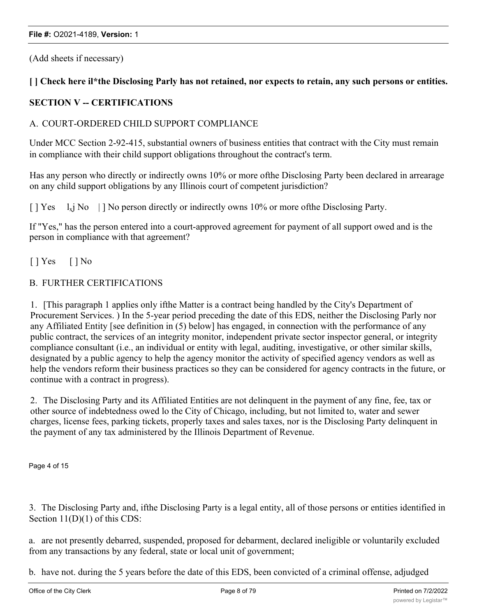(Add sheets if necessary)

### [] Check here il\*the Disclosing Parly has not retained, nor expects to retain, any such persons or entities.

## **SECTION V -- CERTIFICATIONS**

### A. COURT-ORDERED CHILD SUPPORT COMPLIANCE

Under MCC Section 2-92-415, substantial owners of business entities that contract with the City must remain in compliance with their child support obligations throughout the contract's term.

Has any person who directly or indirectly owns 10% or more ofthe Disclosing Party been declared in arrearage on any child support obligations by any Illinois court of competent jurisdiction?

 $[$  | Yes  $1_x$  No  $|$  | No person directly or indirectly owns 10% or more of the Disclosing Party.

If "Yes," has the person entered into a court-approved agreement for payment of all support owed and is the person in compliance with that agreement?

[ ] Yes [ ] No

### B. FURTHER CERTIFICATIONS

1. [This paragraph 1 applies only ifthe Matter is a contract being handled by the City's Department of Procurement Services. ) In the 5-year period preceding the date of this EDS, neither the Disclosing Parly nor any Affiliated Entity [see definition in (5) below] has engaged, in connection with the performance of any public contract, the services of an integrity monitor, independent private sector inspector general, or integrity compliance consultant (i.e., an individual or entity with legal, auditing, investigative, or other similar skills, designated by a public agency to help the agency monitor the activity of specified agency vendors as well as help the vendors reform their business practices so they can be considered for agency contracts in the future, or continue with a contract in progress).

2. The Disclosing Party and its Affiliated Entities are not delinquent in the payment of any fine, fee, tax or other source of indebtedness owed lo the City of Chicago, including, but not limited to, water and sewer charges, license fees, parking tickets, properly taxes and sales taxes, nor is the Disclosing Party delinquent in the payment of any tax administered by the Illinois Department of Revenue.

Page 4 of 15

3. The Disclosing Party and, ifthe Disclosing Party is a legal entity, all of those persons or entities identified in Section 11(D)(1) of this CDS:

a. are not presently debarred, suspended, proposed for debarment, declared ineligible or voluntarily excluded from any transactions by any federal, state or local unit of government;

b. have not. during the 5 years before the date of this EDS, been convicted of a criminal offense, adjudged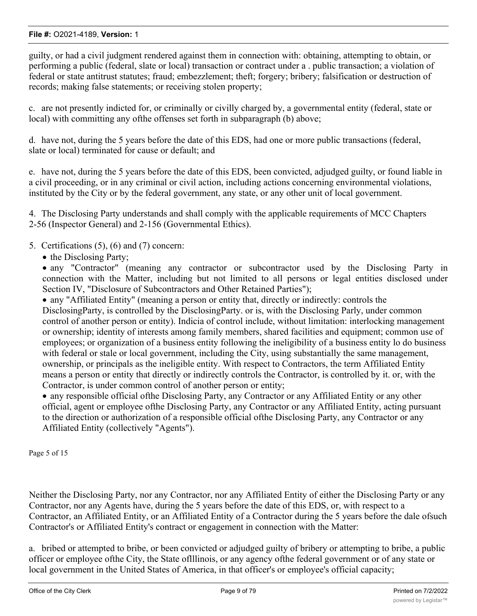guilty, or had a civil judgment rendered against them in connection with: obtaining, attempting to obtain, or performing a public (federal, slate or local) transaction or contract under a . public transaction; a violation of federal or state antitrust statutes; fraud; embezzlement; theft; forgery; bribery; falsification or destruction of records; making false statements; or receiving stolen property;

c. are not presently indicted for, or criminally or civilly charged by, a governmental entity (federal, state or local) with committing any ofthe offenses set forth in subparagraph (b) above;

d. have not, during the 5 years before the date of this EDS, had one or more public transactions (federal, slate or local) terminated for cause or default; and

e. have not, during the 5 years before the date of this EDS, been convicted, adjudged guilty, or found liable in a civil proceeding, or in any criminal or civil action, including actions concerning environmental violations, instituted by the City or by the federal government, any state, or any other unit of local government.

4. The Disclosing Party understands and shall comply with the applicable requirements of MCC Chapters 2-56 (Inspector General) and 2-156 (Governmental Ethics).

- 5. Certifications (5), (6) and (7) concern:
	- the Disclosing Party;

· any "Contractor" (meaning any contractor or subcontractor used by the Disclosing Party in connection with the Matter, including but not limited to all persons or legal entities disclosed under Section IV, "Disclosure of Subcontractors and Other Retained Parties");

· any "Affiliated Entity" (meaning a person or entity that, directly or indirectly: controls the DisclosingParty, is controlled by the DisclosingParty. or is, with the Disclosing Parly, under common control of another person or entity). Indicia of control include, without limitation: interlocking management or ownership; identity of interests among family members, shared facilities and equipment; common use of employees; or organization of a business entity following the ineligibility of a business entity lo do business with federal or stale or local government, including the City, using substantially the same management, ownership, or principals as the ineligible entity. With respect to Contractors, the term Affiliated Entity means a person or entity that directly or indirectly controls the Contractor, is controlled by it. or, with the Contractor, is under common control of another person or entity;

· any responsible official ofthe Disclosing Party, any Contractor or any Affiliated Entity or any other official, agent or employee ofthe Disclosing Party, any Contractor or any Affiliated Entity, acting pursuant to the direction or authorization of a responsible official ofthe Disclosing Party, any Contractor or any Affiliated Entity (collectively "Agents").

Page 5 of 15

Neither the Disclosing Party, nor any Contractor, nor any Affiliated Entity of either the Disclosing Party or any Contractor, nor any Agents have, during the 5 years before the date of this EDS, or, with respect to a Contractor, an Affiliated Entity, or an Affiliated Entity of a Contractor during the 5 years before the dale ofsuch Contractor's or Affiliated Entity's contract or engagement in connection with the Matter:

a. bribed or attempted to bribe, or been convicted or adjudged guilty of bribery or attempting to bribe, a public officer or employee ofthe City, the State oflllinois, or any agency ofthe federal government or of any state or local government in the United States of America, in that officer's or employee's official capacity;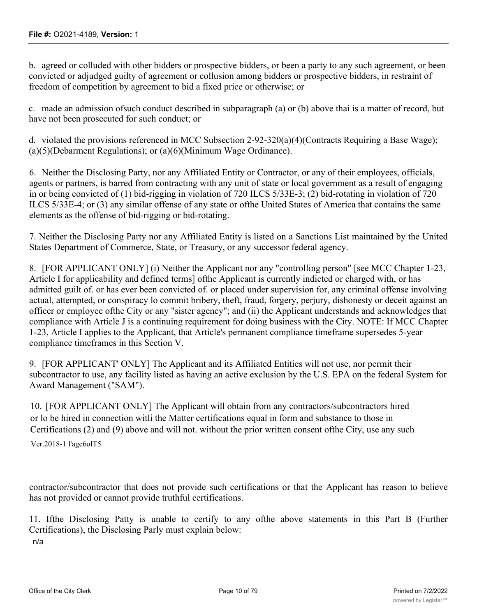b. agreed or colluded with other bidders or prospective bidders, or been a party to any such agreement, or been convicted or adjudged guilty of agreement or collusion among bidders or prospective bidders, in restraint of freedom of competition by agreement to bid a fixed price or otherwise; or

c. made an admission ofsuch conduct described in subparagraph (a) or (b) above thai is a matter of record, but have not been prosecuted for such conduct; or

d. violated the provisions referenced in MCC Subsection 2-92-320(a)(4)(Contracts Requiring a Base Wage); (a)(5)(Debarment Regulations); or (a)(6)(Minimum Wage Ordinance).

6. Neither the Disclosing Party, nor any Affiliated Entity or Contractor, or any of their employees, officials, agents or partners, is barred from contracting with any unit of state or local government as a result of engaging in or being convicted of (1) bid-rigging in violation of 720 ILCS 5/33E-3; (2) bid-rotating in violation of 720 ILCS 5/33E-4; or (3) any similar offense of any state or ofthe United States of America that contains the same elements as the offense of bid-rigging or bid-rotating.

7. Neither the Disclosing Party nor any Affiliated Entity is listed on a Sanctions List maintained by the United States Department of Commerce, State, or Treasury, or any successor federal agency.

8. [FOR APPLICANT ONLY] (i) Neither the Applicant nor any "controlling person" [see MCC Chapter 1-23, Article I for applicability and defined terms] ofthe Applicant is currently indicted or charged with, or has admitted guilt of. or has ever been convicted of. or placed under supervision for, any criminal offense involving actual, attempted, or conspiracy lo commit bribery, theft, fraud, forgery, perjury, dishonesty or deceit against an officer or employee ofthe City or any "sister agency"; and (ii) the Applicant understands and acknowledges that compliance with Article J is a continuing requirement for doing business with the City. NOTE: If MCC Chapter 1-23, Article I applies to the Applicant, that Article's permanent compliance timeframe supersedes 5-year compliance timeframes in this Section V.

9. [FOR APPLICANT' ONLY] The Applicant and its Affiliated Entities will not use, nor permit their subcontractor to use, any facility listed as having an active exclusion by the U.S. EPA on the federal System for Award Management ("SAM").

10. [FOR APPLICANT ONLY] The Applicant will obtain from any contractors/subcontractors hired or lo be hired in connection witli the Matter certifications equal in form and substance to those in Certifications (2) and (9) above and will not. without the prior written consent ofthe City, use any such

Ver.2018-1 l'agc6olT5

contractor/subcontractor that does not provide such certifications or that the Applicant has reason to believe has not provided or cannot provide truthful certifications.

11. Ifthe Disclosing Patty is unable to certify to any ofthe above statements in this Part B (Further Certifications), the Disclosing Parly must explain below: n/a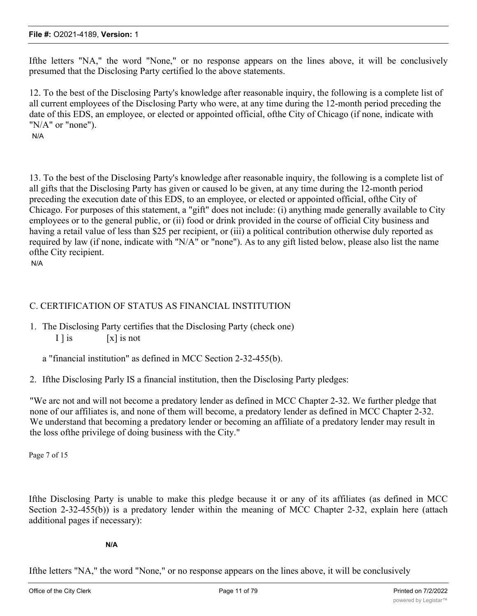Ifthe letters "NA," the word "None," or no response appears on the lines above, it will be conclusively presumed that the Disclosing Party certified lo the above statements.

12. To the best of the Disclosing Party's knowledge after reasonable inquiry, the following is a complete list of all current employees of the Disclosing Party who were, at any time during the 12-month period preceding the date of this EDS, an employee, or elected or appointed official, ofthe City of Chicago (if none, indicate with "N/A" or "none").

N/A

13. To the best of the Disclosing Party's knowledge after reasonable inquiry, the following is a complete list of all gifts that the Disclosing Party has given or caused lo be given, at any time during the 12-month period preceding the execution date of this EDS, to an employee, or elected or appointed official, ofthe City of Chicago. For purposes of this statement, a "gift" does not include: (i) anything made generally available to City employees or to the general public, or (ii) food or drink provided in the course of official City business and having a retail value of less than \$25 per recipient, or (iii) a political contribution otherwise duly reported as required by law (if none, indicate with "N/A" or "none"). As to any gift listed below, please also list the name ofthe City recipient.

N/A

## C. CERTIFICATION OF STATUS AS FINANCIAL INSTITUTION

- 1. The Disclosing Party certifies that the Disclosing Party (check one) I  $\vert$  is  $\vert$  [x] is not
	- a "financial institution" as defined in MCC Section 2-32-455(b).
- 2. Ifthe Disclosing Parly IS a financial institution, then the Disclosing Party pledges:

"We arc not and will not become a predatory lender as defined in MCC Chapter 2-32. We further pledge that none of our affiliates is, and none of them will become, a predatory lender as defined in MCC Chapter 2-32. We understand that becoming a predatory lender or becoming an affiliate of a predatory lender may result in the loss ofthe privilege of doing business with the City."

Page 7 of 15

Ifthe Disclosing Party is unable to make this pledge because it or any of its affiliates (as defined in MCC Section 2-32-455(b)) is a predatory lender within the meaning of MCC Chapter 2-32, explain here (attach additional pages if necessary):

**N/A**

Ifthe letters "NA," the word "None," or no response appears on the lines above, it will be conclusively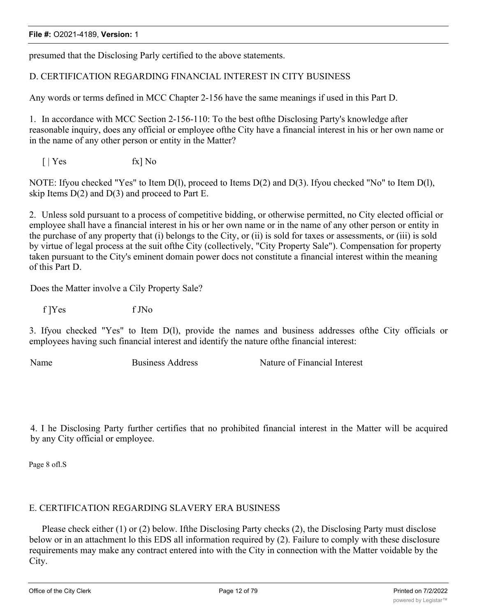presumed that the Disclosing Parly certified to the above statements.

# D. CERTIFICATION REGARDING FINANCIAL INTEREST IN CITY BUSINESS

Any words or terms defined in MCC Chapter 2-156 have the same meanings if used in this Part D.

1. In accordance with MCC Section 2-156-110: To the best ofthe Disclosing Party's knowledge after reasonable inquiry, does any official or employee ofthe City have a financial interest in his or her own name or in the name of any other person or entity in the Matter?

 $\lceil \cdot \rceil$  Yes fx  $\lceil \cdot \rceil$  No

NOTE: Ifyou checked "Yes" to Item D(l), proceed to Items D(2) and D(3). Ifyou checked "No" to Item D(l), skip Items  $D(2)$  and  $D(3)$  and proceed to Part E.

2. Unless sold pursuant to a process of competitive bidding, or otherwise permitted, no City elected official or employee shall have a financial interest in his or her own name or in the name of any other person or entity in the purchase of any property that (i) belongs to the City, or (ii) is sold for taxes or assessments, or (iii) is sold by virtue of legal process at the suit ofthe City (collectively, "City Property Sale"). Compensation for property taken pursuant to the City's eminent domain power docs not constitute a financial interest within the meaning of this Part D.

Does the Matter involve a Cily Property Sale?

f ]Yes f JNo

3. Ifyou checked "Yes" to Item D(l), provide the names and business addresses ofthe City officials or employees having such financial interest and identify the nature ofthe financial interest:

Name Business Address Nature of Financial Interest

4. I he Disclosing Party further certifies that no prohibited financial interest in the Matter will be acquired by any City official or employee.

Page 8 ofl.S

# E. CERTIFICATION REGARDING SLAVERY ERA BUSINESS

Please check either (1) or (2) below. Ifthe Disclosing Party checks (2), the Disclosing Party must disclose below or in an attachment lo this EDS all information required by (2). Failure to comply with these disclosure requirements may make any contract entered into with the City in connection with the Matter voidable by the City.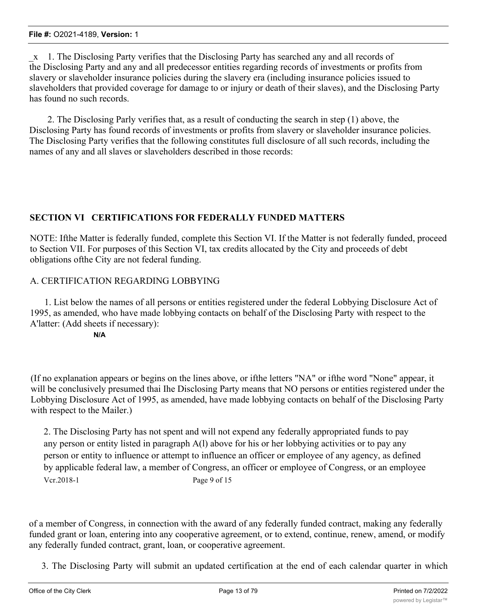\_x 1. The Disclosing Party verifies that the Disclosing Party has searched any and all records of the Disclosing Party and any and all predecessor entities regarding records of investments or profits from slavery or slaveholder insurance policies during the slavery era (including insurance policies issued to slaveholders that provided coverage for damage to or injury or death of their slaves), and the Disclosing Party has found no such records.

2. The Disclosing Parly verifies that, as a result of conducting the search in step (1) above, the Disclosing Party has found records of investments or profits from slavery or slaveholder insurance policies. The Disclosing Party verifies that the following constitutes full disclosure of all such records, including the names of any and all slaves or slaveholders described in those records:

# **SECTION VI CERTIFICATIONS FOR FEDERALLY FUNDED MATTERS**

NOTE: Ifthe Matter is federally funded, complete this Section VI. If the Matter is not federally funded, proceed to Section VII. For purposes of this Section VI, tax credits allocated by the City and proceeds of debt obligations ofthe City are not federal funding.

# A. CERTIFICATION REGARDING LOBBYING

1. List below the names of all persons or entities registered under the federal Lobbying Disclosure Act of 1995, as amended, who have made lobbying contacts on behalf of the Disclosing Party with respect to the A'latter: (Add sheets if necessary):

**N/A**

(If no explanation appears or begins on the lines above, or ifthe letters "NA" or ifthe word "None" appear, it will be conclusively presumed thai Ihe Disclosing Party means that NO persons or entities registered under the Lobbying Disclosure Act of 1995, as amended, have made lobbying contacts on behalf of the Disclosing Party with respect to the Mailer.)

2. The Disclosing Party has not spent and will not expend any federally appropriated funds to pay any person or entity listed in paragraph A(l) above for his or her lobbying activities or to pay any person or entity to influence or attempt to influence an officer or employee of any agency, as defined by applicable federal law, a member of Congress, an officer or employee of Congress, or an employee Vcr.2018-1 Page 9 of 15

of a member of Congress, in connection with the award of any federally funded contract, making any federally funded grant or loan, entering into any cooperative agreement, or to extend, continue, renew, amend, or modify any federally funded contract, grant, loan, or cooperative agreement.

3. The Disclosing Party will submit an updated certification at the end of each calendar quarter in which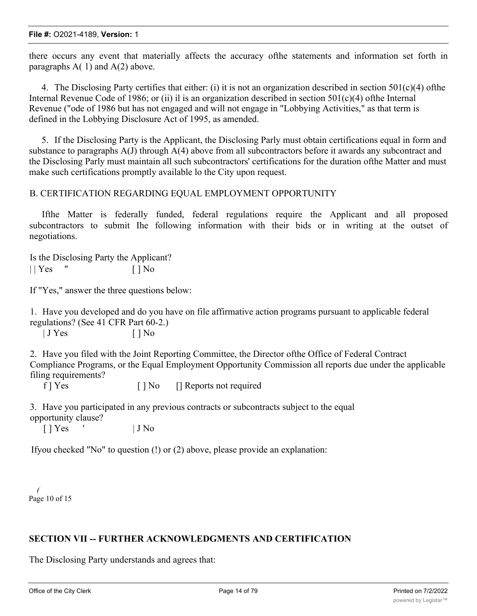there occurs any event that materially affects the accuracy ofthe statements and information set forth in paragraphs  $A(1)$  and  $A(2)$  above.

4. The Disclosing Party certifies that either: (i) it is not an organization described in section  $501(c)(4)$  ofthe Internal Revenue Code of 1986; or (ii) il is an organization described in section  $501(c)(4)$  ofthe Internal Revenue ("ode of 1986 but has not engaged and will not engage in "Lobbying Activities," as that term is defined in the Lobbying Disclosure Act of 1995, as amended.

5. If the Disclosing Party is the Applicant, the Disclosing Parly must obtain certifications equal in form and substance to paragraphs A(J) through A(4) above from all subcontractors before it awards any subcontract and the Disclosing Parly must maintain all such subcontractors' certifications for the duration ofthe Matter and must make such certifications promptly available lo the City upon request.

### B. CERTIFICATION REGARDING EQUAL EMPLOYMENT OPPORTUNITY

Ifthe Matter is federally funded, federal regulations require the Applicant and all proposed subcontractors to submit Ihe following information with their bids or in writing at the outset of negotiations.

Is the Disclosing Party the Applicant?  $||$  Yes "  $\qquad$   $||$  No

If "Yes," answer the three questions below:

1. Have you developed and do you have on file affirmative action programs pursuant to applicable federal regulations? (See 41 CFR Part 60-2.)

| J Yes [ ] No

2. Have you filed with the Joint Reporting Committee, the Director ofthe Office of Federal Contract Compliance Programs, or the Equal Employment Opportunity Commission all reports due under the applicable filing requirements?

f | Yes [ ] No [ ] Reports not required

3. Have you participated in any previous contracts or subcontracts subject to the equal opportunity clause?

 $[$  |  $Y$ es  $'$  |  $J$  No

Ifyou checked "No" to question (!) or (2) above, please provide an explanation:

*(* Page 10 of 15

### **SECTION VII -- FURTHER ACKNOWLEDGMENTS AND CERTIFICATION**

The Disclosing Party understands and agrees that: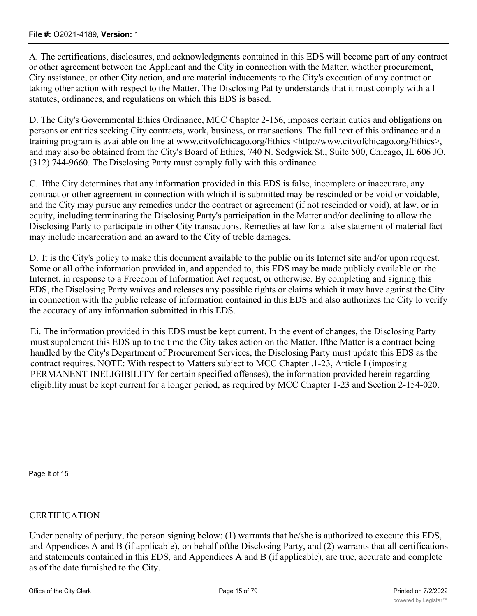A. The certifications, disclosures, and acknowledgments contained in this EDS will become part of any contract or other agreement between the Applicant and the City in connection with the Matter, whether procurement, City assistance, or other City action, and are material inducements to the City's execution of any contract or taking other action with respect to the Matter. The Disclosing Pat ty understands that it must comply with all statutes, ordinances, and regulations on which this EDS is based.

D. The City's Governmental Ethics Ordinance, MCC Chapter 2-156, imposes certain duties and obligations on persons or entities seeking City contracts, work, business, or transactions. The full text of this ordinance and a training program is available on line at www.citvofchicago.org/Ethics <http://www.citvofchicago.org/Ethics>, and may also be obtained from the City's Board of Ethics, 740 N. Sedgwick St., Suite 500, Chicago, IL 606 JO, (312) 744-9660. The Disclosing Party must comply fully with this ordinance.

C. Ifthe City determines that any information provided in this EDS is false, incomplete or inaccurate, any contract or other agreement in connection with which il is submitted may be rescinded or be void or voidable, and the City may pursue any remedies under the contract or agreement (if not rescinded or void), at law, or in equity, including terminating the Disclosing Party's participation in the Matter and/or declining to allow the Disclosing Party to participate in other City transactions. Remedies at law for a false statement of material fact may include incarceration and an award to the City of treble damages.

D. It is the City's policy to make this document available to the public on its Internet site and/or upon request. Some or all ofthe information provided in, and appended to, this EDS may be made publicly available on the Internet, in response to a Freedom of Information Act request, or otherwise. By completing and signing this EDS, the Disclosing Party waives and releases any possible rights or claims which it may have against the City in connection with the public release of information contained in this EDS and also authorizes the City lo verify the accuracy of any information submitted in this EDS.

Ei. The information provided in this EDS must be kept current. In the event of changes, the Disclosing Party must supplement this EDS up to the time the City takes action on the Matter. Ifthe Matter is a contract being handled by the City's Department of Procurement Services, the Disclosing Party must update this EDS as the contract requires. NOTE: With respect to Matters subject to MCC Chapter .1-23, Article I (imposing PERMANENT INELIGIBILITY for certain specified offenses), the information provided herein regarding eligibility must be kept current for a longer period, as required by MCC Chapter 1-23 and Section 2-154-020.

Page It of 15

### CERTIFICATION

Under penalty of perjury, the person signing below: (1) warrants that he/she is authorized to execute this EDS, and Appendices A and B (if applicable), on behalf ofthe Disclosing Party, and (2) warrants that all certifications and statements contained in this EDS, and Appendices A and B (if applicable), are true, accurate and complete as of the date furnished to the City.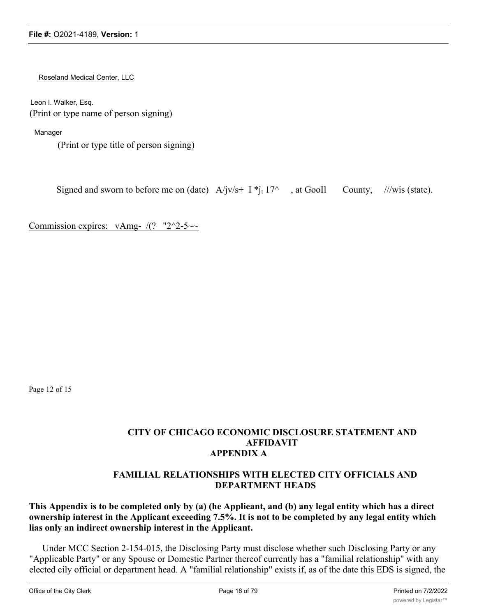Roseland Medical Center, LLC

Leon I. Walker, Esq. (Print or type name of person signing)

Manager

(Print or type title of person signing)

Signed and sworn to before me on (date)  $A/|v/s + I^*|_t 17^\wedge$ , at GooIl County, ///wis (state).

Commission expires:  $vAmg - \sqrt{(? - 2^2-5^2)}$ 

Page 12 of 15

### **CITY OF CHICAGO ECONOMIC DISCLOSURE STATEMENT AND AFFIDAVIT APPENDIX A**

### **FAMILIAL RELATIONSHIPS WITH ELECTED CITY OFFICIALS AND DEPARTMENT HEADS**

# **This Appendix is to be completed only by (a) (he Applieant, and (b) any legal entity which has a direct ownership interest in the Applicant exceeding 7.5%. It is not to be completed by any legal entity which lias only an indirect ownership interest in the Applicant.**

Under MCC Section 2-154-015, the Disclosing Party must disclose whether such Disclosing Party or any "Applicable Party" or any Spouse or Domestic Partner thereof currently has a "familial relationship" with any elected cily official or department head. A "familial relationship" exists if, as of the date this EDS is signed, the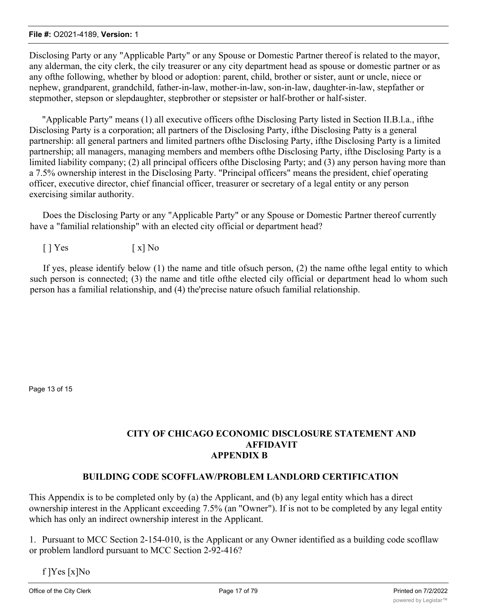Disclosing Party or any "Applicable Party" or any Spouse or Domestic Partner thereof is related to the mayor, any alderman, the city clerk, the cily treasurer or any city department head as spouse or domestic partner or as any ofthe following, whether by blood or adoption: parent, child, brother or sister, aunt or uncle, niece or nephew, grandparent, grandchild, father-in-law, mother-in-law, son-in-law, daughter-in-law, stepfather or stepmother, stepson or slepdaughter, stepbrother or stepsister or half-brother or half-sister.

"Applicable Party" means (1) all executive officers ofthe Disclosing Party listed in Section II.B.l.a., ifthe Disclosing Party is a corporation; all partners of the Disclosing Party, ifthe Disclosing Patty is a general partnership: all general partners and limited partners ofthe Disclosing Party, ifthe Disclosing Party is a limited partnership; all managers, managing members and members ofthe Disclosing Party, ifthe Disclosing Party is a limited liability company; (2) all principal officers ofthe Disclosing Party; and (3) any person having more than a 7.5% ownership interest in the Disclosing Party. "Principal officers" means the president, chief operating officer, executive director, chief financial officer, treasurer or secretary of a legal entity or any person exercising similar authority.

Does the Disclosing Party or any "Applicable Party" or any Spouse or Domestic Partner thereof currently have a "familial relationship" with an elected city official or department head?

 $\lceil$  | Yes  $\lceil$  x | No

If yes, please identify below (1) the name and title ofsuch person, (2) the name ofthe legal entity to which such person is connected; (3) the name and title ofthe elected cily official or department head lo whom such person has a familial relationship, and (4) the'precise nature ofsuch familial relationship.

Page 13 of 15

## **CITY OF CHICAGO ECONOMIC DISCLOSURE STATEMENT AND AFFIDAVIT APPENDIX B**

### **BUILDING CODE SCOFFLAW/PROBLEM LANDLORD CERTIFICATION**

This Appendix is to be completed only by (a) the Applicant, and (b) any legal entity which has a direct ownership interest in the Applicant exceeding 7.5% (an "Owner"). If is not to be completed by any legal entity which has only an indirect ownership interest in the Applicant.

1. Pursuant to MCC Section 2-154-010, is the Applicant or any Owner identified as a building code scofllaw or problem landlord pursuant to MCC Section 2-92-416?

f ]Yes [x]No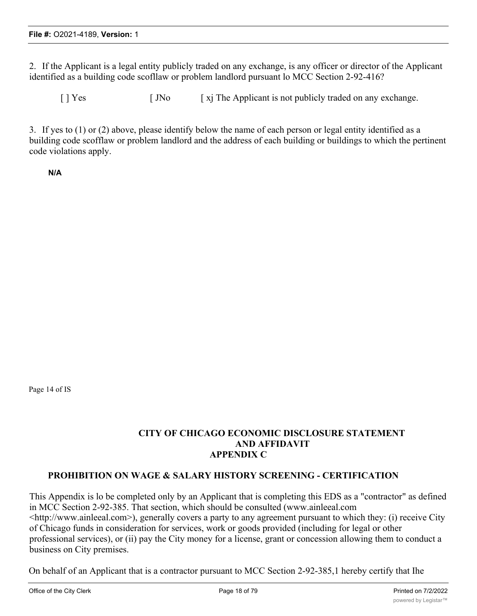2. If the Applicant is a legal entity publicly traded on any exchange, is any officer or director of the Applicant identified as a building code scofllaw or problem landlord pursuant lo MCC Section 2-92-416?

 $[$   $]$  Yes  $[$   $]$   $]$ No  $[$   $]$   $[$   $]$   $[$   $]$   $[$   $]$   $[$   $]$   $[$   $]$   $[$   $]$   $[$   $]$   $[$   $]$   $[$   $]$   $[$   $]$   $[$   $]$   $[$   $]$   $[$   $]$   $[$   $]$   $[$   $]$   $[$   $]$   $[$   $]$   $[$   $]$   $[$   $]$   $[$   $]$   $[$   $]$   $[$   $]$   $[$   $]$   $[$ 

3. If yes to (1) or (2) above, please identify below the name of each person or legal entity identified as a building code scofflaw or problem landlord and the address of each building or buildings to which the pertinent code violations apply.

**N/A**

Page 14 of IS

## **CITY OF CHICAGO ECONOMIC DISCLOSURE STATEMENT AND AFFIDAVIT APPENDIX C**

### **PROHIBITION ON WAGE & SALARY HISTORY SCREENING - CERTIFICATION**

This Appendix is lo be completed only by an Applicant that is completing this EDS as a "contractor" as defined in MCC Section 2-92-385. That section, which should be consulted (www.ainleeal.com <http://www.ainleeal.com>), generally covers a party to any agreement pursuant to which they: (i) receive City of Chicago funds in consideration for services, work or goods provided (including for legal or other professional services), or (ii) pay the City money for a license, grant or concession allowing them to conduct a business on City premises.

On behalf of an Applicant that is a contractor pursuant to MCC Section 2-92-385,1 hereby certify that Ihe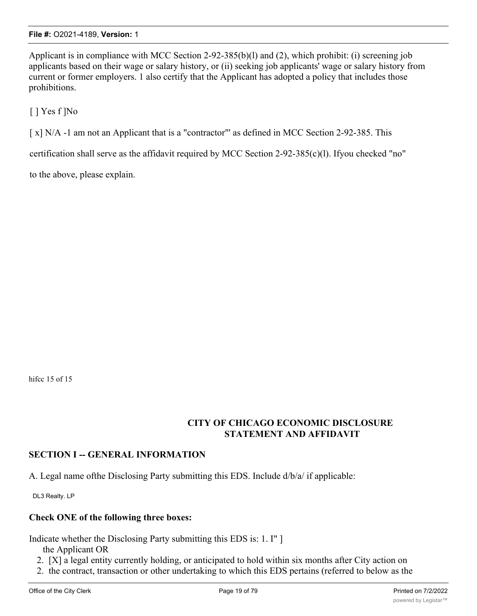Applicant is in compliance with MCC Section 2-92-385(b)(l) and (2), which prohibit: (i) screening job applicants based on their wage or salary history, or (ii) seeking job applicants' wage or salary history from current or former employers. 1 also certify that the Applicant has adopted a policy that includes those prohibitions.

[ ] Yes f ]No

[ x] N/A -1 am not an Applicant that is a "contractor"' as defined in MCC Section 2-92-385. This

certification shall serve as the affidavit required by MCC Section 2-92-385(c)(l). Ifyou checked "no"

to the above, please explain.

hifcc 15 of 15

### **CITY OF CHICAGO ECONOMIC DISCLOSURE STATEMENT AND AFFIDAVIT**

### **SECTION I -- GENERAL INFORMATION**

A. Legal name ofthe Disclosing Party submitting this EDS. Include d/b/a/ if applicable:

DL3 Realty. LP

### **Check ONE of the following three boxes:**

Indicate whether the Disclosing Party submitting this EDS is: 1. I" ]

- the Applicant OR
- 2. [X] a legal entity currently holding, or anticipated to hold within six months after City action on
- 2. the contract, transaction or other undertaking to which this EDS pertains (referred to below as the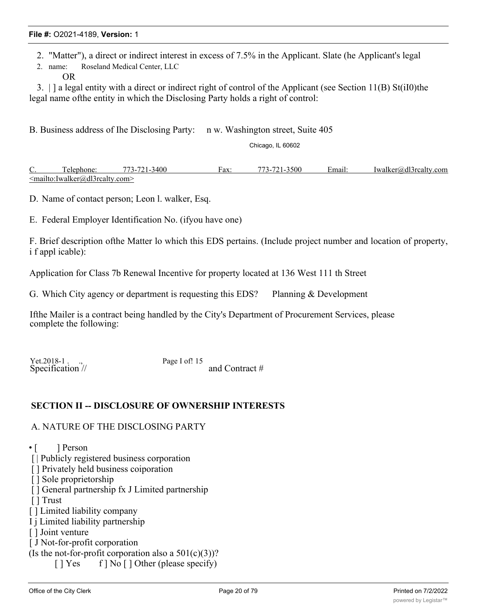2. "Matter"), a direct or indirect interest in excess of 7.5% in the Applicant. Slate (he Applicant's legal

2. name: Roseland Medical Center, LLC

OR

3. | ] a legal entity with a direct or indirect right of control of the Applicant (see Section 11(B) St(iI0)the legal name ofthe entity in which the Disclosing Party holds a right of control:

B. Business address of Ihe Disclosing Party: n w. Washington street, Suite 405

Chicago, IL 60602

C. Telephone: 773-721-3400 Fax: 773-721-3500 Email: Iwalker@dl3rcalty.com <mailto:Iwalker@dl3rcalty.com>

D. Name of contact person; Leon l. walker, Esq.

E. Federal Employer Identification No. (ifyou have one)

F. Brief description ofthe Matter lo which this EDS pertains. (Include project number and location of property, i f appl icable):

Application for Class 7b Renewal Incentive for property located at 136 West 111 th Street

G. Which City agency or department is requesting this EDS? Planning & Development

Ifthe Mailer is a contract being handled by the City's Department of Procurement Services, please complete the following:

Yet.2018-1 . ., Page I of! 15

Specification // and Contract #

### **SECTION II -- DISCLOSURE OF OWNERSHIP INTERESTS**

#### A. NATURE OF THE DISCLOSING PARTY

 $\cdot$  [ ] Person

- [ | Publicly registered business corporation
- [ ] Privately held business coiporation
- [ ] Sole proprietorship
- [ ] General partnership fx J Limited partnership

[ ] Trust

[ ] Limited liability company

- I j Limited liability partnership
- [ ] Joint venture
- [ J Not-for-profit corporation

(Is the not-for-profit corporation also a  $501(c)(3)$ )?

[ ] Yes f ] No [ ] Other (please specify)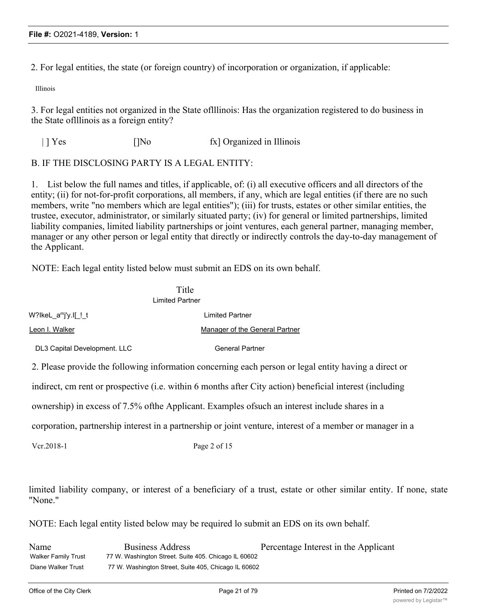2. For legal entities, the state (or foreign country) of incorporation or organization, if applicable:

Illinois

3. For legal entities not organized in the State oflllinois: Has the organization registered to do business in the State oflllinois as a foreign entity?

| | Yes []No fx] Organized in Illinois

#### B. IF THE DISCLOSING PARTY IS A LEGAL ENTITY:

Vcr.2018-1 Page 2 of 15

1. List below the full names and titles, if applicable, of: (i) all executive officers and all directors of the entity; (ii) for not-for-profit corporations, all members, if any, which are legal entities (if there are no such members, write "no members which are legal entities"); (iii) for trusts, estates or other similar entities, the trustee, executor, administrator, or similarly situated party; (iv) for general or limited partnerships, limited liability companies, limited liability partnerships or joint ventures, each general partner, managing member, manager or any other person or legal entity that directly or indirectly controls the day-to-day management of the Applicant.

NOTE: Each legal entity listed below must submit an EDS on its own behalf.

|                                                                                                           | Title<br><b>Limited Partner</b> |  |
|-----------------------------------------------------------------------------------------------------------|---------------------------------|--|
| W?lkeL a <sup>m</sup> j'y.l[!t                                                                            | <b>Limited Partner</b>          |  |
| Leon I. Walker                                                                                            | Manager of the General Partner  |  |
| DL3 Capital Development. LLC                                                                              | <b>General Partner</b>          |  |
| 2. Please provide the following information concerning each person or legal entity having a direct or     |                                 |  |
| indirect, cm rent or prospective (i.e. within 6 months after City action) beneficial interest (including  |                                 |  |
| ownership) in excess of 7.5% of the Applicant. Examples of such an interest include shares in a           |                                 |  |
| corporation, partnership interest in a partnership or joint venture, interest of a member or manager in a |                                 |  |
|                                                                                                           |                                 |  |

limited liability company, or interest of a beneficiary of a trust, estate or other similar entity. If none, state "None."

NOTE: Each legal entity listed below may be required lo submit an EDS on its own behalf.

Name Business Address Percentage Interest in the Applicant Walker Family Trust 77 W. Washington Street. Suite 405. Chicago IL 60602 Diane Walker Trust 77 W. Washington Street, Suite 405, Chicago IL 60602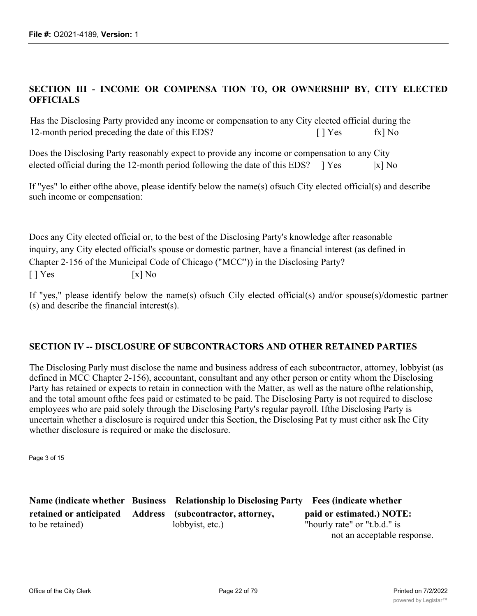## **SECTION III - INCOME OR COMPENSA TION TO, OR OWNERSHIP BY, CITY ELECTED OFFICIALS**

Has the Disclosing Party provided any income or compensation to any City elected official during the 12-month period preceding the date of this EDS? [ ] Yes fx] No

| Does the Disclosing Party reasonably expect to provide any income or compensation to any City |  |                    |
|-----------------------------------------------------------------------------------------------|--|--------------------|
| elected official during the 12-month period following the date of this EDS?   [ Yes           |  | $\vert x \vert$ No |

If "yes" lo either ofthe above, please identify below the name(s) ofsuch City elected official(s) and describe such income or compensation:

Docs any City elected official or, to the best of the Disclosing Party's knowledge after reasonable inquiry, any City elected official's spouse or domestic partner, have a financial interest (as defined in Chapter 2-156 of the Municipal Code of Chicago ("MCC")) in the Disclosing Party?  $[ ] Yes$   $[x] No$ 

If "yes," please identify below the name(s) ofsuch Cily elected official(s) and/or spouse(s)/domestic partner (s) and describe the financial intcrest(s).

### **SECTION IV -- DISCLOSURE OF SUBCONTRACTORS AND OTHER RETAINED PARTIES**

The Disclosing Parly must disclose the name and business address of each subcontractor, attorney, lobbyist (as defined in MCC Chapter 2-156), accountant, consultant and any other person or entity whom the Disclosing Party has retained or expects to retain in connection with the Matter, as well as the nature ofthe relationship, and the total amount ofthe fees paid or estimated to be paid. The Disclosing Party is not required to disclose employees who are paid solely through the Disclosing Party's regular payroll. Ifthe Disclosing Party is uncertain whether a disclosure is required under this Section, the Disclosing Pat ty must cither ask Ihe City whether disclosure is required or make the disclosure.

Page 3 of 15

**Name (indicate whether Business Relationship lo Disclosing Party Fees (indicate whether retained or anticipated Address (subcontractor, attorney, paid or estimated.) NOTE:** to be retained) lobbyist, etc.) "hourly rate" or "t.b.d." is

not an acceptable response.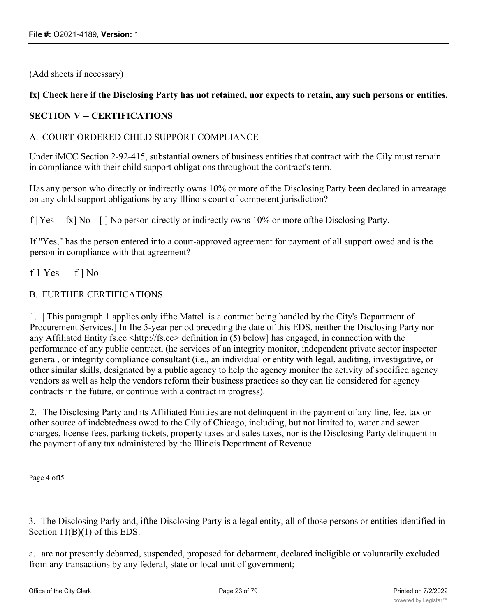(Add sheets if necessary)

# fx] Check here if the Disclosing Party has not retained, nor expects to retain, any such persons or entities.

# **SECTION V -- CERTIFICATIONS**

### A. COURT-ORDERED CHILD SUPPORT COMPLIANCE

Under iMCC Section 2-92-415, substantial owners of business entities that contract with the Cily must remain in compliance with their child support obligations throughout the contract's term.

Has any person who directly or indirectly owns 10% or more of the Disclosing Party been declared in arrearage on any child support obligations by any Illinois court of competent jurisdiction?

f | Yes fx] No  $\lceil$  | No person directly or indirectly owns 10% or more of the Disclosing Party.

If "Yes," has the person entered into a court-approved agreement for payment of all support owed and is the person in compliance with that agreement?

f 1 Yes f ] No

### B. FURTHER CERTIFICATIONS

1. This paragraph 1 applies only if the Mattel<sup>-</sup> is a contract being handled by the City's Department of Procurement Services.] In Ihe 5-year period preceding the date of this EDS, neither the Disclosing Party nor any Affiliated Entity fs.ee  $\langle$ http://fs.ee  $\rangle$  definition in (5) below] has engaged, in connection with the performance of any public contract, (he services of an integrity monitor, independent private sector inspector general, or integrity compliance consultant (i.e., an individual or entity with legal, auditing, investigative, or other similar skills, designated by a public agency to help the agency monitor the activity of specified agency vendors as well as help the vendors reform their business practices so they can lie considered for agency contracts in the future, or continue with a contract in progress).

2. The Disclosing Party and its Affiliated Entities are not delinquent in the payment of any fine, fee, tax or other source of indebtedness owed to the Cily of Chicago, including, but not limited to, water and sewer charges, license fees, parking tickets, property taxes and sales taxes, nor is the Disclosing Party delinquent in the payment of any tax administered by the Illinois Department of Revenue.

Page 4 ofl5

3. The Disclosing Parly and, ifthe Disclosing Party is a legal entity, all of those persons or entities identified in Section 11(B)(1) of this EDS:

a. arc not presently debarred, suspended, proposed for debarment, declared ineligible or voluntarily excluded from any transactions by any federal, state or local unit of government;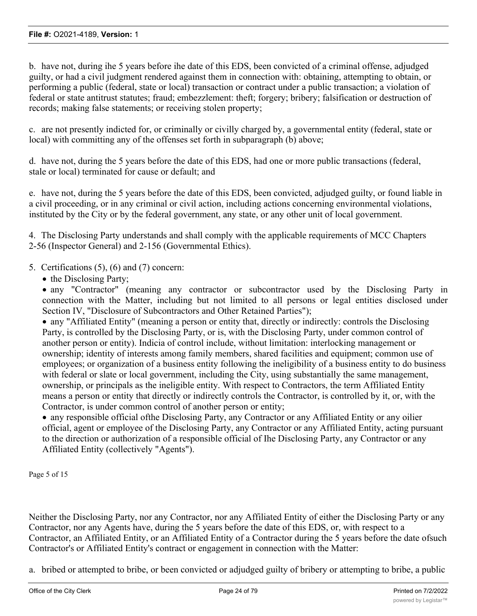b. have not, during ihe 5 years before ihe date of this EDS, been convicted of a criminal offense, adjudged guilty, or had a civil judgment rendered against them in connection with: obtaining, attempting to obtain, or performing a public (federal, state or local) transaction or contract under a public transaction; a violation of federal or state antitrust statutes; fraud; embezzlement: theft; forgery; bribery; falsification or destruction of records; making false statements; or receiving stolen property;

c. are not presently indicted for, or criminally or civilly charged by, a governmental entity (federal, state or local) with committing any of the offenses set forth in subparagraph (b) above;

d. have not, during the 5 years before the date of this EDS, had one or more public transactions (federal, stale or local) terminated for cause or default; and

e. have not, during the 5 years before the date of this EDS, been convicted, adjudged guilty, or found liable in a civil proceeding, or in any criminal or civil action, including actions concerning environmental violations, instituted by the City or by the federal government, any state, or any other unit of local government.

4. The Disclosing Party understands and shall comply with the applicable requirements of MCC Chapters 2-56 (Inspector General) and 2-156 (Governmental Ethics).

# 5. Certifications (5), (6) and (7) concern:

• the Disclosing Party;

· any "Contractor" (meaning any contractor or subcontractor used by the Disclosing Party in connection with the Matter, including but not limited to all persons or legal entities disclosed under Section IV, "Disclosure of Subcontractors and Other Retained Parties");

· any "Affiliated Entity" (meaning a person or entity that, directly or indirectly: controls the Disclosing Party, is controlled by the Disclosing Party, or is, with the Disclosing Party, under common control of another person or entity). Indicia of control include, without limitation: interlocking management or ownership; identity of interests among family members, shared facilities and equipment; common use of employees; or organization of a business entity following the ineligibility of a business entity to do business with federal or slate or local government, including the City, using substantially the same management, ownership, or principals as the ineligible entity. With respect to Contractors, the term Affiliated Entity means a person or entity that directly or indirectly controls the Contractor, is controlled by it, or, with the Contractor, is under common control of another person or entity;

· any responsible official ofthe Disclosing Party, any Contractor or any Affiliated Entity or any oilier official, agent or employee of the Disclosing Party, any Contractor or any Affiliated Entity, acting pursuant to the direction or authorization of a responsible official of Ihe Disclosing Party, any Contractor or any Affiliated Entity (collectively "Agents").

Page 5 of 15

Neither the Disclosing Party, nor any Contractor, nor any Affiliated Entity of either the Disclosing Party or any Contractor, nor any Agents have, during the 5 years before the date of this EDS, or, with respect to a Contractor, an Affiliated Entity, or an Affiliated Entity of a Contractor during the 5 years before the date ofsuch Contractor's or Affiliated Entity's contract or engagement in connection with the Matter:

a. bribed or attempted to bribe, or been convicted or adjudged guilty of bribery or attempting to bribe, a public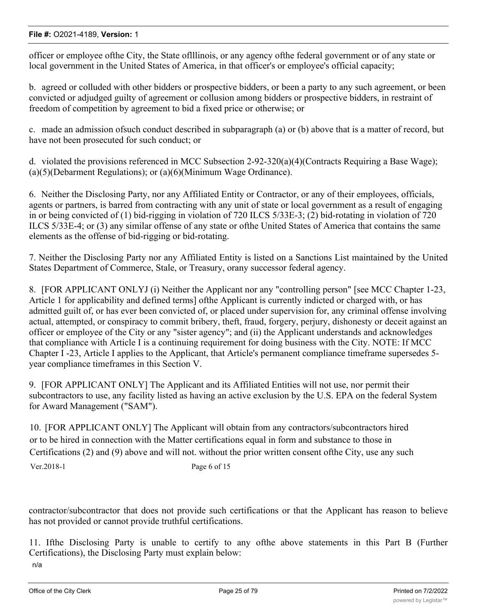officer or employee ofthe City, the State oflllinois, or any agency ofthe federal government or of any state or local government in the United States of America, in that officer's or employee's official capacity;

b. agreed or colluded with other bidders or prospective bidders, or been a party to any such agreement, or been convicted or adjudged guilty of agreement or collusion among bidders or prospective bidders, in restraint of freedom of competition by agreement to bid a fixed price or otherwise; or

c. made an admission ofsuch conduct described in subparagraph (a) or (b) above that is a matter of record, but have not been prosecuted for such conduct; or

d. violated the provisions referenced in MCC Subsection 2-92-320(a)(4)(Contracts Requiring a Base Wage); (a)(5)(Debarment Regulations); or (a)(6)(Minimum Wage Ordinance).

6. Neither the Disclosing Party, nor any Affiliated Entity or Contractor, or any of their employees, officials, agents or partners, is barred from contracting with any unit of state or local government as a result of engaging in or being convicted of (1) bid-rigging in violation of 720 ILCS 5/33E-3; (2) bid-rotating in violation of 720 ILCS 5/33E-4; or (3) any similar offense of any state or ofthe United States of America that contains the same elements as the offense of bid-rigging or bid-rotating.

7. Neither the Disclosing Party nor any Affiliated Entity is listed on a Sanctions List maintained by the United States Department of Commerce, Stale, or Treasury, orany successor federal agency.

8. [FOR APPLICANT ONLYJ (i) Neither the Applicant nor any "controlling person" [see MCC Chapter 1-23, Article 1 for applicability and defined terms] ofthe Applicant is currently indicted or charged with, or has admitted guilt of, or has ever been convicted of, or placed under supervision for, any criminal offense involving actual, attempted, or conspiracy to commit bribery, theft, fraud, forgery, perjury, dishonesty or deceit against an officer or employee of the City or any "sister agency"; and (ii) the Applicant understands and acknowledges that compliance with Article I is a continuing requirement for doing business with the City. NOTE: If MCC Chapter I -23, Article I applies to the Applicant, that Article's permanent compliance timeframe supersedes 5 year compliance timeframes in this Section V.

9. [FOR APPLICANT ONLY] The Applicant and its Affiliated Entities will not use, nor permit their subcontractors to use, any facility listed as having an active exclusion by the U.S. EPA on the federal System for Award Management ("SAM").

10. [FOR APPLICANT ONLY] The Applicant will obtain from any contractors/subcontractors hired or to be hired in connection with the Matter certifications equal in form and substance to those in Certifications (2) and (9) above and will not. without the prior written consent ofthe City, use any such Ver.2018-1 Page 6 of 15

contractor/subcontractor that does not provide such certifications or that the Applicant has reason to believe has not provided or cannot provide truthful certifications.

11. Ifthe Disclosing Party is unable to certify to any ofthe above statements in this Part B (Further Certifications), the Disclosing Party must explain below:

n/a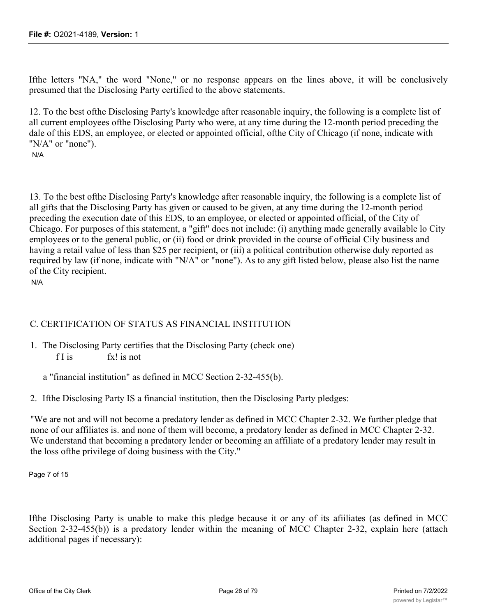Ifthe letters "NA," the word "None," or no response appears on the lines above, it will be conclusively presumed that the Disclosing Party certified to the above statements.

12. To the best ofthe Disclosing Party's knowledge after reasonable inquiry, the following is a complete list of all current employees ofthe Disclosing Party who were, at any time during the 12-month period preceding the dale of this EDS, an employee, or elected or appointed official, ofthe City of Chicago (if none, indicate with "N/A" or "none").

N/A

13. To the best ofthe Disclosing Party's knowledge after reasonable inquiry, the following is a complete list of all gifts that the Disclosing Party has given or caused to be given, at any time during the 12-month period preceding the execution date of this EDS, to an employee, or elected or appointed official, of the City of Chicago. For purposes of this statement, a "gift" does not include: (i) anything made generally available lo City employees or to the general public, or (ii) food or drink provided in the course of official Cily business and having a retail value of less than \$25 per recipient, or (iii) a political contribution otherwise duly reported as required by law (if none, indicate with "N/A" or "none"). As to any gift listed below, please also list the name of the City recipient.

N/A

# C. CERTIFICATION OF STATUS AS FINANCIAL INSTITUTION

1. The Disclosing Party certifies that the Disclosing Party (check one) f I is fx! is not

a "financial institution" as defined in MCC Section 2-32-455(b).

2. Ifthe Disclosing Party IS a financial institution, then the Disclosing Party pledges:

"We are not and will not become a predatory lender as defined in MCC Chapter 2-32. We further pledge that none of our affiliates is. and none of them will become, a predatory lender as defined in MCC Chapter 2-32. We understand that becoming a predatory lender or becoming an affiliate of a predatory lender may result in the loss ofthe privilege of doing business with the City."

Page 7 of 15

Ifthe Disclosing Party is unable to make this pledge because it or any of its afiiliates (as defined in MCC Section 2-32-455(b)) is a predatory lender within the meaning of MCC Chapter 2-32, explain here (attach additional pages if necessary):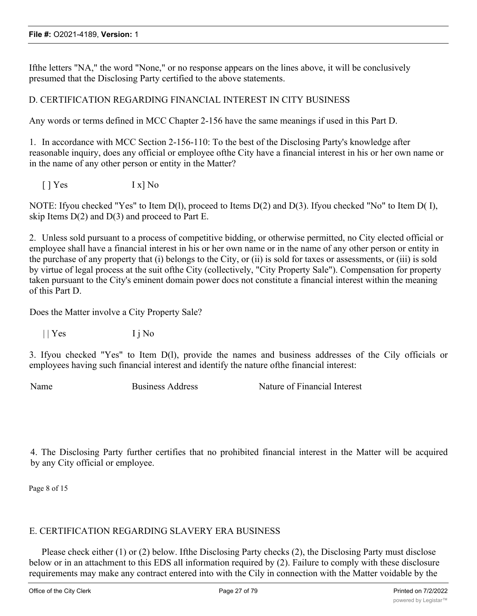Ifthe letters "NA," the word "None," or no response appears on the lines above, it will be conclusively presumed that the Disclosing Party certified to the above statements.

### D. CERTIFICATION REGARDING FINANCIAL INTEREST IN CITY BUSINESS

Any words or terms defined in MCC Chapter 2-156 have the same meanings if used in this Part D.

1. In accordance with MCC Section 2-156-110: To the best of the Disclosing Party's knowledge after reasonable inquiry, does any official or employee ofthe City have a financial interest in his or her own name or in the name of any other person or entity in the Matter?

[ ] Yes I x] No

NOTE: Ifyou checked "Yes" to Item D(1), proceed to Items D(2) and D(3). Ifyou checked "No" to Item D(1), skip Items  $D(2)$  and  $D(3)$  and proceed to Part E.

2. Unless sold pursuant to a process of competitive bidding, or otherwise permitted, no City elected official or employee shall have a financial interest in his or her own name or in the name of any other person or entity in the purchase of any property that (i) belongs to the City, or (ii) is sold for taxes or assessments, or (iii) is sold by virtue of legal process at the suit ofthe City (collectively, "City Property Sale"). Compensation for property taken pursuant to the City's eminent domain power docs not constitute a financial interest within the meaning of this Part D.

Does the Matter involve a City Property Sale?

 $||$  Yes  $I$  j No

3. Ifyou checked "Yes" to Item D(l), provide the names and business addresses of the Cily officials or employees having such financial interest and identify the nature ofthe financial interest:

Name Business Address Nature of Financial Interest

4. The Disclosing Party further certifies that no prohibited financial interest in the Matter will be acquired by any City official or employee.

Page 8 of 15

### E. CERTIFICATION REGARDING SLAVERY ERA BUSINESS

Please check either (1) or (2) below. Ifthe Disclosing Party checks (2), the Disclosing Party must disclose below or in an attachment to this EDS all information required by (2). Failure to comply with these disclosure requirements may make any contract entered into with the Cily in connection with the Matter voidable by the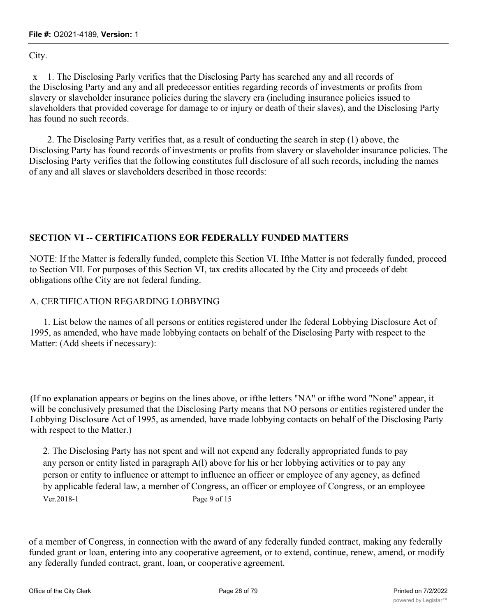City.

x 1. The Disclosing Parly verifies that the Disclosing Party has searched any and all records of the Disclosing Party and any and all predecessor entities regarding records of investments or profits from slavery or slaveholder insurance policies during the slavery era (including insurance policies issued to slaveholders that provided coverage for damage to or injury or death of their slaves), and the Disclosing Party has found no such records.

2. The Disclosing Party verifies that, as a result of conducting the search in step (1) above, the Disclosing Party has found records of investments or profits from slavery or slaveholder insurance policies. The Disclosing Party verifies that the following constitutes full disclosure of all such records, including the names of any and all slaves or slaveholders described in those records:

# **SECTION VI -- CERTIFICATIONS EOR FEDERALLY FUNDED MATTERS**

NOTE: If the Matter is federally funded, complete this Section VI. Ifthe Matter is not federally funded, proceed to Section VII. For purposes of this Section VI, tax credits allocated by the City and proceeds of debt obligations ofthe City are not federal funding.

# A. CERTIFICATION REGARDING LOBBYING

1. List below the names of all persons or entities registered under Ihe federal Lobbying Disclosure Act of 1995, as amended, who have made lobbying contacts on behalf of the Disclosing Party with respect to the Matter: (Add sheets if necessary):

(If no explanation appears or begins on the lines above, or ifthe letters "NA" or ifthe word "None" appear, it will be conclusively presumed that the Disclosing Party means that NO persons or entities registered under the Lobbying Disclosure Act of 1995, as amended, have made lobbying contacts on behalf of the Disclosing Party with respect to the Matter.)

2. The Disclosing Party has not spent and will not expend any federally appropriated funds to pay any person or entity listed in paragraph A(l) above for his or her lobbying activities or to pay any person or entity to influence or attempt to influence an officer or employee of any agency, as defined by applicable federal law, a member of Congress, an officer or employee of Congress, or an employee Ver. 2018-1 Page 9 of 15

of a member of Congress, in connection with the award of any federally funded contract, making any federally funded grant or loan, entering into any cooperative agreement, or to extend, continue, renew, amend, or modify any federally funded contract, grant, loan, or cooperative agreement.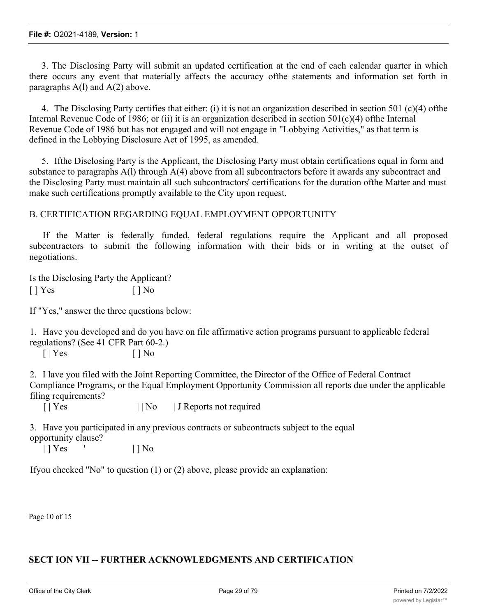3. The Disclosing Party will submit an updated certification at the end of each calendar quarter in which there occurs any event that materially affects the accuracy ofthe statements and information set forth in paragraphs  $A(1)$  and  $A(2)$  above.

4. The Disclosing Party certifies that either: (i) it is not an organization described in section 501 (c)(4) ofthe Internal Revenue Code of 1986; or (ii) it is an organization described in section  $501(c)(4)$  ofthe Internal Revenue Code of 1986 but has not engaged and will not engage in "Lobbying Activities," as that term is defined in the Lobbying Disclosure Act of 1995, as amended.

5. Ifthe Disclosing Party is the Applicant, the Disclosing Party must obtain certifications equal in form and substance to paragraphs A(l) through A(4) above from all subcontractors before it awards any subcontract and the Disclosing Party must maintain all such subcontractors' certifications for the duration ofthe Matter and must make such certifications promptly available to the City upon request.

### B. CERTIFICATION REGARDING EQUAL EMPLOYMENT OPPORTUNITY

If the Matter is federally funded, federal regulations require the Applicant and all proposed subcontractors to submit the following information with their bids or in writing at the outset of negotiations.

Is the Disclosing Party the Applicant?  $[ ]$  Yes  $[ ]$  No

If "Yes," answer the three questions below:

1. Have you developed and do you have on file affirmative action programs pursuant to applicable federal regulations? (See 41 CFR Part 60-2.)

 $[ | Yes \t\t | ] No$ 

2. I lave you filed with the Joint Reporting Committee, the Director of the Office of Federal Contract Compliance Programs, or the Equal Employment Opportunity Commission all reports due under the applicable filing requirements?

[ | Yes | | No | J Reports not required

3. Have you participated in any previous contracts or subcontracts subject to the equal opportunity clause?

| | **| Yes**  $\qquad$  | | No

Ifyou checked "No" to question (1) or (2) above, please provide an explanation:

Page 10 of 15

# **SECT ION VII -- FURTHER ACKNOWLEDGMENTS AND CERTIFICATION**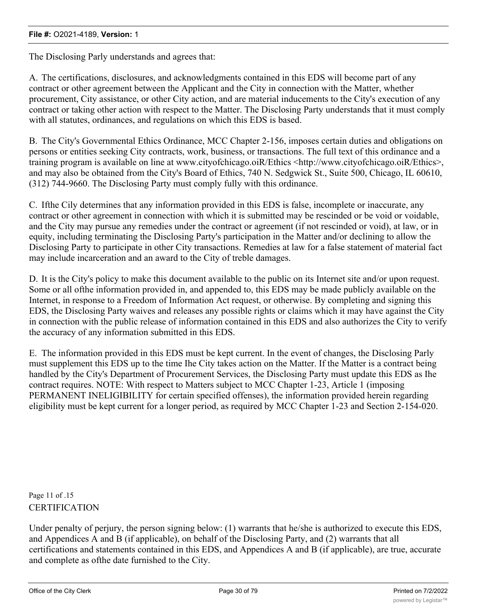The Disclosing Parly understands and agrees that:

A. The certifications, disclosures, and acknowledgments contained in this EDS will become part of any contract or other agreement between the Applicant and the City in connection with the Matter, whether procurement, City assistance, or other City action, and are material inducements to the City's execution of any contract or taking other action with respect to the Matter. The Disclosing Party understands that it must comply with all statutes, ordinances, and regulations on which this EDS is based.

B. The City's Governmental Ethics Ordinance, MCC Chapter 2-156, imposes certain duties and obligations on persons or entities seeking City contracts, work, business, or transactions. The full text of this ordinance and a training program is available on line at www.cityofchicago.oiR/Ethics <http://www.cityofchicago.oiR/Ethics>, and may also be obtained from the City's Board of Ethics, 740 N. Sedgwick St., Suite 500, Chicago, IL 60610, (312) 744-9660. The Disclosing Party must comply fully with this ordinance.

C. Ifthe Cily determines that any information provided in this EDS is false, incomplete or inaccurate, any contract or other agreement in connection with which it is submitted may be rescinded or be void or voidable, and the City may pursue any remedies under the contract or agreement (if not rescinded or void), at law, or in equity, including terminating the Disclosing Party's participation in the Matter and/or declining to allow the Disclosing Party to participate in other City transactions. Remedies at law for a false statement of material fact may include incarceration and an award to the City of treble damages.

D. It is the City's policy to make this document available to the public on its Internet site and/or upon request. Some or all ofthe information provided in, and appended to, this EDS may be made publicly available on the Internet, in response to a Freedom of Information Act request, or otherwise. By completing and signing this EDS, the Disclosing Party waives and releases any possible rights or claims which it may have against the City in connection with the public release of information contained in this EDS and also authorizes the City to verify the accuracy of any information submitted in this EDS.

E. The information provided in this EDS must be kept current. In the event of changes, the Disclosing Parly must supplement this EDS up to the time Ihe City takes action on the Matter. If the Matter is a contract being handled by the City's Department of Procurement Services, the Disclosing Party must update this EDS as Ihe contract requires. NOTE: With respect to Matters subject to MCC Chapter 1-23, Article 1 (imposing PERMANENT INELIGIBILITY for certain specified offenses), the information provided herein regarding eligibility must be kept current for a longer period, as required by MCC Chapter 1-23 and Section 2-154-020.

Page 11 of .15 CERTIFICATION

Under penalty of perjury, the person signing below: (1) warrants that he/she is authorized to execute this EDS, and Appendices A and B (if applicable), on behalf of the Disclosing Party, and (2) warrants that all certifications and statements contained in this EDS, and Appendices A and B (if applicable), are true, accurate and complete as ofthe date furnished to the City.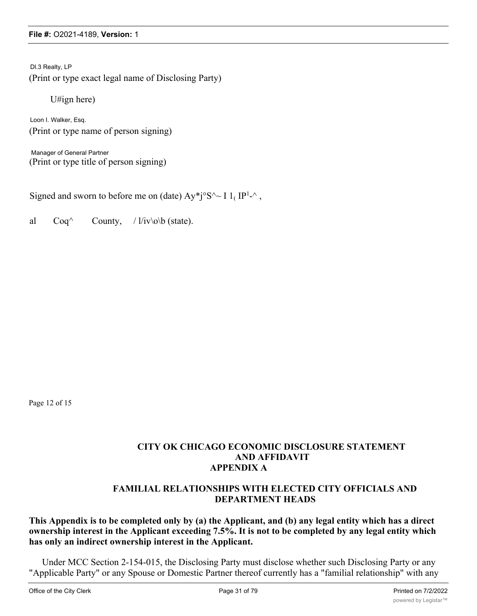Dl.3 Realty, LP (Print or type exact legal name of Disclosing Party)

U#ign here)

Loon I. Walker, Esq. (Print or type name of person signing)

Manager of General Partner (Print or type title of person signing)

Signed and sworn to before me on (date)  $Ay^*j^0S^2 \sim I 1_I IP^{1-2}$ ,

al  $Coq^{\wedge}$  County, / l/iv\o\b (state).

Page 12 of 15

## **CITY OK CHICAGO ECONOMIC DISCLOSURE STATEMENT AND AFFIDAVIT APPENDIX A**

# **FAMILIAL RELATIONSHIPS WITH ELECTED CITY OFFICIALS AND DEPARTMENT HEADS**

### **This Appendix is to be completed only by (a) the Applicant, and (b) any legal entity which has a direct ownership interest in the Applicant exceeding 7.5%. It is not to be completed by any legal entity which has only an indirect ownership interest in the Applicant.**

Under MCC Section 2-154-015, the Disclosing Party must disclose whether such Disclosing Party or any "Applicable Party" or any Spouse or Domestic Partner thereof currently has a "familial relationship" with any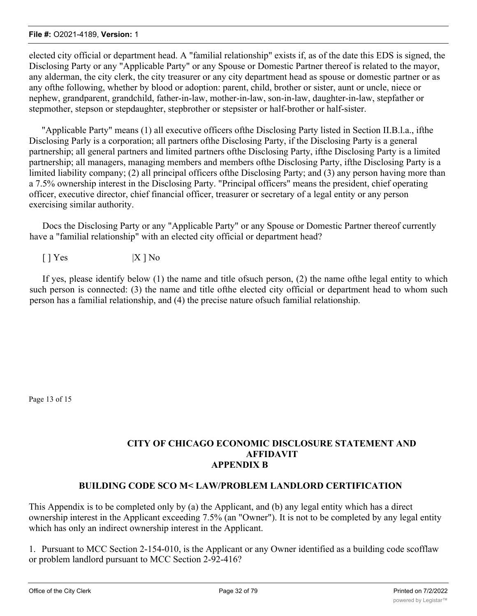elected city official or department head. A "familial relationship" exists if, as of the date this EDS is signed, the Disclosing Party or any "Applicable Party" or any Spouse or Domestic Partner thereof is related to the mayor, any alderman, the city clerk, the city treasurer or any city department head as spouse or domestic partner or as any ofthe following, whether by blood or adoption: parent, child, brother or sister, aunt or uncle, niece or nephew, grandparent, grandchild, father-in-law, mother-in-law, son-in-law, daughter-in-law, stepfather or stepmother, stepson or stepdaughter, stepbrother or stepsister or half-brother or half-sister.

"Applicable Party" means (1) all executive officers ofthe Disclosing Party listed in Section II.B.l.a., ifthe Disclosing Parly is a corporation; all partners ofthe Disclosing Party, if the Disclosing Party is a general partnership; all general partners and limited partners ofthe Disclosing Party, ifthe Disclosing Party is a limited partnership; all managers, managing members and members ofthe Disclosing Party, ifthe Disclosing Party is a limited liability company; (2) all principal officers of the Disclosing Party; and (3) any person having more than a 7.5% ownership interest in the Disclosing Party. "Principal officers" means the president, chief operating officer, executive director, chief financial officer, treasurer or secretary of a legal entity or any person exercising similar authority.

Docs the Disclosing Party or any "Applicable Party" or any Spouse or Domestic Partner thereof currently have a "familial relationship" with an elected city official or department head?

 $[ ] Yes$   $] X ] No$ 

If yes, please identify below (1) the name and title ofsuch person, (2) the name ofthe legal entity to which such person is connected: (3) the name and title ofthe elected city official or department head to whom such person has a familial relationship, and (4) the precise nature ofsuch familial relationship.

Page 13 of 15

### **CITY OF CHICAGO ECONOMIC DISCLOSURE STATEMENT AND AFFIDAVIT APPENDIX B**

# **BUILDING CODE SCO M< LAW/PROBLEM LANDLORD CERTIFICATION**

This Appendix is to be completed only by (a) the Applicant, and (b) any legal entity which has a direct ownership interest in the Applicant exceeding 7.5% (an "Owner"). It is not to be completed by any legal entity which has only an indirect ownership interest in the Applicant.

1. Pursuant to MCC Section 2-154-010, is the Applicant or any Owner identified as a building code scofflaw or problem landlord pursuant to MCC Section 2-92-416?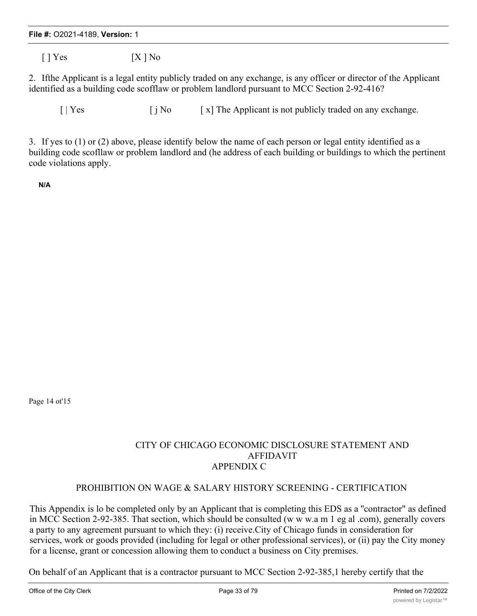$[ ] Yes$   $[X ] No$ 

2. Ifthe Applicant is a legal entity publicly traded on any exchange, is any officer or director of the Applicant identified as a building code scofflaw or problem landlord pursuant to MCC Section 2-92-416?

 $\begin{bmatrix} | \text{Yes} \\ | \text{No} \\ | \text{No} \\ | \text{No} \\ | \text{The Applicant is not publicly traded on any exchange.} \end{bmatrix}$ 

3. If yes to (1) or (2) above, please identify below the name of each person or legal entity identified as a building code scofllaw or problem landlord and (he address of each building or buildings to which the pertinent code violations apply.

**N/A**

Page 14 ot'15

# CITY OF CHICAGO ECONOMIC DISCLOSURE STATEMENT AND AFFIDAVIT APPENDIX C

# PROHIBITION ON WAGE & SALARY HISTORY SCREENING - CERTIFICATION

This Appendix is lo be completed only by an Applicant that is completing this EDS as a ''contractor" as defined in MCC Section 2-92-385. That section, which should be consulted (w w w.a m 1 eg al .com), generally covers a party to any agreement pursuant to which they: (i) receive.City of Chicago funds in consideration for services, work or goods provided (including for legal or other professional services), or (ii) pay the City money for a license, grant or concession allowing them to conduct a business on City premises.

On behalf of an Applicant that is a contractor pursuant to MCC Section 2-92-385,1 hereby certify that the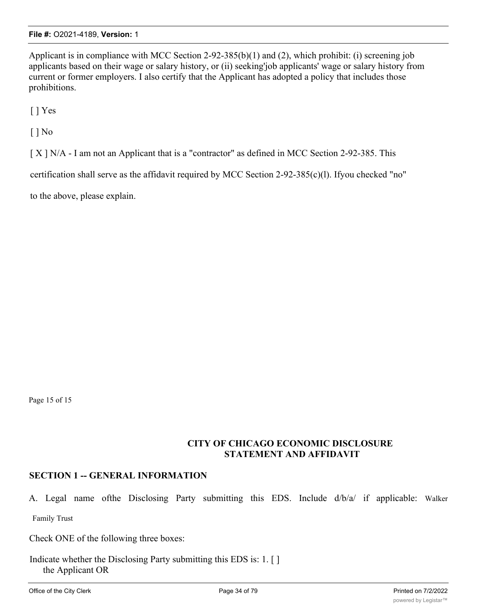Applicant is in compliance with MCC Section 2-92-385(b)(1) and (2), which prohibit: (i) screening job applicants based on their wage or salary history, or (ii) seeking'job applicants' wage or salary history from current or former employers. I also certify that the Applicant has adopted a policy that includes those prohibitions.

[ ] Yes

[ ] No

[ X ] N/A - I am not an Applicant that is a "contractor" as defined in MCC Section 2-92-385. This

certification shall serve as the affidavit required by MCC Section 2-92-385(c)(l). Ifyou checked "no"

to the above, please explain.

Page 15 of 15

### **CITY OF CHICAGO ECONOMIC DISCLOSURE STATEMENT AND AFFIDAVIT**

# **SECTION 1 -- GENERAL INFORMATION**

A. Legal name ofthe Disclosing Party submitting this EDS. Include d/b/a/ if applicable: Walker Family Trust

Check ONE of the following three boxes:

Indicate whether the Disclosing Party submitting this EDS is: 1. [ ] the Applicant OR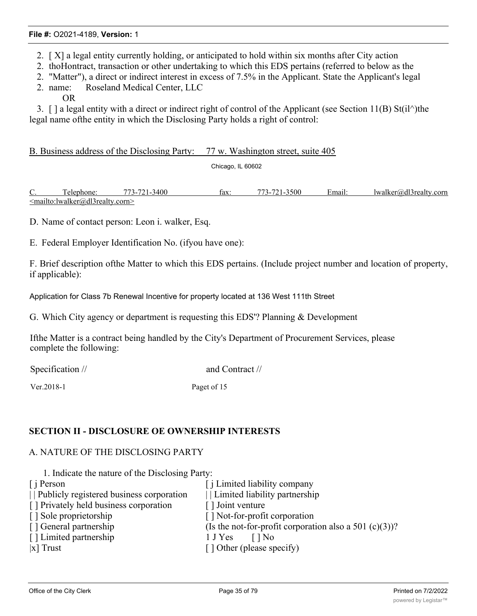- 2. [ X] a legal entity currently holding, or anticipated to hold within six months after City action
- 2. thoHontract, transaction or other undertaking to which this EDS pertains (referred to below as the
- 2. "Matter"), a direct or indirect interest in excess of 7.5% in the Applicant. State the Applicant's legal
- 2. name: Roseland Medical Center, LLC OR

3. [ ] a legal entity with a direct or indirect right of control of the Applicant (see Section 11(B) St(il^)the legal name ofthe entity in which the Disclosing Party holds a right of control:

B. Business address of the Disclosing Party: 77 w. Washington street, suite 405

Chicago, IL 60602

C. Telephone: 773-721-3400 fax: 773-721-3500 Email: lwalker@dl3realty.corn <mailto:lwalker@dl3realty.corn>

D. Name of contact person: Leon i. walker, Esq.

E. Federal Employer Identification No. (ifyou have one):

F. Brief description ofthe Matter to which this EDS pertains. (Include project number and location of property, if applicable):

Application for Class 7b Renewal Incentive for property located at 136 West 111th Street

G. Which City agency or department is requesting this EDS'? Planning & Development

Ifthe Matter is a contract being handled by the City's Department of Procurement Services, please complete the following:

Specification // and Contract //

Ver.2018-1 Paget of 15

### **SECTION II - DISCLOSURE OE OWNERSHIP INTERESTS**

#### A. NATURE OF THE DISCLOSING PARTY

1. Indicate the nature of the Disclosing Party:

| $\int$ i Person                          | [ <i>i</i> Limited liability company                   |
|------------------------------------------|--------------------------------------------------------|
| Publicly registered business corporation | Limited liability partnership                          |
| [] Privately held business corporation   | [] Joint venture                                       |
| [] Sole proprietorship                   | [] Not-for-profit corporation                          |
| [] General partnership                   | (Is the not-for-profit corporation also a 501 (c)(3))? |
| [] Limited partnership                   | 1 J Yes<br>$\Box$ No                                   |
| $ x $ Trust                              | [] Other (please specify)                              |
|                                          |                                                        |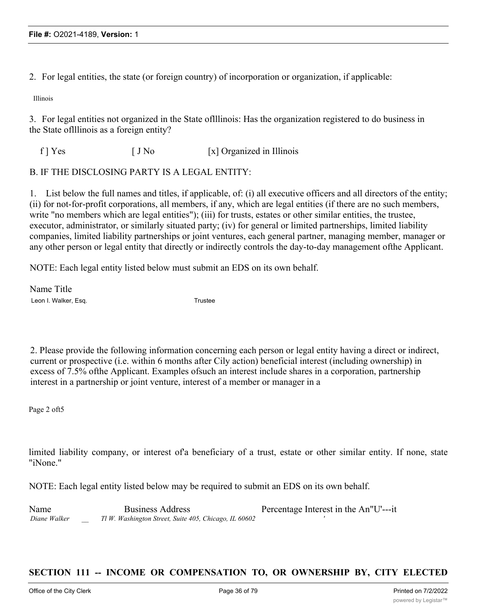2. For legal entities, the state (or foreign country) of incorporation or organization, if applicable:

Illinois

3. For legal entities not organized in the State oflllinois: Has the organization registered to do business in the State oflllinois as a foreign entity?

 $f$  ]  $Y$ es  $[J N_0$  [x] Organized in Illinois

#### B. IF THE DISCLOSING PARTY IS A LEGAL ENTITY:

1. List below the full names and titles, if applicable, of: (i) all executive officers and all directors of the entity; (ii) for not-for-profit corporations, all members, if any, which are legal entities (if there are no such members, write "no members which are legal entities"); (iii) for trusts, estates or other similar entities, the trustee, executor, administrator, or similarly situated party; (iv) for general or limited partnerships, limited liability companies, limited liability partnerships or joint ventures, each general partner, managing member, manager or any other person or legal entity that directly or indirectly controls the day-to-day management ofthe Applicant.

NOTE: Each legal entity listed below must submit an EDS on its own behalf.

Name Title Leon I. Walker, Esq. The Contract of the Contract of Trustee

2. Please provide the following information concerning each person or legal entity having a direct or indirect, current or prospective (i.e. within 6 months after Cily action) beneficial interest (including ownership) in excess of 7.5% ofthe Applicant. Examples ofsuch an interest include shares in a corporation, partnership interest in a partnership or joint venture, interest of a member or manager in a

Page 2 oft5

limited liability company, or interest of a beneficiary of a trust, estate or other similar entity. If none, state "iNone."

NOTE: Each legal entity listed below may be required to submit an EDS on its own behalf.

Name Business Address **Percentage Interest in the An** I<sup>I</sup>U'---it *Diane Walker \_\_ Tl W. Washington Street, Suite 405, Chicago, IL 60602 '*

### **SECTION 111 -- INCOME OR COMPENSATION TO, OR OWNERSHIP BY, CITY ELECTED**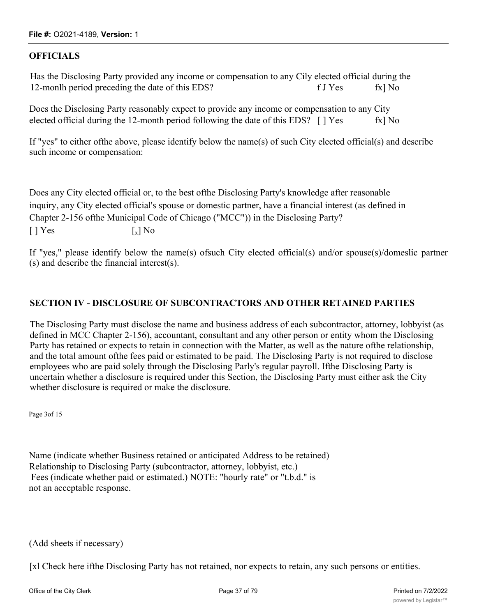## **OFFICIALS**

Has the Disclosing Party provided any income or compensation to any Cily elected official during the 12-monlh period preceding the date of this EDS? f J Yes fx] No

Does the Disclosing Party reasonably expect to provide any income or compensation to any City elected official during the 12-month period following the date of this EDS?  $\lceil$  | Yes fx] No

If "yes" to either ofthe above, please identify below the name(s) of such City elected official(s) and describe such income or compensation:

Does any City elected official or, to the best ofthe Disclosing Party's knowledge after reasonable inquiry, any City elected official's spouse or domestic partner, have a financial interest (as defined in Chapter 2-156 ofthe Municipal Code of Chicago ("MCC")) in the Disclosing Party?  $\lceil$  | Yes  $\lceil$  | Yes  $\lceil$  | No

If "yes," please identify below the name(s) ofsuch City elected official(s) and/or spouse(s)/domeslic partner (s) and describe the financial interest(s).

## **SECTION IV - DISCLOSURE OF SUBCONTRACTORS AND OTHER RETAINED PARTIES**

The Disclosing Party must disclose the name and business address of each subcontractor, attorney, lobbyist (as defined in MCC Chapter 2-156), accountant, consultant and any other person or entity whom the Disclosing Party has retained or expects to retain in connection with the Matter, as well as the nature ofthe relationship, and the total amount ofthe fees paid or estimated to be paid. The Disclosing Party is not required to disclose employees who are paid solely through the Disclosing Parly's regular payroll. Ifthe Disclosing Party is uncertain whether a disclosure is required under this Section, the Disclosing Party must either ask the City whether disclosure is required or make the disclosure.

Page 3of 15

Name (indicate whether Business retained or anticipated Address to be retained) Relationship to Disclosing Party (subcontractor, attorney, lobbyist, etc.) Fees (indicate whether paid or estimated.) NOTE: "hourly rate" or "t.b.d." is not an acceptable response.

## (Add sheets if necessary)

[xl Check here ifthe Disclosing Party has not retained, nor expects to retain, any such persons or entities.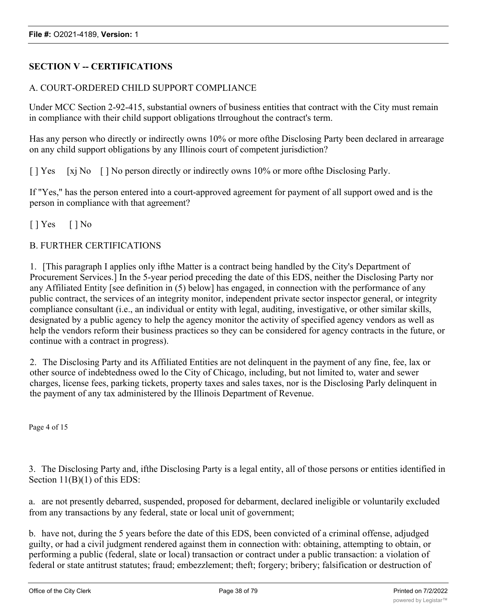# **SECTION V -- CERTIFICATIONS**

# A. COURT-ORDERED CHILD SUPPORT COMPLIANCE

Under MCC Section 2-92-415, substantial owners of business entities that contract with the City must remain in compliance with their child support obligations tlrroughout the contract's term.

Has any person who directly or indirectly owns 10% or more ofthe Disclosing Party been declared in arrearage on any child support obligations by any Illinois court of competent jurisdiction?

[ ] Yes [xj No [ ] No person directly or indirectly owns 10% or more of the Disclosing Parly.

If "Yes," has the person entered into a court-approved agreement for payment of all support owed and is the person in compliance with that agreement?

 $[$  | Yes  $[$  | No

## B. FURTHER CERTIFICATIONS

1. [This paragraph I applies only ifthe Matter is a contract being handled by the City's Department of Procurement Services.] In the 5-year period preceding the date of this EDS, neither the Disclosing Party nor any Affiliated Entity [see definition in (5) below] has engaged, in connection with the performance of any public contract, the services of an integrity monitor, independent private sector inspector general, or integrity compliance consultant (i.e., an individual or entity with legal, auditing, investigative, or other similar skills, designated by a public agency to help the agency monitor the activity of specified agency vendors as well as help the vendors reform their business practices so they can be considered for agency contracts in the future, or continue with a contract in progress).

2. The Disclosing Party and its Affiliated Entities are not delinquent in the payment of any fine, fee, lax or other source of indebtedness owed lo the City of Chicago, including, but not limited to, water and sewer charges, license fees, parking tickets, property taxes and sales taxes, nor is the Disclosing Parly delinquent in the payment of any tax administered by the Illinois Department of Revenue.

Page 4 of 15

3. The Disclosing Party and, ifthe Disclosing Party is a legal entity, all of those persons or entities identified in Section  $11(B)(1)$  of this EDS:

a. are not presently debarred, suspended, proposed for debarment, declared ineligible or voluntarily excluded from any transactions by any federal, state or local unit of government;

b. have not, during the 5 years before the date of this EDS, been convicted of a criminal offense, adjudged guilty, or had a civil judgment rendered against them in connection with: obtaining, attempting to obtain, or performing a public (federal, slate or local) transaction or contract under a public transaction: a violation of federal or state antitrust statutes; fraud; embezzlement; theft; forgery; bribery; falsification or destruction of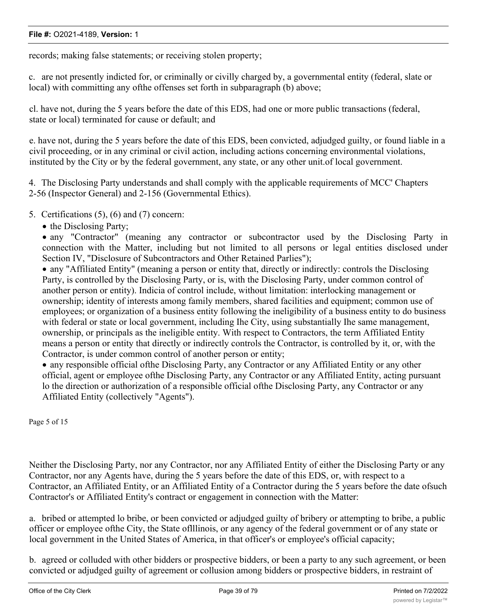records; making false statements; or receiving stolen property;

c. are not presently indicted for, or criminally or civilly charged by, a governmental entity (federal, slate or local) with committing any ofthe offenses set forth in subparagraph (b) above;

cl. have not, during the 5 years before the date of this EDS, had one or more public transactions (federal, state or local) terminated for cause or default; and

e. have not, during the 5 years before the date of this EDS, been convicted, adjudged guilty, or found liable in a civil proceeding, or in any criminal or civil action, including actions concerning environmental violations, instituted by the City or by the federal government, any state, or any other unit.of local government.

4. The Disclosing Party understands and shall comply with the applicable requirements of MCC' Chapters 2-56 (Inspector General) and 2-156 (Governmental Ethics).

- 5. Certifications (5), (6) and (7) concern:
	- the Disclosing Party;

• any "Contractor" (meaning any contractor or subcontractor used by the Disclosing Party in connection with the Matter, including but not limited to all persons or legal entities disclosed under Section IV, "Disclosure of Subcontractors and Other Retained Parlies");

· any "Affiliated Entity" (meaning a person or entity that, directly or indirectly: controls the Disclosing Party, is controlled by the Disclosing Party, or is, with the Disclosing Party, under common control of another person or entity). Indicia of control include, without limitation: interlocking management or ownership; identity of interests among family members, shared facilities and equipment; common use of employees; or organization of a business entity following the ineligibility of a business entity to do business with federal or state or local government, including Ihe City, using substantially Ihe same management, ownership, or principals as the ineligible entity. With respect to Contractors, the term Affiliated Entity means a person or entity that directly or indirectly controls the Contractor, is controlled by it, or, with the Contractor, is under common control of another person or entity;

· any responsible official ofthe Disclosing Party, any Contractor or any Affiliated Entity or any other official, agent or employee ofthe Disclosing Party, any Contractor or any Affiliated Entity, acting pursuant lo the direction or authorization of a responsible official ofthe Disclosing Party, any Contractor or any Affiliated Entity (collectively "Agents").

Page 5 of 15

Neither the Disclosing Party, nor any Contractor, nor any Affiliated Entity of either the Disclosing Party or any Contractor, nor any Agents have, during the 5 years before the date of this EDS, or, with respect to a Contractor, an Affiliated Entity, or an Affiliated Entity of a Contractor during the 5 years before the date ofsuch Contractor's or Affiliated Entity's contract or engagement in connection with the Matter:

a. bribed or attempted lo bribe, or been convicted or adjudged guilty of bribery or attempting to bribe, a public officer or employee ofthe City, the State oflllinois, or any agency of the federal government or of any state or local government in the United States of America, in that officer's or employee's official capacity;

b. agreed or colluded with other bidders or prospective bidders, or been a party to any such agreement, or been convicted or adjudged guilty of agreement or collusion among bidders or prospective bidders, in restraint of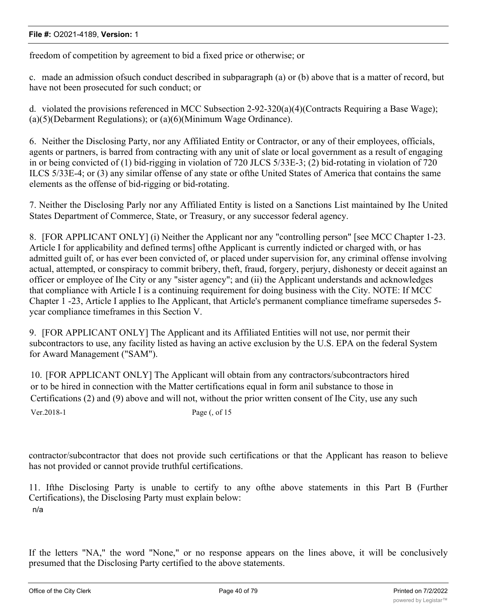freedom of competition by agreement to bid a fixed price or otherwise; or

c. made an admission ofsuch conduct described in subparagraph (a) or (b) above that is a matter of record, but have not been prosecuted for such conduct; or

d. violated the provisions referenced in MCC Subsection 2-92-320(a)(4)(Contracts Requiring a Base Wage); (a)(5)(Debarment Regulations); or (a)(6)(Minimum Wage Ordinance).

6. Neither the Disclosing Party, nor any Affiliated Entity or Contractor, or any of their employees, officials, agents or partners, is barred from contracting with any unit of slate or local government as a result of engaging in or being convicted of (1) bid-rigging in violation of 720 JLCS 5/33E-3; (2) bid-rotating in violation of 720 ILCS 5/33E-4; or (3) any similar offense of any state or ofthe United States of America that contains the same elements as the offense of bid-rigging or bid-rotating.

7. Neither the Disclosing Parly nor any Affiliated Entity is listed on a Sanctions List maintained by Ihe United States Department of Commerce, State, or Treasury, or any successor federal agency.

8. [FOR APPLICANT ONLY] (i) Neither the Applicant nor any "controlling person" [see MCC Chapter 1-23. Article I for applicability and defined terms] ofthe Applicant is currently indicted or charged with, or has admitted guilt of, or has ever been convicted of, or placed under supervision for, any criminal offense involving actual, attempted, or conspiracy to commit bribery, theft, fraud, forgery, perjury, dishonesty or deceit against an officer or employee of Ihe City or any "sister agency"; and (ii) the Applicant understands and acknowledges that compliance with Article I is a continuing requirement for doing business with the City. NOTE: If MCC Chapter 1 -23, Article I applies to Ihe Applicant, that Article's permanent compliance timeframe supersedes 5 ycar compliance timeframes in this Section V.

9. [FOR APPLICANT ONLY] The Applicant and its Affiliated Entities will not use, nor permit their subcontractors to use, any facility listed as having an active exclusion by the U.S. EPA on the federal System for Award Management ("SAM").

10. [FOR APPLICANT ONLY] The Applicant will obtain from any contractors/subcontractors hired or to be hired in connection with the Matter certifications equal in form anil substance to those in Certifications (2) and (9) above and will not, without the prior written consent of Ihe City, use any such Ver.2018-1 Page (, of 15

contractor/subcontractor that does not provide such certifications or that the Applicant has reason to believe has not provided or cannot provide truthful certifications.

11. Ifthe Disclosing Party is unable to certify to any ofthe above statements in this Part B (Further Certifications), the Disclosing Party must explain below: n/a

If the letters "NA," the word "None," or no response appears on the lines above, it will be conclusively presumed that the Disclosing Party certified to the above statements.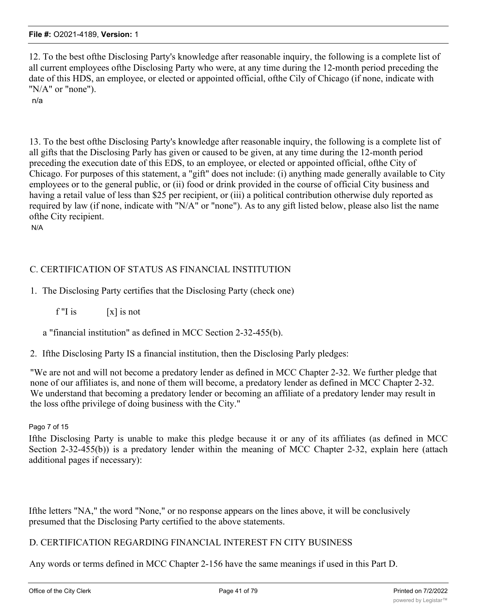12. To the best ofthe Disclosing Party's knowledge after reasonable inquiry, the following is a complete list of all current employees ofthe Disclosing Party who were, at any time during the 12-month period preceding the date of this HDS, an employee, or elected or appointed official, ofthe Cily of Chicago (if none, indicate with "N/A" or "none").

n/a

13. To the best ofthe Disclosing Party's knowledge after reasonable inquiry, the following is a complete list of all gifts that the Disclosing Parly has given or caused to be given, at any time during the 12-month period preceding the execution date of this EDS, to an employee, or elected or appointed official, ofthe City of Chicago. For purposes of this statement, a "gift" does not include: (i) anything made generally available to City employees or to the general public, or (ii) food or drink provided in the course of official City business and having a retail value of less than \$25 per recipient, or (iii) a political contribution otherwise duly reported as required by law (if none, indicate with "N/A" or "none"). As to any gift listed below, please also list the name ofthe City recipient. N/A

# C. CERTIFICATION OF STATUS AS FINANCIAL INSTITUTION

# 1. The Disclosing Party certifies that the Disclosing Party (check one)

 $f''$ I is  $[x]$  is not

a "financial institution" as defined in MCC Section 2-32-455(b).

2. Ifthe Disclosing Party IS a financial institution, then the Disclosing Parly pledges:

"We are not and will not become a predatory lender as defined in MCC Chapter 2-32. We further pledge that none of our affiliates is, and none of them will become, a predatory lender as defined in MCC Chapter 2-32. We understand that becoming a predatory lender or becoming an affiliate of a predatory lender may result in the loss ofthe privilege of doing business with the City."

## Pago 7 of 15

Ifthe Disclosing Party is unable to make this pledge because it or any of its affiliates (as defined in MCC Section 2-32-455(b)) is a predatory lender within the meaning of MCC Chapter 2-32, explain here (attach additional pages if necessary):

Ifthe letters "NA," the word "None," or no response appears on the lines above, it will be conclusively presumed that the Disclosing Party certified to the above statements.

# D. CERTIFICATION REGARDING FINANCIAL INTEREST FN CITY BUSINESS

Any words or terms defined in MCC Chapter 2-156 have the same meanings if used in this Part D.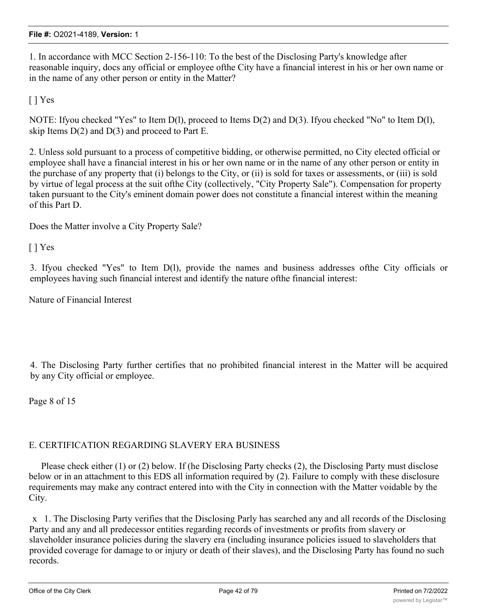1. In accordance with MCC Section 2-156-110: To the best of the Disclosing Party's knowledge after reasonable inquiry, docs any official or employee ofthe City have a financial interest in his or her own name or in the name of any other person or entity in the Matter?

[ ] Yes

NOTE: Ifyou checked "Yes" to Item D(l), proceed to Items D(2) and D(3). Ifyou checked "No" to Item D(l), skip Items  $D(2)$  and  $D(3)$  and proceed to Part E.

2. Unless sold pursuant to a process of competitive bidding, or otherwise permitted, no City elected official or employee shall have a financial interest in his or her own name or in the name of any other person or entity in the purchase of any property that (i) belongs to the City, or (ii) is sold for taxes or assessments, or (iii) is sold by virtue of legal process at the suit ofthe City (collectively, "City Property Sale"). Compensation for property taken pursuant to the City's eminent domain power does not constitute a financial interest within the meaning of this Part D.

Does the Matter involve a City Property Sale?

[ ] Yes

3. Ifyou checked "Yes" to Item D(l), provide the names and business addresses ofthe City officials or employees having such financial interest and identify the nature ofthe financial interest:

Nature of Financial Interest

4. The Disclosing Party further certifies that no prohibited financial interest in the Matter will be acquired by any City official or employee.

Page 8 of 15

## E. CERTIFICATION REGARDING SLAVERY ERA BUSINESS

Please check either (1) or (2) below. If (he Disclosing Party checks (2), the Disclosing Party must disclose below or in an attachment to this EDS all information required by (2). Failure to comply with these disclosure requirements may make any contract entered into with the City in connection with the Matter voidable by the City.

x 1. The Disclosing Party verifies that the Disclosing Parly has searched any and all records of the Disclosing Party and any and all predecessor entities regarding records of investments or profits from slavery or slaveholder insurance policies during the slavery era (including insurance policies issued to slaveholders that provided coverage for damage to or injury or death of their slaves), and the Disclosing Party has found no such records.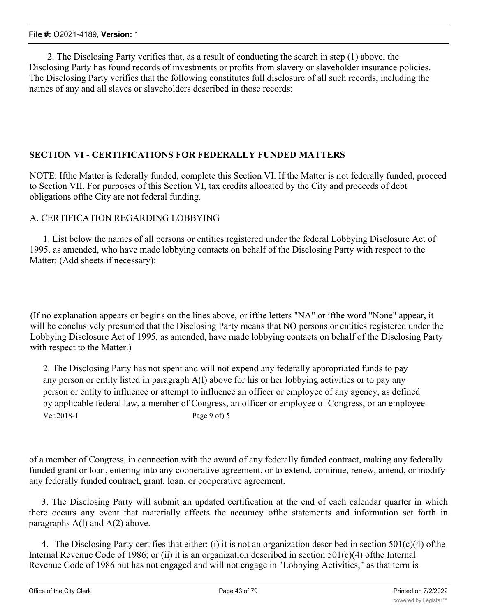2. The Disclosing Party verifies that, as a result of conducting the search in step (1) above, the Disclosing Party has found records of investments or profits from slavery or slaveholder insurance policies. The Disclosing Party verifies that the following constitutes full disclosure of all such records, including the names of any and all slaves or slaveholders described in those records:

# **SECTION VI - CERTIFICATIONS FOR FEDERALLY FUNDED MATTERS**

NOTE: Ifthe Matter is federally funded, complete this Section VI. If the Matter is not federally funded, proceed to Section VII. For purposes of this Section VI, tax credits allocated by the City and proceeds of debt obligations ofthe City are not federal funding.

## A. CERTIFICATION REGARDING LOBBYING

1. List below the names of all persons or entities registered under the federal Lobbying Disclosure Act of 1995. as amended, who have made lobbying contacts on behalf of the Disclosing Party with respect to the Matter: (Add sheets if necessary):

(If no explanation appears or begins on the lines above, or ifthe letters "NA" or ifthe word "None" appear, it will be conclusively presumed that the Disclosing Party means that NO persons or entities registered under the Lobbying Disclosure Act of 1995, as amended, have made lobbying contacts on behalf of the Disclosing Party with respect to the Matter.)

2. The Disclosing Party has not spent and will not expend any federally appropriated funds to pay any person or entity listed in paragraph A(l) above for his or her lobbying activities or to pay any person or entity to influence or attempt to influence an officer or employee of any agency, as defined by applicable federal law, a member of Congress, an officer or employee of Congress, or an employee Ver.2018-1 Page 9 of) 5

of a member of Congress, in connection with the award of any federally funded contract, making any federally funded grant or loan, entering into any cooperative agreement, or to extend, continue, renew, amend, or modify any federally funded contract, grant, loan, or cooperative agreement.

3. The Disclosing Party will submit an updated certification at the end of each calendar quarter in which there occurs any event that materially affects the accuracy ofthe statements and information set forth in paragraphs A(l) and A(2) above.

4. The Disclosing Party certifies that either: (i) it is not an organization described in section  $501(c)(4)$  ofthe Internal Revenue Code of 1986; or (ii) it is an organization described in section  $501(c)(4)$  ofthe Internal Revenue Code of 1986 but has not engaged and will not engage in "Lobbying Activities," as that term is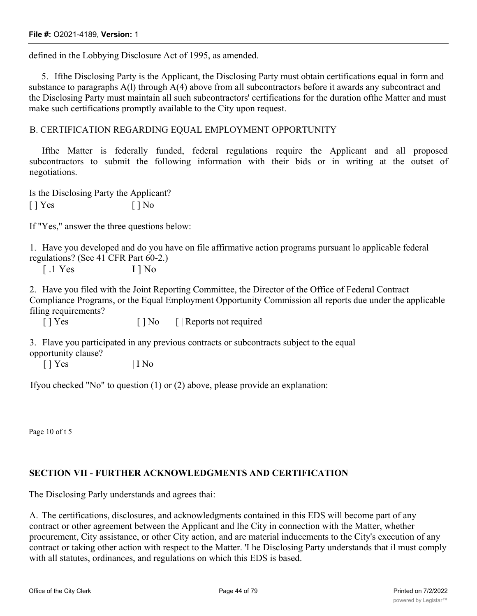defined in the Lobbying Disclosure Act of 1995, as amended.

5. Ifthe Disclosing Party is the Applicant, the Disclosing Party must obtain certifications equal in form and substance to paragraphs A(l) through A(4) above from all subcontractors before it awards any subcontract and the Disclosing Party must maintain all such subcontractors' certifications for the duration ofthe Matter and must make such certifications promptly available to the City upon request.

## B. CERTIFICATION REGARDING EQUAL EMPLOYMENT OPPORTUNITY

Ifthe Matter is federally funded, federal regulations require the Applicant and all proposed subcontractors to submit the following information with their bids or in writing at the outset of negotiations.

Is the Disclosing Party the Applicant?  $[$  | Yes  $[$  | No

If "Yes," answer the three questions below:

1. Have you developed and do you have on file affirmative action programs pursuant lo applicable federal regulations? (See 41 CFR Part 60-2.)

[ .1 Yes I ] No

2. Have you filed with the Joint Reporting Committee, the Director of the Office of Federal Contract Compliance Programs, or the Equal Employment Opportunity Commission all reports due under the applicable filing requirements?

[ ] Yes [ ] No [ | Reports not required

3. Flave you participated in any previous contracts or subcontracts subject to the equal opportunity clause?

 $[ ] Yes$   $] I No$ 

Ifyou checked "No" to question (1) or (2) above, please provide an explanation:

Page 10 of t 5

# **SECTION VII - FURTHER ACKNOWLEDGMENTS AND CERTIFICATION**

The Disclosing Parly understands and agrees thai:

A. The certifications, disclosures, and acknowledgments contained in this EDS will become part of any contract or other agreement between the Applicant and Ihe City in connection with the Matter, whether procurement, City assistance, or other City action, and are material inducements to the City's execution of any contract or taking other action with respect to the Matter. 'I he Disclosing Party understands that il must comply with all statutes, ordinances, and regulations on which this EDS is based.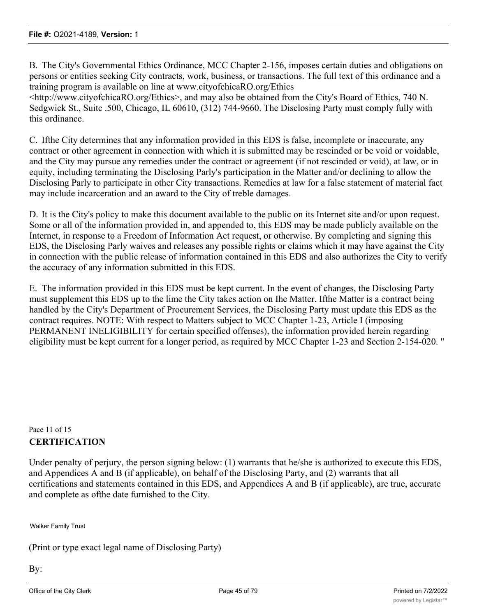B. The City's Governmental Ethics Ordinance, MCC Chapter 2-156, imposes certain duties and obligations on persons or entities seeking City contracts, work, business, or transactions. The full text of this ordinance and a training program is available on line at www.cityofchicaRO.org/Ethics

<http://www.cityofchicaRO.org/Ethics>, and may also be obtained from the City's Board of Ethics, 740 N. Sedgwick St., Suitc .500, Chicago, IL 60610, (312) 744-9660. The Disclosing Party must comply fully with this ordinance.

C. Ifthe City determines that any information provided in this EDS is false, incomplete or inaccurate, any contract or other agreement in connection with which it is submitted may be rescinded or be void or voidable, and the City may pursue any remedies under the contract or agreement (if not rescinded or void), at law, or in equity, including terminating the Disclosing Parly's participation in the Matter and/or declining to allow the Disclosing Parly to participate in other City transactions. Remedies at law for a false statement of material fact may include incarceration and an award to the City of treble damages.

D. It is the City's policy to make this document available to the public on its Internet site and/or upon request. Some or all of the information provided in, and appended to, this EDS may be made publicly available on the Internet, in response to a Freedom of Information Act request, or otherwise. By completing and signing this EDS, the Disclosing Parly waives and releases any possible rights or claims which it may have against the City in connection with the public release of information contained in this EDS and also authorizes the City to verify the accuracy of any information submitted in this EDS.

E. The information provided in this EDS must be kept current. In the event of changes, the Disclosing Party must supplement this EDS up to the lime the City takes action on Ihe Matter. Ifthe Matter is a contract being handled by the City's Department of Procurement Services, the Disclosing Party must update this EDS as the contract requires. NOTE: With respect to Matters subject to MCC Chapter 1-23, Article I (imposing PERMANENT INELIGIBILITY for certain specified offenses), the information provided herein regarding eligibility must be kept current for a longer period, as required by MCC Chapter 1-23 and Section 2-154-020. "

# Pace 11 of 15 **CERTIFICATION**

Under penalty of perjury, the person signing below: (1) warrants that he/she is authorized to execute this EDS, and Appendices A and B (if applicable), on behalf of the Disclosing Party, and (2) warrants that all certifications and statements contained in this EDS, and Appendices A and B (if applicable), are true, accurate and complete as ofthe date furnished to the City.

Walker Family Trust

(Print or type exact legal name of Disclosing Party)

By: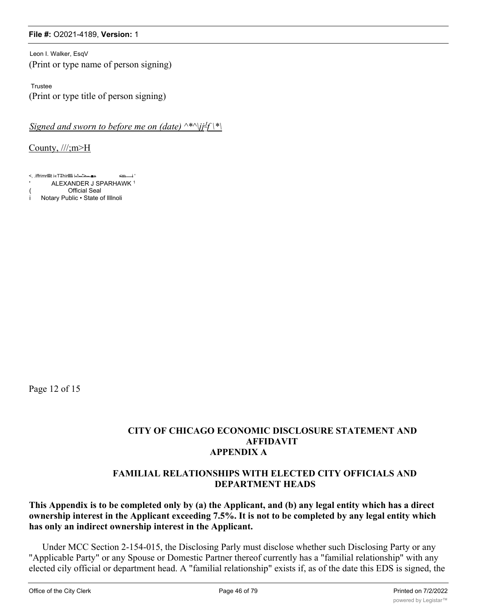Leon I. Walker, EsqV (Print or type name of person signing)

Trustee (Print or type title of person signing)

*Signed and sworn to before me on (date)*  $\wedge^* \wedge j j^j f \wedge^*$ 

County, ///;m>H

<, .iffrimrfflt i«TThirfffi i-^--">-- ■» <m i ' ' ALEXANDER J SPARHAWK <sup>1</sup> **Official Seal** Notary Public • State of IllInoli

Page 12 of 15

# **CITY OF CHICAGO ECONOMIC DISCLOSURE STATEMENT AND AFFIDAVIT APPENDIX A**

# **FAMILIAL RELATIONSHIPS WITH ELECTED CITY OFFICIALS AND DEPARTMENT HEADS**

**This Appendix is to be completed only by (a) the Applicant, and (b) any legal entity which has a direct ownership interest in the Applicant exceeding 7.5%. It is not to be completed by any legal entity which has only an indirect ownership interest in the Applicant.**

Under MCC Section 2-154-015, the Disclosing Parly must disclose whether such Disclosing Party or any "Applicable Party" or any Spouse or Domestic Partner thereof currently has a "familial relationship" with any elected cily official or department head. A "familial relationship" exists if, as of the date this EDS is signed, the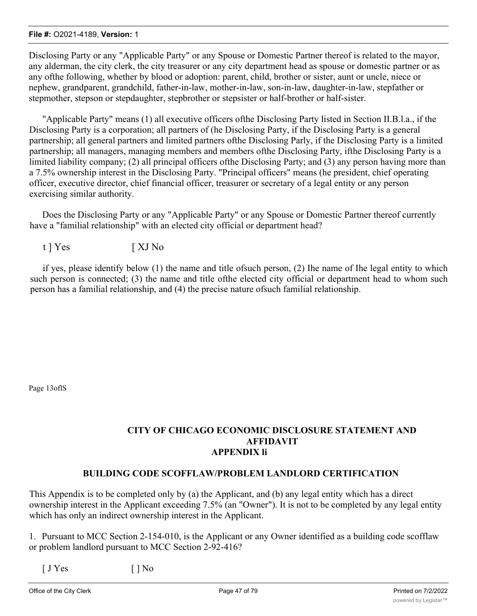Disclosing Party or any "Applicable Party" or any Spouse or Domestic Partner thereof is related to the mayor, any alderman, the city clerk, the city treasurer or any city department head as spouse or domestic partner or as any ofthe following, whether by blood or adoption: parent, child, brother or sister, aunt or uncle, niece or nephew, grandparent, grandchild, father-in-law, mother-in-law, son-in-law, daughter-in-law, stepfather or stepmother, stepson or stepdaughter, stepbrother or stepsister or half-brother or half-sister.

"Applicable Party" means (1) all executive officers ofthe Disclosing Party listed in Section II.B.l.a., if the Disclosing Party is a corporation; all partners of (he Disclosing Party, if the Disclosing Party is a general partnership; all general partners and limited partners ofthe Disclosing Parly, if the Disclosing Party is a limited partnership; all managers, managing members and members ofthe Disclosing Party, ifthe Disclosing Party is a limited liability company; (2) all principal officers ofthe Disclosing Party; and (3) any person having more than a 7.5% ownership interest in the Disclosing Party. "Principal officers" means (he president, chief operating officer, executive director, chief financial officer, treasurer or secretary of a legal entity or any person exercising similar authority.

Does the Disclosing Party or any "Applicable Party" or any Spouse or Domestic Partner thereof currently have a "familial relationship" with an elected city official or department head?

t ] Yes [ XJ No

if yes, please identify below (1) the name and title ofsuch person, (2) Ihe name of Ihe legal entity to which such person is connected; (3) the name and title ofthe elected city official or department head to whom such person has a familial relationship, and (4) the precise nature ofsuch familial relationship.

Page 13oflS

# **CITY OF CHICAGO ECONOMIC DISCLOSURE STATEMENT AND AFFIDAVIT APPENDIX li**

## **BUILDING CODE SCOFFLAW/PROBLEM LANDLORD CERTIFICATION**

This Appendix is to be completed only by (a) the Applicant, and (b) any legal entity which has a direct ownership interest in the Applicant exceeding 7.5% (an "Owner"). It is not to be completed by any legal entity which has only an indirect ownership interest in the Applicant.

1. Pursuant to MCC Section 2-154-010, is the Applicant or any Owner identified as a building code scofflaw or problem landlord pursuant to MCC Section 2-92-416?

 $[JYes$   $[ ] No$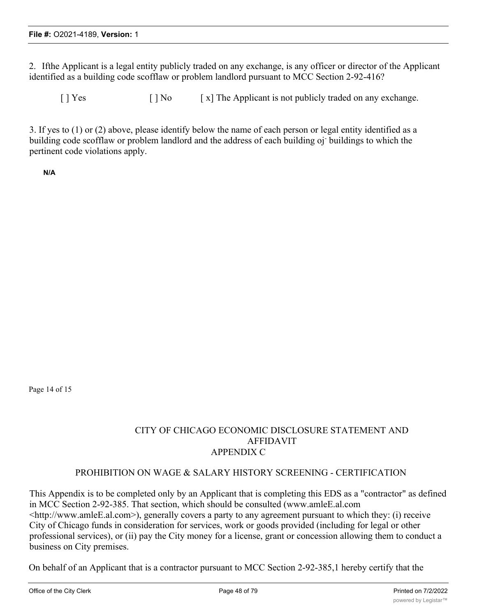2. Ifthe Applicant is a legal entity publicly traded on any exchange, is any officer or director of the Applicant identified as a building code scofflaw or problem landlord pursuant to MCC Section 2-92-416?

 $[ ]$  Yes  $[ ]$  No  $[ x ]$  The Applicant is not publicly traded on any exchange.

3. If yes to (1) or (2) above, please identify below the name of each person or legal entity identified as a building code scofflaw or problem landlord and the address of each building oj- buildings to which the pertinent code violations apply.

**N/A**

Page 14 of 15

# CITY OF CHICAGO ECONOMIC DISCLOSURE STATEMENT AND AFFIDAVIT APPENDIX C

## PROHIBITION ON WAGE & SALARY HISTORY SCREENING - CERTIFICATION

This Appendix is to be completed only by an Applicant that is completing this EDS as a "contractor" as defined in MCC Section 2-92-385. That section, which should be consulted (www.amleE.al.com <http://www.amleE.al.com>), generally covers a party to any agreement pursuant to which they: (i) receive City of Chicago funds in consideration for services, work or goods provided (including for legal or other professional services), or (ii) pay the City money for a license, grant or concession allowing them to conduct a business on City premises.

On behalf of an Applicant that is a contractor pursuant to MCC Section 2-92-385,1 hereby certify that the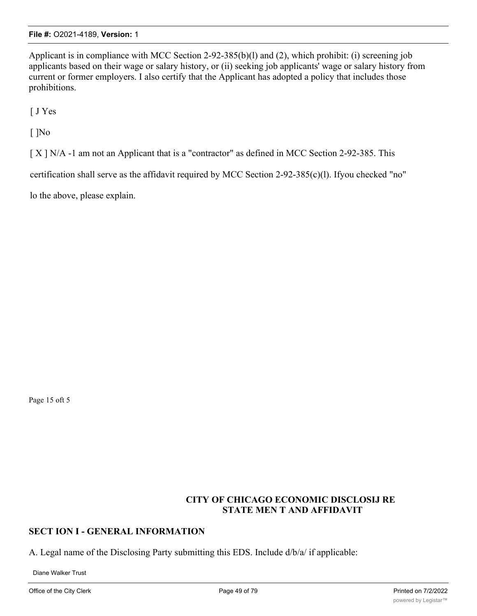Applicant is in compliance with MCC Section 2-92-385(b)(l) and (2), which prohibit: (i) screening job applicants based on their wage or salary history, or (ii) seeking job applicants' wage or salary history from current or former employers. I also certify that the Applicant has adopted a policy that includes those prohibitions.

[ J Yes

 $\lceil$   $\rceil$ No

[ X ] N/A -1 am not an Applicant that is a "contractor" as defined in MCC Section 2-92-385. This

certification shall serve as the affidavit required by MCC Section 2-92-385(c)(l). Ifyou checked "no"

lo the above, please explain.

Page 15 oft 5

# **CITY OF CHICAGO ECONOMIC DISCLOSIJ RE STATE MEN T AND AFFIDAVIT**

# **SECT ION I - GENERAL INFORMATION**

A. Legal name of the Disclosing Party submitting this EDS. Include d/b/a/ if applicable:

Diane Walker Trust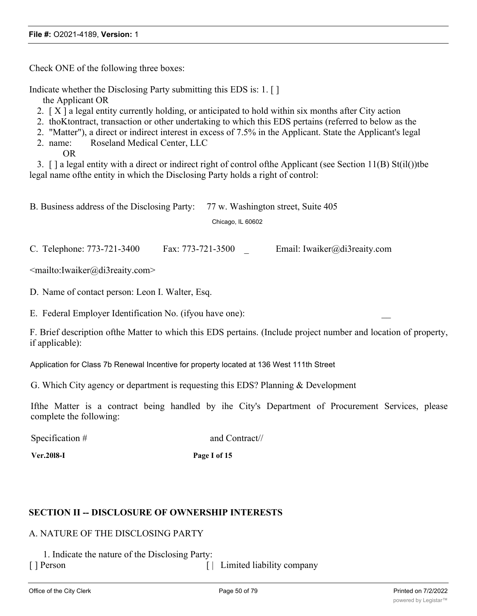Check ONE of the following three boxes:

Indicate whether the Disclosing Party submitting this EDS is: 1. [ ]

the Applicant OR

- 2.  $[X]$  a legal entity currently holding, or anticipated to hold within six months after City action
- 2. thoKtontract, transaction or other undertaking to which this EDS pertains (referred to below as the
- 2. "Matter"), a direct or indirect interest in excess of 7.5% in the Applicant. State the Applicant's legal
- 2. name: Roseland Medical Center, LLC

OR

3. [ ] a legal entity with a direct or indirect right of control ofthe Applicant (see Section 11(B) St(il())tbe legal name ofthe entity in which the Disclosing Party holds a right of control:

B. Business address of the Disclosing Party: 77 w. Washington street, Suite 405 Chicago, IL 60602

C. Telephone: 773-721-3400 Fax: 773-721-3500 \_ Email: Iwaiker@di3reaity.com

<mailto:Iwaiker@di3reaity.com>

D. Name of contact person: Leon I. Walter, Esq.

E. Federal Employer Identification No. (if you have one):

F. Brief description ofthe Matter to which this EDS pertains. (Include project number and location of property, if applicable):

Application for Class 7b Renewal Incentive for property located at 136 West 111th Street

G. Which City agency or department is requesting this EDS? Planning & Development

Ifthe Matter is a contract being handled by ihe City's Department of Procurement Services, please complete the following:

Specification # and Contract//

**Ver.20l8-I Page I of 15**

## **SECTION II -- DISCLOSURE OF OWNERSHIP INTERESTS**

## A. NATURE OF THE DISCLOSING PARTY

1. Indicate the nature of the Disclosing Party: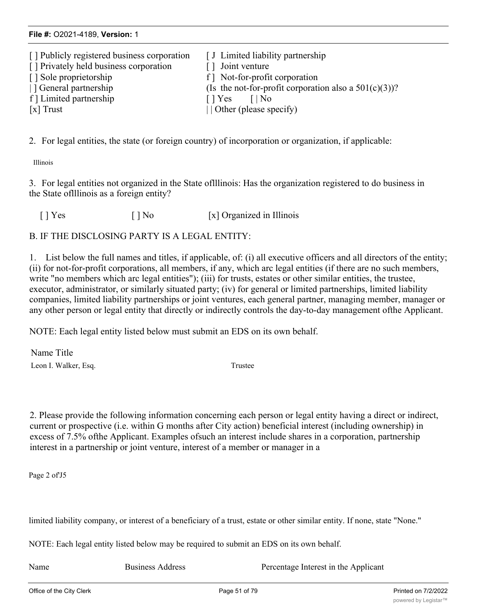| [ J Limited liability partnership                        |
|----------------------------------------------------------|
| [] Joint venture                                         |
| f Mot-for-profit corporation                             |
| (Is the not-for-profit corporation also a $501(c)(3)$ )? |
| $\lceil \cdot \rceil$ Yes<br>$\blacksquare$ No           |
| $\vert$ Other (please specify)                           |
|                                                          |

2. For legal entities, the state (or foreign country) of incorporation or organization, if applicable:

Illinois

3. For legal entities not organized in the State oflllinois: Has the organization registered to do business in the State oflllinois as a foreign entity?

[ ] Yes [ ] No [x] Organized in Illinois

B. IF THE DISCLOSING PARTY IS A LEGAL ENTITY:

1. List below the full names and titles, if applicable, of: (i) all executive officers and all directors of the entity; (ii) for not-for-profit corporations, all members, if any, which arc legal entities (if there are no such members, write "no members which arc legal entities"); (iii) for trusts, estates or other similar entities, the trustee, executor, administrator, or similarly situated party; (iv) for general or limited partnerships, limited liability companies, limited liability partnerships or joint ventures, each general partner, managing member, manager or any other person or legal entity that directly or indirectly controls the day-to-day management ofthe Applicant.

NOTE: Each legal entity listed below must submit an EDS on its own behalf.

Name Title Leon I. Walker, Esq. Trustee

2. Please provide the following information concerning each person or legal entity having a direct or indirect, current or prospective (i.e. within G months after City action) beneficial interest (including ownership) in excess of 7.5% ofthe Applicant. Examples ofsuch an interest include shares in a corporation, partnership interest in a partnership or joint venture, interest of a member or manager in a

Page 2 of'J5

limited liability company, or interest of a beneficiary of a trust, estate or other similar entity. If none, state "None."

NOTE: Each legal entity listed below may be required to submit an EDS on its own behalf.

Name Business Address Percentage Interest in the Applicant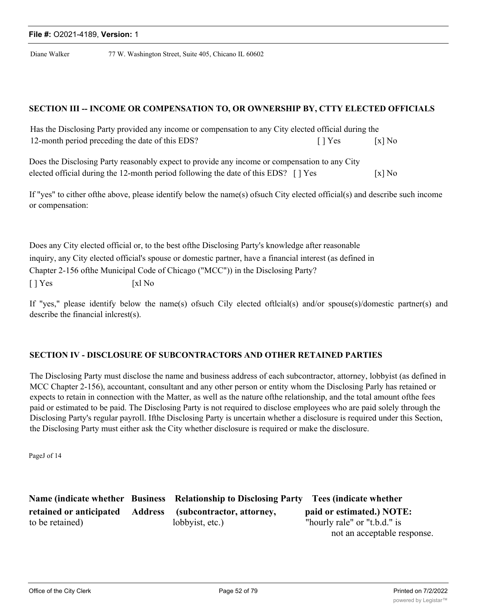Diane Walker 77 W. Washington Street, Suite 405, Chicano IL 60602

#### **SECTION III -- INCOME OR COMPENSATION TO, OR OWNERSHIP BY, CTTY ELECTED OFFICIALS**

| Has the Disclosing Party provided any income or compensation to any City elected official during the |                           |          |
|------------------------------------------------------------------------------------------------------|---------------------------|----------|
| 12-month period preceding the date of this EDS?                                                      | $\lceil \cdot \rceil$ Yes | $[x]$ No |

| Does the Disclosing Party reasonably expect to provide any income or compensation to any City |                      |
|-----------------------------------------------------------------------------------------------|----------------------|
| elected official during the 12-month period following the date of this EDS? [] Yes            | $\lceil x \rceil$ No |

If "yes" to cither ofthe above, please identify below the name(s) ofsuch City elected official(s) and describe such income or compensation:

Does any City elected official or, to the best ofthe Disclosing Party's knowledge after reasonable inquiry, any City elected official's spouse or domestic partner, have a financial interest (as defined in Chapter 2-156 ofthe Municipal Code of Chicago ("MCC")) in the Disclosing Party?  $[ \ ]$  Yes  $[ \ x]$  No

If "yes," please identify below the name(s) ofsuch Cily elected oftlcial(s) and/or spouse(s)/domestic partner(s) and describe the financial inlcrest(s).

# **SECTION IV - DISCLOSURE OF SUBCONTRACTORS AND OTHER RETAINED PARTIES**

The Disclosing Party must disclose the name and business address of each subcontractor, attorney, lobbyist (as defined in MCC Chapter 2-156), accountant, consultant and any other person or entity whom the Disclosing Parly has retained or expects to retain in connection with the Matter, as well as the nature ofthe relationship, and the total amount ofthe fees paid or estimated to be paid. The Disclosing Party is not required to disclose employees who are paid solely through the Disclosing Party's regular payroll. Ifthe Disclosing Party is uncertain whether a disclosure is required under this Section, the Disclosing Party must either ask the City whether disclosure is required or make the disclosure.

PageJ of 14

**Name (indicate whether Business Relationship to Disclosing Party Tees (indicate whether retained or anticipated Address (subcontractor, attorney, paid or estimated.) NOTE:** to be retained) lobbyist, etc.) "hourly rale" or "t.b.d." is not an acceptable response.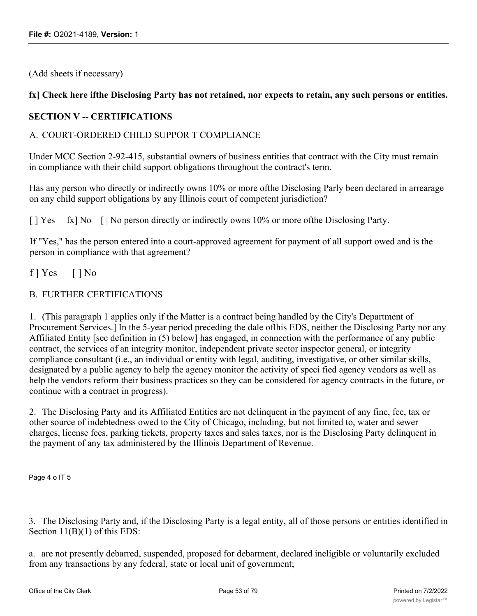(Add sheets if necessary)

# fx] Check here ifthe Disclosing Party has not retained, nor expects to retain, any such persons or entities.

# **SECTION V -- CERTIFICATIONS**

## A. COURT-ORDERED CHILD SUPPOR T COMPLIANCE

Under MCC Section 2-92-415, substantial owners of business entities that contract with the City must remain in compliance with their child support obligations throughout the contract's term.

Has any person who directly or indirectly owns 10% or more ofthe Disclosing Parly been declared in arrearage on any child support obligations by any Illinois court of competent jurisdiction?

[ ] Yes fx] No [ | No person directly or indirectly owns 10% or more of the Disclosing Party.

If "Yes," has the person entered into a court-approved agreement for payment of all support owed and is the person in compliance with that agreement?

 $f$  | Yes  $[$  | No

## B. FURTHER CERTIFICATIONS

1. (This paragraph 1 applies only if the Matter is a contract being handled by the City's Department of Procurement Services.] In the 5-year period preceding the dale oflhis EDS, neither the Disclosing Party nor any Affiliated Entity [sec definition in (5) below] has engaged, in connection with the performance of any public contract, the services of an integrity monitor, independent private sector inspector general, or integrity compliance consultant (i.e., an individual or entity with legal, auditing, investigative, or other similar skills, designated by a public agency to help the agency monitor the activity of speci fied agency vendors as well as help the vendors reform their business practices so they can be considered for agency contracts in the future, or continue with a contract in progress).

2. The Disclosing Party and its Affiliated Entities are not delinquent in the payment of any fine, fee, tax or other source of indebtedness owed to the City of Chicago, including, but not limited to, water and sewer charges, license fees, parking tickets, property taxes and sales taxes, nor is the Disclosing Party delinquent in the payment of any tax administered by the Illinois Department of Revenue.

Page 4 o IT 5

3. The Disclosing Party and, if the Disclosing Party is a legal entity, all of those persons or entities identified in Section 11(B)(1) of this EDS:

a. are not presently debarred, suspended, proposed for debarment, declared ineligible or voluntarily excluded from any transactions by any federal, state or local unit of government;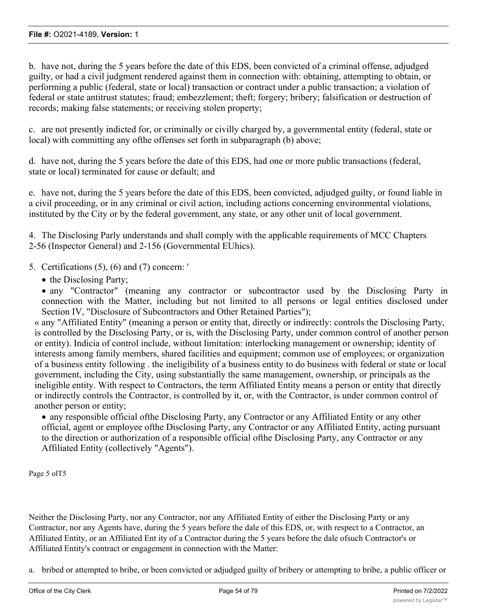b. have not, during the 5 years before the date of this EDS, been convicted of a criminal offense, adjudged guilty, or had a civil judgment rendered against them in connection with: obtaining, attempting to obtain, or performing a public (federal, state or local) transaction or contract under a public transaction; a violation of federal or state antitrust statutes; fraud; embezzlement; theft; forgery; bribery; falsification or destruction of records; making false statements; or receiving stolen property;

c. are not presently indicted for, or criminally or civilly charged by, a governmental entity (federal, state or local) with committing any ofthe offenses set forth in subparagraph (b) above;

d. have not, during the 5 years before the date of this EDS, had one or more public transactions (federal, state or local) terminated for cause or default; and

e. have not, during the 5 years before the date of this EDS, been convicted, adjudged guilty, or found liable in a civil proceeding, or in any criminal or civil action, including actions concerning environmental violations, instituted by the City or by the federal government, any state, or any other unit of local government.

4. The Disclosing Parly understands and shall comply with the applicable requirements of MCC Chapters 2-56 (Inspector General) and 2-156 (Governmental EUhics).

- 5. Certifications (5), (6) and (7) concern: '
	- the Disclosing Party;

• any "Contractor" (meaning any contractor or subcontractor used by the Disclosing Party in connection with the Matter, including but not limited to all persons or legal entities disclosed under Section IV, "Disclosure of Subcontractors and Other Retained Parties");

« any "Affiliated Entity" (meaning a person or entity that, directly or indirectly: controls the Disclosing Party, is controlled by the Disclosing Party, or is, with the Disclosing Party, under common control of another person or entity). Indicia of control include, without limitation: interlocking management or ownership; identity of interests among family members, shared facilities and equipment; common use of employees; or organization of a business entity following . the ineligibility of a business entity to do business with federal or state or local government, including the City, using substantially the same management, ownership, or principals as the ineligible entity. With respect to Contractors, the term Affiliated Entity means a person or entity that directly or indirectly controls the Contractor, is controlled by it, or, with the Contractor, is under common control of another person or entity;

· any responsible official ofthe Disclosing Party, any Contractor or any Affiliated Entity or any other official, agent or employee ofthe Disclosing Party, any Contractor or any Affiliated Entity, acting pursuant to the direction or authorization of a responsible official ofthe Disclosing Party, any Contractor or any Affiliated Entity (collectively "Agents").

Page 5 olT5

Neither the Disclosing Party, nor any Contractor, nor any Affiliated Entity of either the Disclosing Party or any Contractor, nor any Agents have, during the 5 years before the dale of this EDS, or, with respect to a Contractor, an Affiliated Entity, or an Affiliated Ent ity of a Contractor during the 5 years before the dale ofsuch Contractor's or Affiliated Entity's contract or engagement in connection with the Matter:

a. bribed or attempted to bribe, or been convicted or adjudged guilty of bribery or attempting to bribe, a public officer or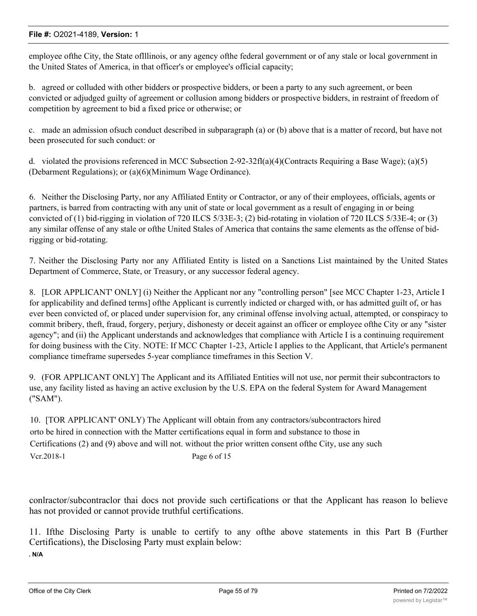employee ofthe City, the State oflllinois, or any agency ofthe federal government or of any stale or local government in the United States of America, in that officer's or employee's official capacity;

b. agreed or colluded with other bidders or prospective bidders, or been a party to any such agreement, or been convicted or adjudged guilty of agreement or collusion among bidders or prospective bidders, in restraint of freedom of competition by agreement to bid a fixed price or otherwise; or

c. made an admission ofsuch conduct described in subparagraph (a) or (b) above that is a matter of record, but have not been prosecuted for such conduct: or

d. violated the provisions referenced in MCC Subsection 2-92-32fl(a)(4)(Contracts Requiring a Base Wage); (a)(5) (Debarment Regulations); or (a)(6)(Minimum Wage Ordinance).

6. Neither the Disclosing Party, nor any Affiliated Entity or Contractor, or any of their employees, officials, agents or partners, is barred from contracting with any unit of state or local government as a result of engaging in or being convicted of (1) bid-rigging in violation of 720 ILCS 5/33E-3; (2) bid-rotating in violation of 720 ILCS 5/33E-4; or (3) any similar offense of any stale or ofthe United Stales of America that contains the same elements as the offense of bidrigging or bid-rotating.

7. Neither the Disclosing Party nor any Affiliated Entity is listed on a Sanctions List maintained by the United States Department of Commerce, State, or Treasury, or any successor federal agency.

8. [LOR APPLICANT' ONLY] (i) Neither the Applicant nor any "controlling person" [see MCC Chapter 1-23, Article I for applicability and defined terms] ofthe Applicant is currently indicted or charged with, or has admitted guilt of, or has ever been convicted of, or placed under supervision for, any criminal offense involving actual, attempted, or conspiracy to commit bribery, theft, fraud, forgery, perjury, dishonesty or deceit against an officer or employee ofthe City or any "sister agency"; and (ii) the Applicant understands and acknowledges that compliance with Article I is a continuing requirement for doing business with the City. NOTE: If MCC Chapter 1-23, Article I applies to the Applicant, that Article's permanent compliance timeframe supersedes 5-year compliance timeframes in this Section V.

9. (FOR APPLICANT ONLY] The Applicant and its Affiliated Entities will not use, nor permit their subcontractors to use, any facility listed as having an active exclusion by the U.S. EPA on the federal System for Award Management ("SAM").

10. [TOR APPLICANT' ONLY) The Applicant will obtain from any contractors/subcontractors hired orto be hired in connection with the Matter certifications equal in form and substance to those in Certifications (2) and (9) above and will not. without the prior written consent ofthe City, use any such Vcr.2018-1 Page 6 of 15

conlractor/subcontraclor thai docs not provide such certifications or that the Applicant has reason lo believe has not provided or cannot provide truthful certifications.

11. Ifthe Disclosing Party is unable to certify to any ofthe above statements in this Part B (Further Certifications), the Disclosing Party must explain below: **. N/A**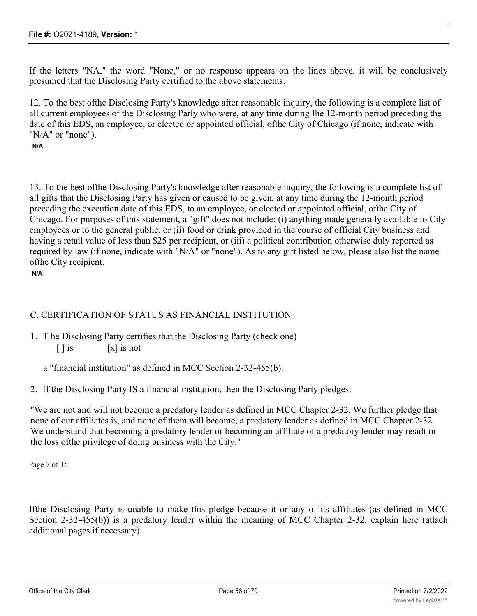If the letters "NA," the word "None," or no response appears on the lines above, it will be conclusively presumed that the Disclosing Party certified to the above statements.

12. To the best ofthe Disclosing Party's knowledge after reasonable inquiry, the following is a complete list of all current employees of the Disclosing Parly who were, at any time during Ihe 12-month period preceding the date of this EDS, an employee, or elected or appointed official, ofthe City of Chicago (if none, indicate with "N/A" or "none").

## **N/A**

13. To the best ofthe Disclosing Party's knowledge after reasonable inquiry, the following is a complete list of all gifts that the Disclosing Party has given or caused to be given, at any time during the 12-month period preceding the execution date of this EDS, to an employee, or elected or appointed official, ofthe City of Chicago. For purposes of this statement, a "gift" does not include: (i) anything made generally available to Cily employees or to the general public, or (ii) food or drink provided in the course of official City business and having a retail value of less than \$25 per recipient, or (iii) a political contribution otherwise duly reported as required by law (if none, indicate with "N/A" or "none"). As to any gift listed below, please also list the name ofthe City recipient.

**N/A**

# C. CERTIFICATION OF STATUS AS FINANCIAL INSTITUTION

1. T he Disclosing Party certifies that the Disclosing Party (check one)  $\lceil \cdot \rceil$  is  $\lceil x \rceil$  is not

a "financial institution" as defined in MCC Section 2-32-455(b).

2. If the Disclosing Party IS a financial institution, then the Disclosing Party pledges:

"We arc not and will not become a predatory lender as defined in MCC Chapter 2-32. We further pledge that none of our affiliates is, and none of them will become, a predatory lender as defined in MCC Chapter 2-32. We understand that becoming a predatory lender or becoming an affiliate of a predatory lender may result in the loss ofthe privilege of doing business with the City."

Page 7 of 15

Ifthe Disclosing Party is unable to make this pledge because it or any of its affiliates (as defined in MCC Section 2-32-455(b)) is a predatory lender within the meaning of MCC Chapter 2-32, explain here (attach additional pages if necessary):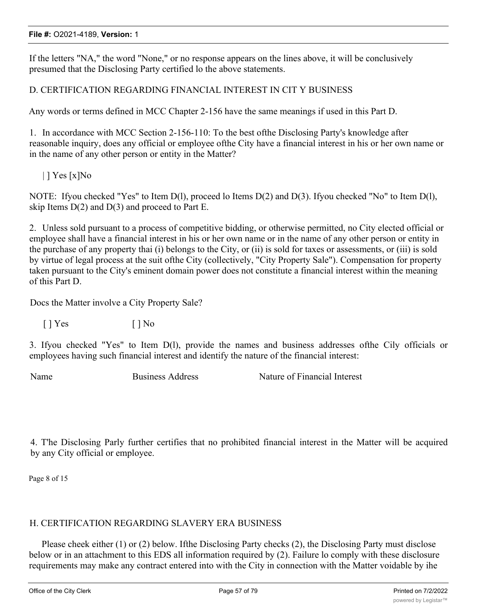If the letters "NA," the word "None," or no response appears on the lines above, it will be conclusively presumed that the Disclosing Party certified lo the above statements.

# D. CERTIFICATION REGARDING FINANCIAL INTEREST IN CIT Y BUSINESS

Any words or terms defined in MCC Chapter 2-156 have the same meanings if used in this Part D.

1. In accordance with MCC Section 2-156-110: To the best ofthe Disclosing Party's knowledge after reasonable inquiry, does any official or employee ofthe City have a financial interest in his or her own name or in the name of any other person or entity in the Matter?

 $|$  | Yes [x]No

NOTE: Ifyou checked "Yes" to Item D(l), proceed lo Items D(2) and D(3). Ifyou checked "No" to Item D(l), skip Items  $D(2)$  and  $D(3)$  and proceed to Part E.

2. Unless sold pursuant to a process of competitive bidding, or otherwise permitted, no City elected official or employee shall have a financial interest in his or her own name or in the name of any other person or entity in the purchase of any property thai (i) belongs to the City, or (ii) is sold for taxes or assessments, or (iii) is sold by virtue of legal process at the suit ofthe City (collectively, "City Property Sale"). Compensation for property taken pursuant to the City's eminent domain power does not constitute a financial interest within the meaning of this Part D.

Docs the Matter involve a City Property Sale?

 $[$  | Yes  $[$  | No

3. Ifyou checked "Yes" to Item D(l), provide the names and business addresses ofthe Cily officials or employees having such financial interest and identify the nature of the financial interest:

Name Business Address Nature of Financial Interest

4. T'he Disclosing Parly further certifies that no prohibited financial interest in the Matter will be acquired by any City official or employee.

Page 8 of 15

## H. CERTIFICATION REGARDING SLAVERY ERA BUSINESS

Please cheek either (1) or (2) below. Ifthe Disclosing Party checks (2), the Disclosing Party must disclose below or in an attachment to this EDS all information required by (2). Failure lo comply with these disclosure requirements may make any contract entered into with the City in connection with the Matter voidable by ihe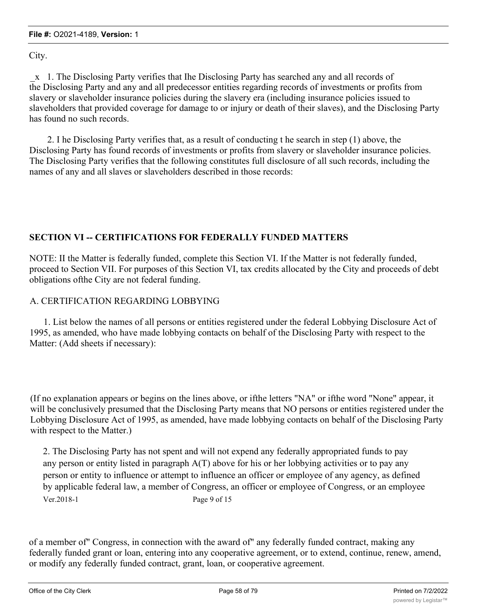City.

\_x 1. The Disclosing Party verifies that Ihe Disclosing Party has searched any and all records of the Disclosing Party and any and all predecessor entities regarding records of investments or profits from slavery or slaveholder insurance policies during the slavery era (including insurance policies issued to slaveholders that provided coverage for damage to or injury or death of their slaves), and the Disclosing Party has found no such records.

2. I he Disclosing Party verifies that, as a result of conducting t he search in step (1) above, the Disclosing Party has found records of investments or profits from slavery or slaveholder insurance policies. The Disclosing Party verifies that the following constitutes full disclosure of all such records, including the names of any and all slaves or slaveholders described in those records:

# **SECTION VI -- CERTIFICATIONS FOR FEDERALLY FUNDED MATTERS**

NOTE: II the Matter is federally funded, complete this Section VI. If the Matter is not federally funded, proceed to Section VII. For purposes of this Section VI, tax credits allocated by the City and proceeds of debt obligations ofthe City are not federal funding.

# A. CERTIFICATION REGARDING LOBBYING

1. List below the names of all persons or entities registered under the federal Lobbying Disclosure Act of 1995, as amended, who have made lobbying contacts on behalf of the Disclosing Party with respect to the Matter: (Add sheets if necessary):

(If no explanation appears or begins on the lines above, or ifthe letters "NA" or ifthe word "None" appear, it will be conclusively presumed that the Disclosing Party means that NO persons or entities registered under the Lobbying Disclosure Act of 1995, as amended, have made lobbying contacts on behalf of the Disclosing Party with respect to the Matter.)

2. The Disclosing Party has not spent and will not expend any federally appropriated funds to pay any person or entity listed in paragraph A(T) above for his or her lobbying activities or to pay any person or entity to influence or attempt to influence an officer or employee of any agency, as defined by applicable federal law, a member of Congress, an officer or employee of Congress, or an employee Ver.2018-1 Page 9 of 15

of a member of" Congress, in connection with the award of" any federally funded contract, making any federally funded grant or loan, entering into any cooperative agreement, or to extend, continue, renew, amend, or modify any federally funded contract, grant, loan, or cooperative agreement.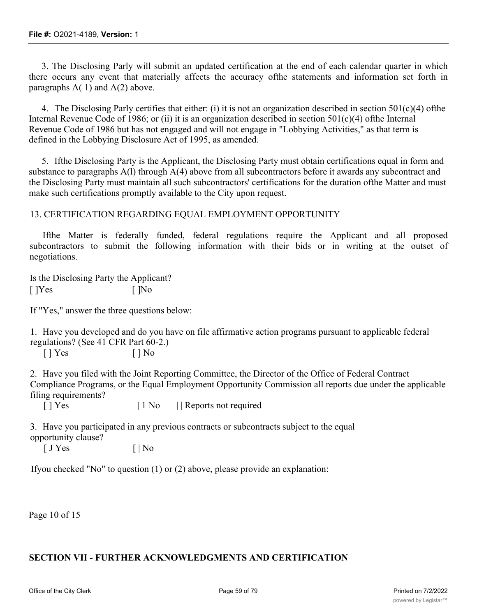3. The Disclosing Parly will submit an updated certification at the end of each calendar quarter in which there occurs any event that materially affects the accuracy ofthe statements and information set forth in paragraphs  $A(1)$  and  $A(2)$  above.

4. The Disclosing Parly certifies that either: (i) it is not an organization described in section  $501(c)(4)$  ofthe Internal Revenue Code of 1986; or (ii) it is an organization described in section  $501(c)(4)$  ofthe Internal Revenue Code of 1986 but has not engaged and will not engage in "Lobbying Activities," as that term is defined in the Lobbying Disclosure Act of 1995, as amended.

5. Ifthe Disclosing Party is the Applicant, the Disclosing Party must obtain certifications equal in form and substance to paragraphs A(l) through A(4) above from all subcontractors before it awards any subcontract and the Disclosing Party must maintain all such subcontractors' certifications for the duration ofthe Matter and must make such certifications promptly available to the City upon request.

## 13. CERTIFICATION REGARDING EQUAL EMPLOYMENT OPPORTUNITY

Ifthe Matter is federally funded, federal regulations require the Applicant and all proposed subcontractors to submit the following information with their bids or in writing at the outset of negotiations.

Is the Disclosing Party the Applicant?  $[$   $]$ Yes  $[$   $]$ No

If "Yes," answer the three questions below:

1. Have you developed and do you have on file affirmative action programs pursuant to applicable federal regulations? (See 41 CFR Part 60-2.)

 $[ ]$  Yes  $[ ]$  No

2. Have you filed with the Joint Reporting Committee, the Director of the Office of Federal Contract Compliance Programs, or the Equal Employment Opportunity Commission all reports due under the applicable filing requirements?

[ ] Yes  $| 1 No |$  Reports not required

3. Have you participated in any previous contracts or subcontracts subject to the equal opportunity clause?

 $\begin{bmatrix} J \space \end{bmatrix}$  Yes  $\begin{bmatrix} | \space \end{bmatrix}$  No

Ifyou checked "No" to question (1) or (2) above, please provide an explanation:

Page 10 of 15

# **SECTION VII - FURTHER ACKNOWLEDGMENTS AND CERTIFICATION**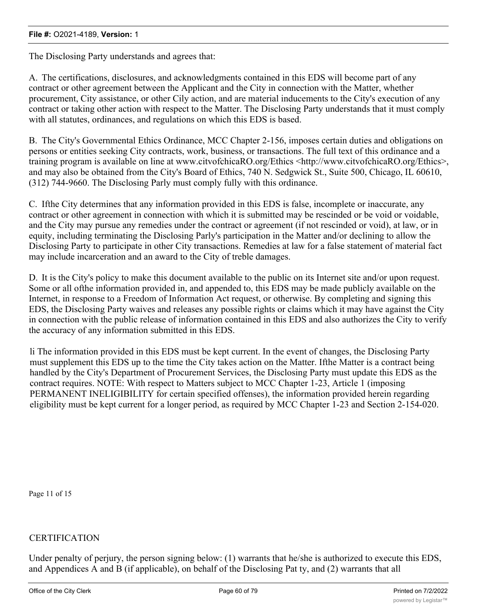The Disclosing Party understands and agrees that:

A. The certifications, disclosures, and acknowledgments contained in this EDS will become part of any contract or other agreement between the Applicant and the City in connection with the Matter, whether procurement, City assistance, or other Cily action, and are material inducements to the City's execution of any contract or taking other action with respect to the Matter. The Disclosing Party understands that it must comply with all statutes, ordinances, and regulations on which this EDS is based.

B. The City's Governmental Ethics Ordinance, MCC Chapter 2-156, imposes certain duties and obligations on persons or entities seeking City contracts, work, business, or transactions. The full text of this ordinance and a training program is available on line at www.citvofchicaRO.org/Ethics <http://www.citvofchicaRO.org/Ethics>, and may also be obtained from the City's Board of Ethics, 740 N. Sedgwick St., Suite 500, Chicago, IL 60610, (312) 744-9660. The Disclosing Parly must comply fully with this ordinance.

C. Ifthe City determines that any information provided in this EDS is false, incomplete or inaccurate, any contract or other agreement in connection with which it is submitted may be rescinded or be void or voidable, and the City may pursue any remedies under the contract or agreement (if not rescinded or void), at law, or in equity, including terminating the Disclosing Parly's participation in the Matter and/or declining to allow the Disclosing Party to participate in other City transactions. Remedies at law for a false statement of material fact may include incarceration and an award to the City of treble damages.

D. It is the City's policy to make this document available to the public on its Internet site and/or upon request. Some or all ofthe information provided in, and appended to, this EDS may be made publicly available on the Internet, in response to a Freedom of Information Act request, or otherwise. By completing and signing this EDS, the Disclosing Party waives and releases any possible rights or claims which it may have against the City in connection with the public release of information contained in this EDS and also authorizes the City to verify the accuracy of any information submitted in this EDS.

li The information provided in this EDS must be kept current. In the event of changes, the Disclosing Party must supplement this EDS up to the time the City takes action on the Matter. Ifthe Matter is a contract being handled by the City's Department of Procurement Services, the Disclosing Party must update this EDS as the contract requires. NOTE: With respect to Matters subject to MCC Chapter 1-23, Article 1 (imposing PERMANENT INELIGIBILITY for certain specified offenses), the information provided herein regarding eligibility must be kept current for a longer period, as required by MCC Chapter 1-23 and Section 2-154-020.

Page 11 of 15

## **CERTIFICATION**

Under penalty of perjury, the person signing below: (1) warrants that he/she is authorized to execute this EDS, and Appendices A and B (if applicable), on behalf of the Disclosing Pat ty, and (2) warrants that all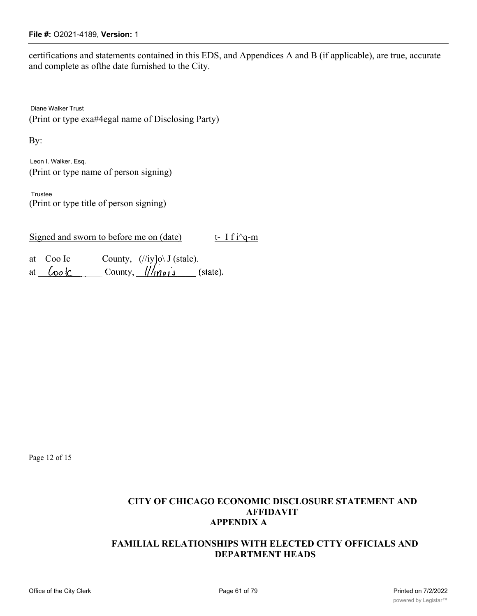certifications and statements contained in this EDS, and Appendices A and B (if applicable), are true, accurate and complete as ofthe date furnished to the City.

Diane Walker Trust (Print or type exa#4egal name of Disclosing Party)

By:

Leon I. Walker, Esq. (Print or type name of person signing)

Trustee (Print or type title of person signing)

Signed and sworn to before me on (date) t- I f i^q-m

| at Coo Ic | County, $\left(\frac{/}{iy}\right]$ o $\setminus$ J (stale). |  |
|-----------|--------------------------------------------------------------|--|
| at Cook   | County, $\frac{1}{\sqrt{1-\frac{1}{2}}}$ (state).            |  |

Page 12 of 15

# **CITY OF CHICAGO ECONOMIC DISCLOSURE STATEMENT AND AFFIDAVIT APPENDIX A**

# **FAMILIAL RELATIONSHIPS WITH ELECTED CTTY OFFICIALS AND DEPARTMENT HEADS**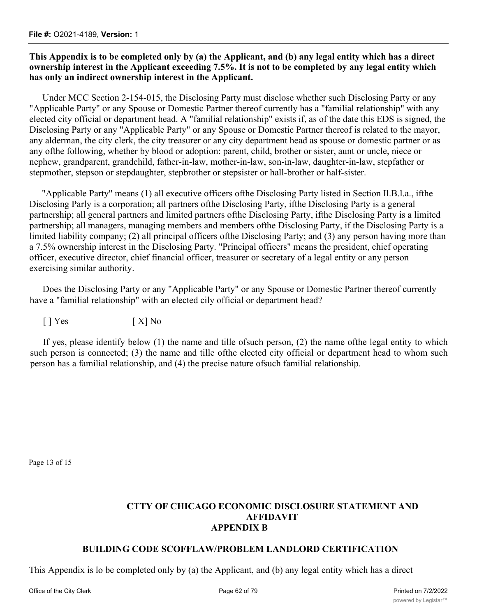# **This Appendix is to be completed only by (a) the Applicant, and (b) any legal entity which has a direct ownership interest in the Applicant exceeding 7.5%. It is not to be completed by any legal entity which has only an indirect ownership interest in the Applicant.**

Under MCC Section 2-154-015, the Disclosing Party must disclose whether such Disclosing Party or any "Applicable Party" or any Spouse or Domestic Partner thereof currently has a "familial relationship" with any elected city official or department head. A "familial relationship" exists if, as of the date this EDS is signed, the Disclosing Party or any "Applicable Party" or any Spouse or Domestic Partner thereof is related to the mayor, any alderman, the city clerk, the city treasurer or any city department head as spouse or domestic partner or as any ofthe following, whether by blood or adoption: parent, child, brother or sister, aunt or uncle, niece or nephew, grandparent, grandchild, father-in-law, mother-in-law, son-in-law, daughter-in-law, stepfather or stepmother, stepson or stepdaughter, stepbrother or stepsister or hall-brother or half-sister.

"Applicable Party" means (1) all executive officers ofthe Disclosing Party listed in Section Il.B.l.a., ifthe Disclosing Parly is a corporation; all partners ofthe Disclosing Party, ifthe Disclosing Party is a general partnership; all general partners and limited partners ofthe Disclosing Party, ifthe Disclosing Party is a limited partnership; all managers, managing members and members ofthe Disclosing Party, if the Disclosing Party is a limited liability company; (2) all principal officers ofthe Disclosing Party; and (3) any person having more than a 7.5% ownership interest in the Disclosing Party. "Principal officers" means the president, chief operating officer, executive director, chief financial officer, treasurer or secretary of a legal entity or any person exercising similar authority.

Does the Disclosing Party or any "Applicable Party" or any Spouse or Domestic Partner thereof currently have a "familial relationship" with an elected cily official or department head?

 $[ ] Yes$   $[ X ] No$ 

If yes, please identify below (1) the name and tille ofsuch person, (2) the name ofthe legal entity to which such person is connected; (3) the name and tille ofthe elected city official or department head to whom such person has a familial relationship, and (4) the precise nature ofsuch familial relationship.

Page 13 of 15

# **CTTY OF CHICAGO ECONOMIC DISCLOSURE STATEMENT AND AFFIDAVIT APPENDIX B**

## **BUILDING CODE SCOFFLAW/PROBLEM LANDLORD CERTIFICATION**

This Appendix is lo be completed only by (a) the Applicant, and (b) any legal entity which has a direct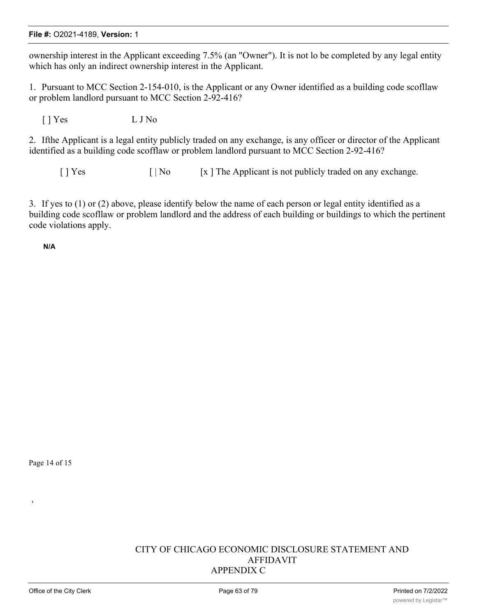ownership interest in the Applicant exceeding 7.5% (an "Owner"). It is not lo be completed by any legal entity which has only an indirect ownership interest in the Applicant.

1. Pursuant to MCC Section 2-154-010, is the Applicant or any Owner identified as a building code scofllaw or problem landlord pursuant to MCC Section 2-92-416?

[ ] Yes L J No

2. Ifthe Applicant is a legal entity publicly traded on any exchange, is any officer or director of the Applicant identified as a building code scofflaw or problem landlord pursuant to MCC Section 2-92-416?

 $[ |$  Yes  $[ |$  No  $[ x ]$  The Applicant is not publicly traded on any exchange.

3. If yes to (1) or (2) above, please identify below the name of each person or legal entity identified as a building code scofllaw or problem landlord and the address of each building or buildings to which the pertinent code violations apply.

**N/A**

Page 14 of 15

**1**

## CITY OF CHICAGO ECONOMIC DISCLOSURE STATEMENT AND AFFIDAVIT APPENDIX C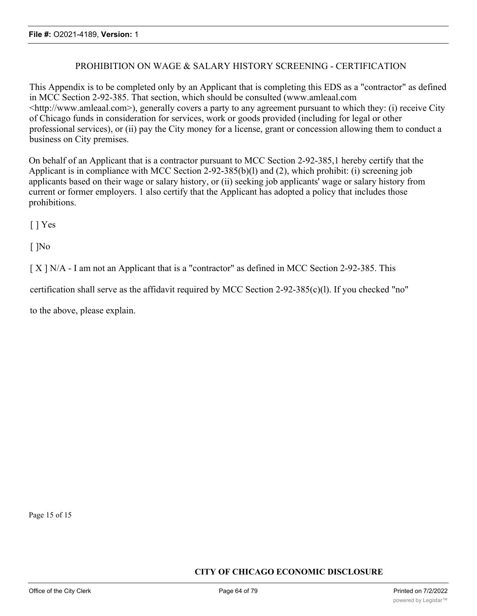# PROHIBITION ON WAGE & SALARY HISTORY SCREENING - CERTIFICATION

This Appendix is to be completed only by an Applicant that is completing this EDS as a "contractor" as defined in MCC Section 2-92-385. That section, which should be consulted (www.amleaal.com <http://www.amleaal.com>), generally covers a party to any agreement pursuant to which they: (i) receive City of Chicago funds in consideration for services, work or goods provided (including for legal or other professional services), or (ii) pay the City money for a license, grant or concession allowing them to conduct a business on City premises.

On behalf of an Applicant that is a contractor pursuant to MCC Section 2-92-385,1 hereby certify that the Applicant is in compliance with MCC Section 2-92-385(b)(l) and (2), which prohibit: (i) screening job applicants based on their wage or salary history, or (ii) seeking job applicants' wage or salary history from current or former employers. 1 also certify that the Applicant has adopted a policy that includes those prohibitions.

[ ] Yes

[ ]No

[ X ] N/A - I am not an Applicant that is a "contractor" as defined in MCC Section 2-92-385. This

certification shall serve as the affidavit required by MCC Section 2-92-385(c)(l). If you checked "no"

to the above, please explain.

Page 15 of 15

## **CITY OF CHICAGO ECONOMIC DISCLOSURE**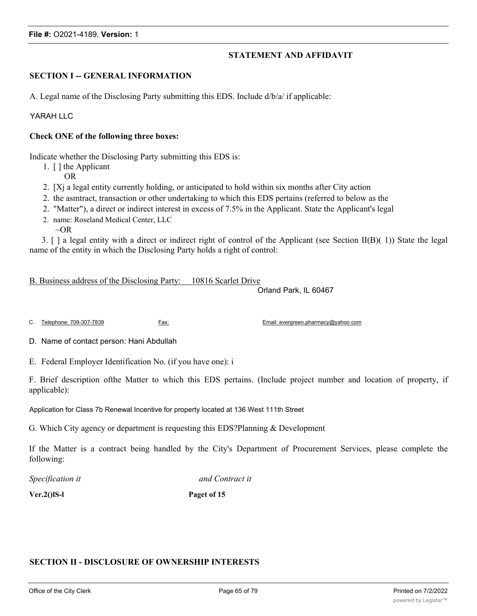## **STATEMENT AND AFFIDAVIT**

#### **SECTION I -- GENERAL INFORMATION**

A. Legal name of the Disclosing Party submitting this EDS. Include d/b/a/ if applicable:

#### YARAH LLC

#### **Check ONE of the following three boxes:**

Indicate whether the Disclosing Party submitting this EDS is:

- 1. [ ] the Applicant
	- OR
- 2. [Xj a legal entity currently holding, or anticipated to hold within six months after City action
- 2. the asmtract, transaction or other undertaking to which this EDS pertains (referred to below as the
- 2. "Matter"), a direct or indirect interest in excess of 7.5% in the Applicant. State the Applicant's legal
- 2. name: Roseland Medical Center, LLC
	- $\sim$ OR

3. [ ] a legal entity with a direct or indirect right of control of the Applicant (see Section II(B)( 1)) State the legal name of the entity in which the Disclosing Party holds a right of control:

B. Business address of the Disclosing Party: 10816 Scarlet Drive

Orland Park, IL 60467

C. Telephone: 708-307-7839 Fax: Email: evergreen.pharmacy@yahoo com

D. Name of contact person: Hani Abdullah

E. Federal Employer Identification No. (if you have one): i

F. Brief description ofthe Matter to which this EDS pertains. (Include project number and location of property, if applicable):

Application for Class 7b Renewal Incentive for property located at 136 West 111th Street

G. Which City agency or department is requesting this EDS?Planning & Development

If the Matter is a contract being handled by the City's Department of Procurement Services, please complete the following:

*Specification it and Contract it*

**Ver.2()lS-l Paget of 15**

#### **SECTION II - DISCLOSURE OF OWNERSHIP INTERESTS**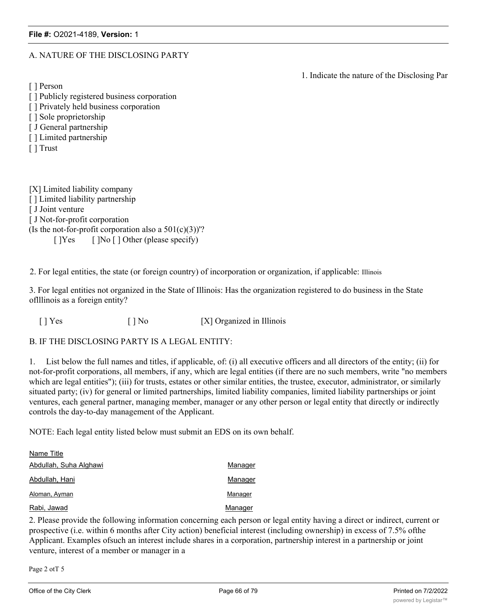#### A. NATURE OF THE DISCLOSING PARTY

1. Indicate the nature of the Disclosing Par

[ ] Person

- [] Publicly registered business corporation
- [ ] Privately held business corporation
- [ ] Sole proprietorship
- [ J General partnership
- [ ] Limited partnership
- [ ] Trust

[X] Limited liability company [] Limited liability partnership [ J Joint venture [ J Not-for-profit corporation (Is the not-for-profit corporation also a  $501(c)(3)$ )'? [ ]Yes [ ]No [ ] Other (please specify)

2. For legal entities, the state (or foreign country) of incorporation or organization, if applicable: Illinois

3. For legal entities not organized in the State of Illinois: Has the organization registered to do business in the State oflllinois as a foreign entity?

[ ] Yes [ ] No [X] Organized in Illinois

B. IF THE DISCLOSING PARTY IS A LEGAL ENTITY:

1. List below the full names and titles, if applicable, of: (i) all executive officers and all directors of the entity; (ii) for not-for-profit corporations, all members, if any, which are legal entities (if there are no such members, write "no members which are legal entities"); (iii) for trusts, estates or other similar entities, the trustee, executor, administrator, or similarly situated party; (iv) for general or limited partnerships, limited liability companies, limited liability partnerships or joint ventures, each general partner, managing member, manager or any other person or legal entity that directly or indirectly controls the day-to-day management of the Applicant.

NOTE: Each legal entity listed below must submit an EDS on its own behalf.

| Name Title             |         |
|------------------------|---------|
| Abdullah, Suha Alghawi | Manager |
| Abdullah, Hani         | Manager |
| Aloman, Ayman          | Manager |
| Rabi, Jawad            | Manager |

2. Please provide the following information concerning each person or legal entity having a direct or indirect, current or prospective (i.e. within 6 months after City action) beneficial interest (including ownership) in excess of 7.5% ofthe Applicant. Examples ofsuch an interest include shares in a corporation, partnership interest in a partnership or joint venture, interest of a member or manager in a

Page 2 otT 5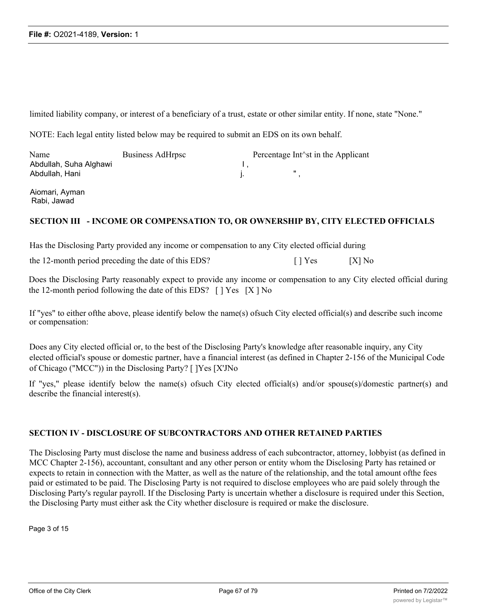limited liability company, or interest of a beneficiary of a trust, estate or other similar entity. If none, state "None."

NOTE: Each legal entity listed below may be required to submit an EDS on its own behalf.

| Name                   | Business AdHrpsc | Percentage Int <sup><math>\land</math></sup> st in the Applicant |  |
|------------------------|------------------|------------------------------------------------------------------|--|
| Abdullah, Suha Alghawi |                  |                                                                  |  |
| Abdullah, Hani         |                  |                                                                  |  |

Aiomari, Ayman Rabi, Jawad

#### **SECTION III - INCOME OR COMPENSATION TO, OR OWNERSHIP BY, CITY ELECTED OFFICIALS**

Has the Disclosing Party provided any income or compensation to any City elected official during

the 12-month period preceding the date of this EDS? [ ] Yes [X] No

Does the Disclosing Party reasonably expect to provide any income or compensation to any City elected official during the 12-month period following the date of this EDS?  $\lceil$  | Yes  $\lceil$  | X | No

If "yes" to either ofthe above, please identify below the name(s) ofsuch City elected official(s) and describe such income or compensation:

Does any City elected official or, to the best of the Disclosing Party's knowledge after reasonable inquiry, any City elected official's spouse or domestic partner, have a financial interest (as defined in Chapter 2-156 of the Municipal Code of Chicago ("MCC")) in the Disclosing Party? [ ]Yes [X'JNo

If "yes," please identify below the name(s) ofsuch City elected official(s) and/or spouse(s)/domestic partner(s) and describe the financial interest(s).

## **SECTION IV - DISCLOSURE OF SUBCONTRACTORS AND OTHER RETAINED PARTIES**

The Disclosing Party must disclose the name and business address of each subcontractor, attorney, lobbyist (as defined in MCC Chapter 2-156), accountant, consultant and any other person or entity whom the Disclosing Party has retained or expects to retain in connection with the Matter, as well as the nature of the relationship, and the total amount ofthe fees paid or estimated to be paid. The Disclosing Party is not required to disclose employees who are paid solely through the Disclosing Party's regular payroll. If the Disclosing Party is uncertain whether a disclosure is required under this Section, the Disclosing Party must either ask the City whether disclosure is required or make the disclosure.

Page 3 of 15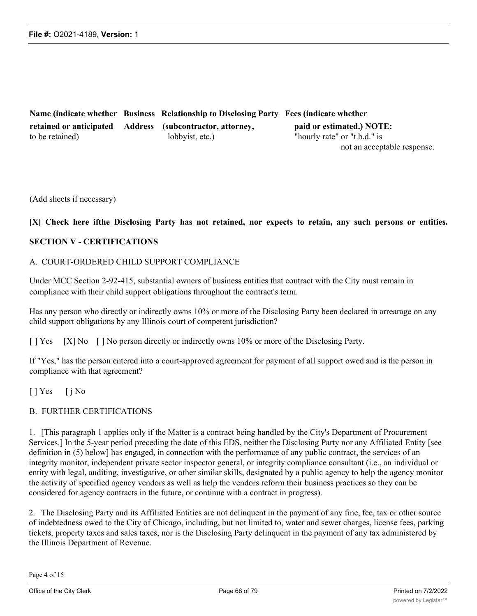**Name (indicate whether Business Relationship to Disclosing Party Fees (indicate whether retained or anticipated Address (subcontractor, attorney, paid or estimated.) NOTE:** to be retained) lobbyist, etc.) "hourly rate" or "t.b.d." is not an acceptable response.

(Add sheets if necessary)

#### [X] Check here if the Disclosing Party has not retained, nor expects to retain, any such persons or entities.

#### **SECTION V - CERTIFICATIONS**

#### A. COURT-ORDERED CHILD SUPPORT COMPLIANCE

Under MCC Section 2-92-415, substantial owners of business entities that contract with the City must remain in compliance with their child support obligations throughout the contract's term.

Has any person who directly or indirectly owns 10% or more of the Disclosing Party been declared in arrearage on any child support obligations by any Illinois court of competent jurisdiction?

[ ] Yes [X] No [ ] No person directly or indirectly owns 10% or more of the Disclosing Party.

If "Yes," has the person entered into a court-approved agreement for payment of all support owed and is the person in compliance with that agreement?

[ ] Yes [ j No

## B. FURTHER CERTIFICATIONS

1. [This paragraph 1 applies only if the Matter is a contract being handled by the City's Department of Procurement Services.] In the 5-year period preceding the date of this EDS, neither the Disclosing Party nor any Affiliated Entity [see definition in (5) below] has engaged, in connection with the performance of any public contract, the services of an integrity monitor, independent private sector inspector general, or integrity compliance consultant (i.e., an individual or entity with legal, auditing, investigative, or other similar skills, designated by a public agency to help the agency monitor the activity of specified agency vendors as well as help the vendors reform their business practices so they can be considered for agency contracts in the future, or continue with a contract in progress).

2. The Disclosing Party and its Affiliated Entities are not delinquent in the payment of any fine, fee, tax or other source of indebtedness owed to the City of Chicago, including, but not limited to, water and sewer charges, license fees, parking tickets, property taxes and sales taxes, nor is the Disclosing Party delinquent in the payment of any tax administered by the Illinois Department of Revenue.

Page 4 of 15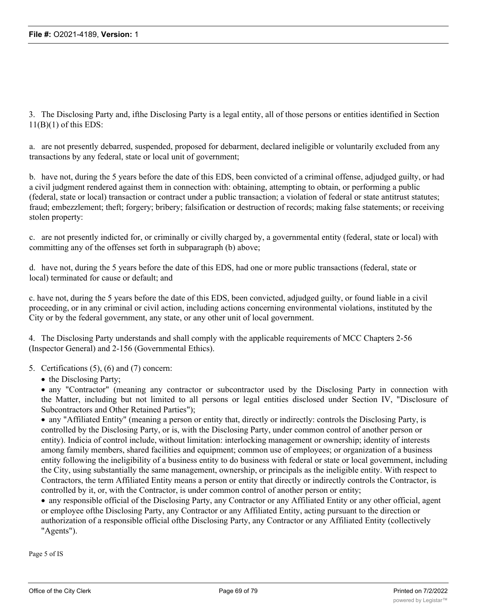3. The Disclosing Party and, ifthe Disclosing Party is a legal entity, all of those persons or entities identified in Section  $11(B)(1)$  of this EDS:

a. are not presently debarred, suspended, proposed for debarment, declared ineligible or voluntarily excluded from any transactions by any federal, state or local unit of government;

b. have not, during the 5 years before the date of this EDS, been convicted of a criminal offense, adjudged guilty, or had a civil judgment rendered against them in connection with: obtaining, attempting to obtain, or performing a public (federal, state or local) transaction or contract under a public transaction; a violation of federal or state antitrust statutes; fraud; embezzlement; theft; forgery; bribery; falsification or destruction of records; making false statements; or receiving stolen property:

c. are not presently indicted for, or criminally or civilly charged by, a governmental entity (federal, state or local) with committing any of the offenses set forth in subparagraph (b) above;

d. have not, during the 5 years before the date of this EDS, had one or more public transactions (federal, state or local) terminated for cause or default; and

c. have not, during the 5 years before the date of this EDS, been convicted, adjudged guilty, or found liable in a civil proceeding, or in any criminal or civil action, including actions concerning environmental violations, instituted by the City or by the federal government, any state, or any other unit of local government.

4. The Disclosing Party understands and shall comply with the applicable requirements of MCC Chapters 2-56 (Inspector General) and 2-156 (Governmental Ethics).

5. Certifications (5), (6) and (7) concern:

• the Disclosing Party;

· any "Contractor" (meaning any contractor or subcontractor used by the Disclosing Party in connection with the Matter, including but not limited to all persons or legal entities disclosed under Section IV, "Disclosure of Subcontractors and Other Retained Parties");

· any "Affiliated Entity" (meaning a person or entity that, directly or indirectly: controls the Disclosing Party, is controlled by the Disclosing Party, or is, with the Disclosing Party, under common control of another person or entity). Indicia of control include, without limitation: interlocking management or ownership; identity of interests among family members, shared facilities and equipment; common use of employees; or organization of a business entity following the ineligibility of a business entity to do business with federal or state or local government, including the City, using substantially the same management, ownership, or principals as the ineligible entity. With respect to Contractors, the term Affiliated Entity means a person or entity that directly or indirectly controls the Contractor, is controlled by it, or, with the Contractor, is under common control of another person or entity;

· any responsible official of the Disclosing Party, any Contractor or any Affiliated Entity or any other official, agent or employee ofthe Disclosing Party, any Contractor or any Affiliated Entity, acting pursuant to the direction or authorization of a responsible official ofthe Disclosing Party, any Contractor or any Affiliated Entity (collectively "Agents").

Page 5 of IS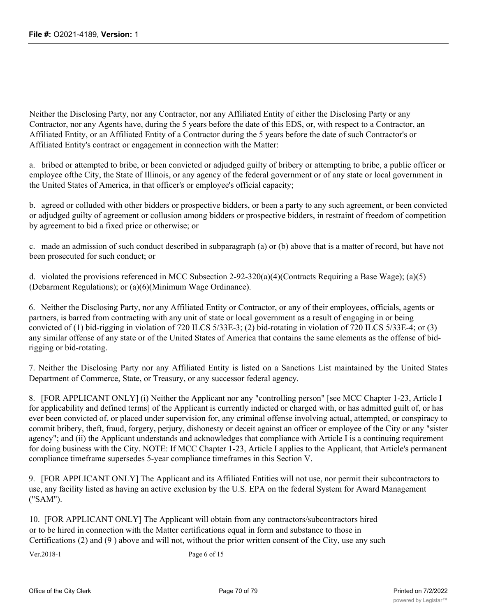Neither the Disclosing Party, nor any Contractor, nor any Affiliated Entity of either the Disclosing Party or any Contractor, nor any Agents have, during the 5 years before the date of this EDS, or, with respect to a Contractor, an Affiliated Entity, or an Affiliated Entity of a Contractor during the 5 years before the date of such Contractor's or Affiliated Entity's contract or engagement in connection with the Matter:

a. bribed or attempted to bribe, or been convicted or adjudged guilty of bribery or attempting to bribe, a public officer or employee ofthe City, the State of Illinois, or any agency of the federal government or of any state or local government in the United States of America, in that officer's or employee's official capacity;

b. agreed or colluded with other bidders or prospective bidders, or been a party to any such agreement, or been convicted or adjudged guilty of agreement or collusion among bidders or prospective bidders, in restraint of freedom of competition by agreement to bid a fixed price or otherwise; or

c. made an admission of such conduct described in subparagraph (a) or (b) above that is a matter of record, but have not been prosecuted for such conduct; or

d. violated the provisions referenced in MCC Subsection 2-92-320(a)(4)(Contracts Requiring a Base Wage); (a)(5) (Debarment Regulations); or (a)(6)(Minimum Wage Ordinance).

6. Neither the Disclosing Party, nor any Affiliated Entity or Contractor, or any of their employees, officials, agents or partners, is barred from contracting with any unit of state or local government as a result of engaging in or being convicted of (1) bid-rigging in violation of 720 ILCS 5/33E-3; (2) bid-rotating in violation of 720 ILCS 5/33E-4; or (3) any similar offense of any state or of the United States of America that contains the same elements as the offense of bidrigging or bid-rotating.

7. Neither the Disclosing Party nor any Affiliated Entity is listed on a Sanctions List maintained by the United States Department of Commerce, State, or Treasury, or any successor federal agency.

8. [FOR APPLICANT ONLY] (i) Neither the Applicant nor any "controlling person" [see MCC Chapter 1-23, Article I for applicability and defined terms] of the Applicant is currently indicted or charged with, or has admitted guilt of, or has ever been convicted of, or placed under supervision for, any criminal offense involving actual, attempted, or conspiracy to commit bribery, theft, fraud, forgery, perjury, dishonesty or deceit against an officer or employee of the City or any "sister agency"; and (ii) the Applicant understands and acknowledges that compliance with Article I is a continuing requirement for doing business with the City. NOTE: If MCC Chapter 1-23, Article I applies to the Applicant, that Article's permanent compliance timeframe supersedes 5-year compliance timeframes in this Section V.

9. [FOR APPLICANT ONLY] The Applicant and its Affiliated Entities will not use, nor permit their subcontractors to use, any facility listed as having an active exclusion by the U.S. EPA on the federal System for Award Management ("SAM").

10. [FOR APPLICANT ONLY] The Applicant will obtain from any contractors/subcontractors hired or to be hired in connection with the Matter certifications equal in form and substance to those in Certifications (2) and (9 ) above and will not, without the prior written consent of the City, use any such

Ver.2018-1 Page 6 of 15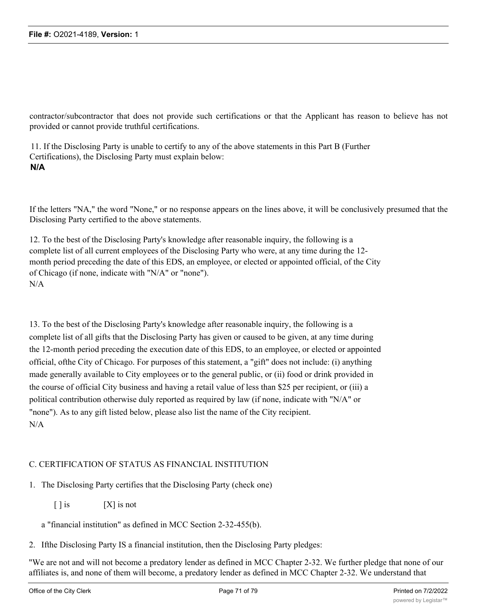contractor/subcontractor that does not provide such certifications or that the Applicant has reason to believe has not provided or cannot provide truthful certifications.

11. If the Disclosing Party is unable to certify to any of the above statements in this Part B (Further Certifications), the Disclosing Party must explain below: **N/A**

If the letters "NA," the word "None," or no response appears on the lines above, it will be conclusively presumed that the Disclosing Party certified to the above statements.

12. To the best of the Disclosing Party's knowledge after reasonable inquiry, the following is a complete list of all current employees of the Disclosing Party who were, at any time during the 12 month period preceding the date of this EDS, an employee, or elected or appointed official, of the City of Chicago (if none, indicate with "N/A" or "none"). N/A

13. To the best of the Disclosing Party's knowledge after reasonable inquiry, the following is a complete list of all gifts that the Disclosing Party has given or caused to be given, at any time during the 12-month period preceding the execution date of this EDS, to an employee, or elected or appointed official, ofthe City of Chicago. For purposes of this statement, a "gift" does not include: (i) anything made generally available to City employees or to the general public, or (ii) food or drink provided in the course of official City business and having a retail value of less than \$25 per recipient, or (iii) a political contribution otherwise duly reported as required by law (if none, indicate with "N/A" or "none"). As to any gift listed below, please also list the name of the City recipient. N/A

## C. CERTIFICATION OF STATUS AS FINANCIAL INSTITUTION

1. The Disclosing Party certifies that the Disclosing Party (check one)

 $[ ]$  is  $[ X ]$  is not

a "financial institution" as defined in MCC Section 2-32-455(b).

2. Ifthe Disclosing Party IS a financial institution, then the Disclosing Party pledges:

"We are not and will not become a predatory lender as defined in MCC Chapter 2-32. We further pledge that none of our affiliates is, and none of them will become, a predatory lender as defined in MCC Chapter 2-32. We understand that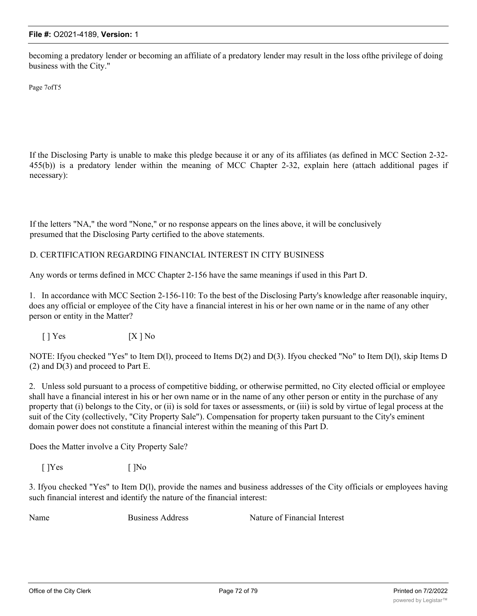becoming a predatory lender or becoming an affiliate of a predatory lender may result in the loss ofthe privilege of doing business with the City."

Page 7ofT5

If the Disclosing Party is unable to make this pledge because it or any of its affiliates (as defined in MCC Section 2-32- 455(b)) is a predatory lender within the meaning of MCC Chapter 2-32, explain here (attach additional pages if necessary):

If the letters "NA," the word "None," or no response appears on the lines above, it will be conclusively presumed that the Disclosing Party certified to the above statements.

## D. CERTIFICATION REGARDING FINANCIAL INTEREST IN CITY BUSINESS

Any words or terms defined in MCC Chapter 2-156 have the same meanings if used in this Part D.

1. In accordance with MCC Section 2-156-110: To the best of the Disclosing Party's knowledge after reasonable inquiry, does any official or employee of the City have a financial interest in his or her own name or in the name of any other person or entity in the Matter?

 $[$  ] Yes  $[X ]$  No

NOTE: Ifyou checked "Yes" to Item D(l), proceed to Items D(2) and D(3). Ifyou checked "No" to Item D(l), skip Items D  $(2)$  and  $D(3)$  and proceed to Part E.

2. Unless sold pursuant to a process of competitive bidding, or otherwise permitted, no City elected official or employee shall have a financial interest in his or her own name or in the name of any other person or entity in the purchase of any property that (i) belongs to the City, or (ii) is sold for taxes or assessments, or (iii) is sold by virtue of legal process at the suit of the City (collectively, "City Property Sale"). Compensation for property taken pursuant to the City's eminent domain power does not constitute a financial interest within the meaning of this Part D.

Does the Matter involve a City Property Sale?

 $[$  ]Yes  $[$  ]No

3. Ifyou checked "Yes" to Item D(l), provide the names and business addresses of the City officials or employees having such financial interest and identify the nature of the financial interest:

Name Business Address Nature of Financial Interest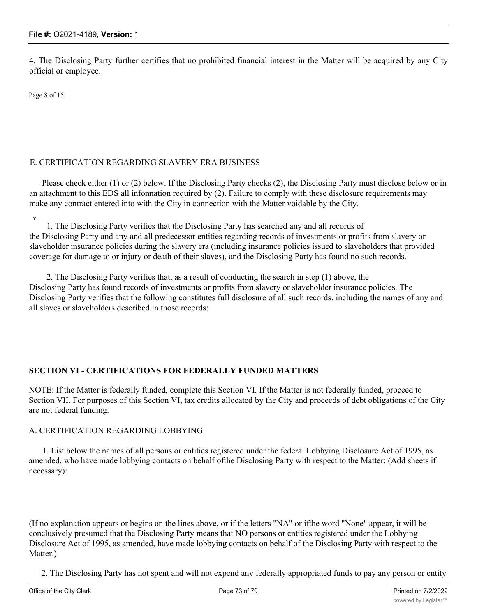4. The Disclosing Party further certifies that no prohibited financial interest in the Matter will be acquired by any City official or employee.

Page 8 of 15

### E. CERTIFICATION REGARDING SLAVERY ERA BUSINESS

Please check either (1) or (2) below. If the Disclosing Party checks (2), the Disclosing Party must disclose below or in an attachment to this EDS all infonnation required by (2). Failure to comply with these disclosure requirements may make any contract entered into with the City in connection with the Matter voidable by the City.

**Y**

1. The Disclosing Party verifies that the Disclosing Party has searched any and all records of the Disclosing Party and any and all predecessor entities regarding records of investments or profits from slavery or slaveholder insurance policies during the slavery era (including insurance policies issued to slaveholders that provided coverage for damage to or injury or death of their slaves), and the Disclosing Party has found no such records.

2. The Disclosing Party verifies that, as a result of conducting the search in step (1) above, the Disclosing Party has found records of investments or profits from slavery or slaveholder insurance policies. The Disclosing Party verifies that the following constitutes full disclosure of all such records, including the names of any and all slaves or slaveholders described in those records:

### **SECTION VI - CERTIFICATIONS FOR FEDERALLY FUNDED MATTERS**

NOTE: If the Matter is federally funded, complete this Section VI. If the Matter is not federally funded, proceed to Section VII. For purposes of this Section VI, tax credits allocated by the City and proceeds of debt obligations of the City are not federal funding.

#### A. CERTIFICATION REGARDING LOBBYING

1. List below the names of all persons or entities registered under the federal Lobbying Disclosure Act of 1995, as amended, who have made lobbying contacts on behalf ofthe Disclosing Party with respect to the Matter: (Add sheets if necessary):

(If no explanation appears or begins on the lines above, or if the letters "NA" or ifthe word "None" appear, it will be conclusively presumed that the Disclosing Party means that NO persons or entities registered under the Lobbying Disclosure Act of 1995, as amended, have made lobbying contacts on behalf of the Disclosing Party with respect to the Matter.)

2. The Disclosing Party has not spent and will not expend any federally appropriated funds to pay any person or entity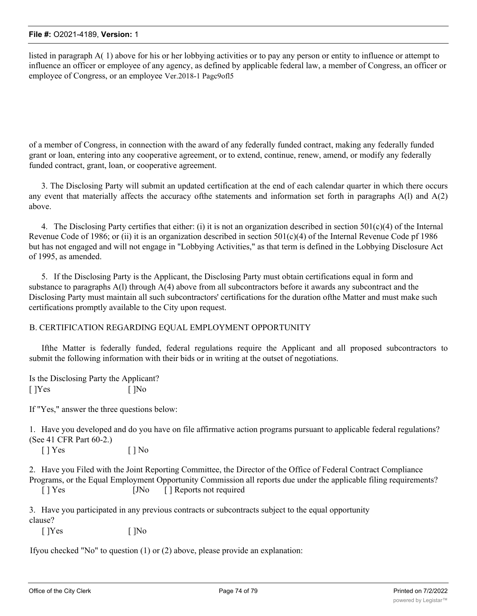listed in paragraph A( 1) above for his or her lobbying activities or to pay any person or entity to influence or attempt to influence an officer or employee of any agency, as defined by applicable federal law, a member of Congress, an officer or employee of Congress, or an employee Ver.2018-1 Pagc9ofl5

of a member of Congress, in connection with the award of any federally funded contract, making any federally funded grant or loan, entering into any cooperative agreement, or to extend, continue, renew, amend, or modify any federally funded contract, grant, loan, or cooperative agreement.

3. The Disclosing Party will submit an updated certification at the end of each calendar quarter in which there occurs any event that materially affects the accuracy ofthe statements and information set forth in paragraphs A(l) and A(2) above.

4. The Disclosing Party certifies that either: (i) it is not an organization described in section 501(c)(4) of the Internal Revenue Code of 1986; or (ii) it is an organization described in section  $501(c)(4)$  of the Internal Revenue Code pf 1986 but has not engaged and will not engage in "Lobbying Activities," as that term is defined in the Lobbying Disclosure Act of 1995, as amended.

5. If the Disclosing Party is the Applicant, the Disclosing Party must obtain certifications equal in form and substance to paragraphs A(l) through A(4) above from all subcontractors before it awards any subcontract and the Disclosing Party must maintain all such subcontractors' certifications for the duration ofthe Matter and must make such certifications promptly available to the City upon request.

### B. CERTIFICATION REGARDING EQUAL EMPLOYMENT OPPORTUNITY

Ifthe Matter is federally funded, federal regulations require the Applicant and all proposed subcontractors to submit the following information with their bids or in writing at the outset of negotiations.

Is the Disclosing Party the Applicant?  $[$  ]Yes  $[$  ]No

If "Yes," answer the three questions below:

1. Have you developed and do you have on file affirmative action programs pursuant to applicable federal regulations? (See 41 CFR Part 60-2.)

 $[ ]$  Yes  $[ ]$  No

2. Have you Filed with the Joint Reporting Committee, the Director of the Office of Federal Contract Compliance Programs, or the Equal Employment Opportunity Commission all reports due under the applicable filing requirements? [ ] Yes [JNo [ ] Reports not required

3. Have you participated in any previous contracts or subcontracts subject to the equal opportunity clause?

 $[$  ]Yes  $[$   $]$ No

Ifyou checked "No" to question (1) or (2) above, please provide an explanation: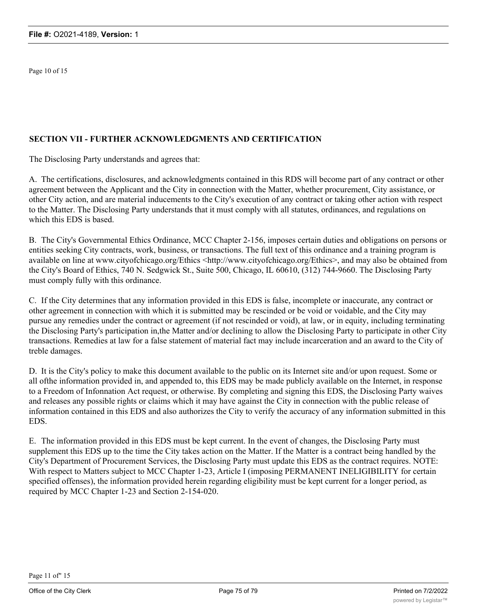Page 10 of 15

### **SECTION VII - FURTHER ACKNOWLEDGMENTS AND CERTIFICATION**

The Disclosing Party understands and agrees that:

A. The certifications, disclosures, and acknowledgments contained in this RDS will become part of any contract or other agreement between the Applicant and the City in connection with the Matter, whether procurement, City assistance, or other City action, and are material inducements to the City's execution of any contract or taking other action with respect to the Matter. The Disclosing Party understands that it must comply with all statutes, ordinances, and regulations on which this EDS is based.

B. The City's Governmental Ethics Ordinance, MCC Chapter 2-156, imposes certain duties and obligations on persons or entities seeking City contracts, work, business, or transactions. The full text of this ordinance and a training program is available on line at www.cityofchicago.org/Ethics <http://www.cityofchicago.org/Ethics>, and may also be obtained from the City's Board of Ethics, 740 N. Sedgwick St., Suite 500, Chicago, IL 60610, (312) 744-9660. The Disclosing Party must comply fully with this ordinance.

C. If the City determines that any information provided in this EDS is false, incomplete or inaccurate, any contract or other agreement in connection with which it is submitted may be rescinded or be void or voidable, and the City may pursue any remedies under the contract or agreement (if not rescinded or void), at law, or in equity, including terminating the Disclosing Party's participation in,the Matter and/or declining to allow the Disclosing Party to participate in other City transactions. Remedies at law for a false statement of material fact may include incarceration and an award to the City of treble damages.

D. It is the City's policy to make this document available to the public on its Internet site and/or upon request. Some or all ofthe information provided in, and appended to, this EDS may be made publicly available on the Internet, in response to a Freedom of Infonnation Act request, or otherwise. By completing and signing this EDS, the Disclosing Party waives and releases any possible rights or claims which it may have against the City in connection with the public release of information contained in this EDS and also authorizes the City to verify the accuracy of any information submitted in this EDS.

E. The information provided in this EDS must be kept current. In the event of changes, the Disclosing Party must supplement this EDS up to the time the City takes action on the Matter. If the Matter is a contract being handled by the City's Department of Procurement Services, the Disclosing Party must update this EDS as the contract requires. NOTE: With respect to Matters subject to MCC Chapter 1-23, Article I (imposing PERMANENT INELIGIBILITY for certain specified offenses), the information provided herein regarding eligibility must be kept current for a longer period, as required by MCC Chapter 1-23 and Section 2-154-020.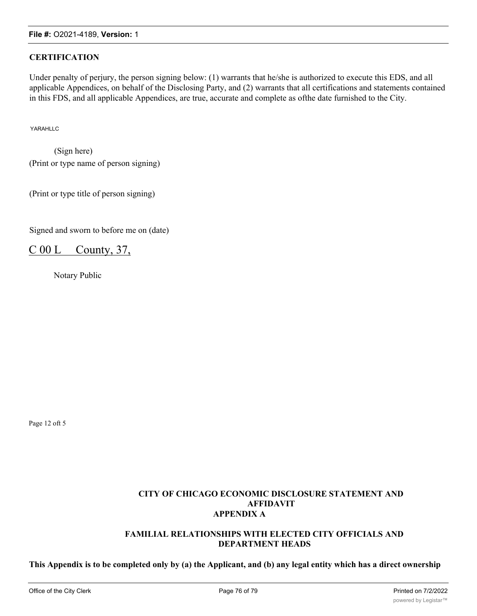# **CERTIFICATION**

Under penalty of perjury, the person signing below: (1) warrants that he/she is authorized to execute this EDS, and all applicable Appendices, on behalf of the Disclosing Party, and (2) warrants that all certifications and statements contained in this FDS, and all applicable Appendices, are true, accurate and complete as ofthe date furnished to the City.

YARAHLLC

(Sign here) (Print or type name of person signing)

(Print or type title of person signing)

Signed and sworn to before me on (date)

C 00 L County, 37,

Notary Public

Page 12 oft 5

### **CITY OF CHICAGO ECONOMIC DISCLOSURE STATEMENT AND AFFIDAVIT APPENDIX A**

#### **FAMILIAL RELATIONSHIPS WITH ELECTED CITY OFFICIALS AND DEPARTMENT HEADS**

**This Appendix is to be completed only by (a) the Applicant, and (b) any legal entity which has a direct ownership**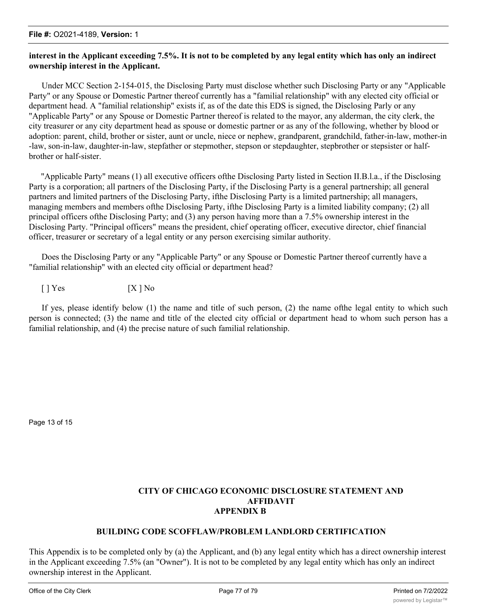## **interest in the Applicant exceeding 7.5%. It is not to be completed by any legal entity which has only an indirect ownership interest in the Applicant.**

Under MCC Section 2-154-015, the Disclosing Party must disclose whether such Disclosing Party or any "Applicable Party" or any Spouse or Domestic Partner thereof currently has a "familial relationship" with any elected city official or department head. A "familial relationship" exists if, as of the date this EDS is signed, the Disclosing Parly or any "Applicable Party" or any Spouse or Domestic Partner thereof is related to the mayor, any alderman, the city clerk, the city treasurer or any city department head as spouse or domestic partner or as any of the following, whether by blood or adoption: parent, child, brother or sister, aunt or uncle, niece or nephew, grandparent, grandchild, father-in-law, mother-in -law, son-in-law, daughter-in-law, stepfather or stepmother, stepson or stepdaughter, stepbrother or stepsister or halfbrother or half-sister.

"Applicable Party" means (1) all executive officers ofthe Disclosing Party listed in Section II.B.l.a., if the Disclosing Party is a corporation; all partners of the Disclosing Party, if the Disclosing Party is a general partnership; all general partners and limited partners of the Disclosing Party, ifthe Disclosing Party is a limited partnership; all managers, managing members and members ofthe Disclosing Party, ifthe Disclosing Party is a limited liability company; (2) all principal officers ofthe Disclosing Party; and (3) any person having more than a 7.5% ownership interest in the Disclosing Party. "Principal officers" means the president, chief operating officer, executive director, chief financial officer, treasurer or secretary of a legal entity or any person exercising similar authority.

Does the Disclosing Party or any "Applicable Party" or any Spouse or Domestic Partner thereof currently have a "familial relationship" with an elected city official or department head?

 $[1] Yes$   $[X] No$ 

If yes, please identify below (1) the name and title of such person, (2) the name ofthe legal entity to which such person is connected; (3) the name and title of the elected city official or department head to whom such person has a familial relationship, and (4) the precise nature of such familial relationship.

Page 13 of 15

### **CITY OF CHICAGO ECONOMIC DISCLOSURE STATEMENT AND AFFIDAVIT APPENDIX B**

### **BUILDING CODE SCOFFLAW/PROBLEM LANDLORD CERTIFICATION**

This Appendix is to be completed only by (a) the Applicant, and (b) any legal entity which has a direct ownership interest in the Applicant exceeding 7.5% (an "Owner"). It is not to be completed by any legal entity which has only an indirect ownership interest in the Applicant.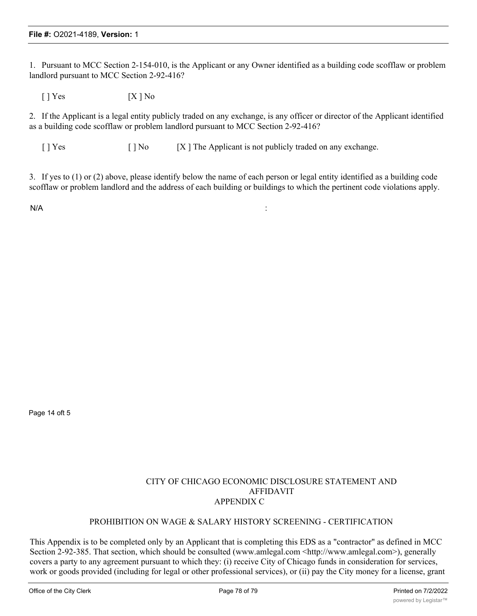1. Pursuant to MCC Section 2-154-010, is the Applicant or any Owner identified as a building code scofflaw or problem landlord pursuant to MCC Section 2-92-416?

 $[ ]$  Yes  $[ X ]$  No

2. If the Applicant is a legal entity publicly traded on any exchange, is any officer or director of the Applicant identified as a building code scofflaw or problem landlord pursuant to MCC Section 2-92-416?

[ ] Yes [ ] No [X ] The Applicant is not publicly traded on any exchange.

3. If yes to (1) or (2) above, please identify below the name of each person or legal entity identified as a building code scofflaw or problem landlord and the address of each building or buildings to which the pertinent code violations apply.

 $N/A$  :

Page 14 oft 5

#### CITY OF CHICAGO ECONOMIC DISCLOSURE STATEMENT AND AFFIDAVIT APPENDIX C

#### PROHIBITION ON WAGE & SALARY HISTORY SCREENING - CERTIFICATION

This Appendix is to be completed only by an Applicant that is completing this EDS as a "contractor" as defined in MCC Section 2-92-385. That section, which should be consulted (www.amlegal.com <http://www.amlegal.com>), generally covers a party to any agreement pursuant to which they: (i) receive City of Chicago funds in consideration for services, work or goods provided (including for legal or other professional services), or (ii) pay the City money for a license, grant